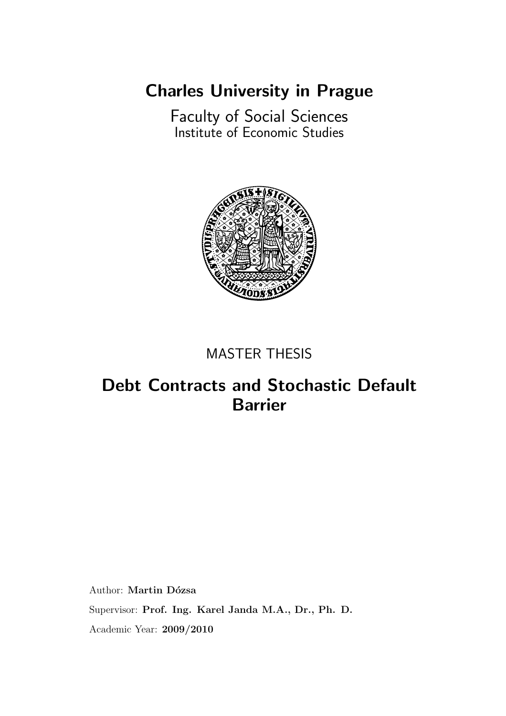[Charles University in Prague](http://www.cuni.cz/UKENG-1.html)

[Faculty of Social Sciences](http://fsveng.fsv.cuni.cz/FSVENG-1.html) [Institute of Economic Studies](http://ies.fsv.cuni.cz/index.php?module=board&action=board&lng=en_GB)



## MASTER THESIS

## [Debt Contracts and Sto](http://www.dozsa.cz/research/master_thesis.pdf)chastic Default Barrier

Author: Martin Dózsa Supervisor: [Prof. Ing. Karel Janda M.A., Dr., Ph. D.](mailto:Karel-Janda@seznam.cz) Academic Year: 2009/2010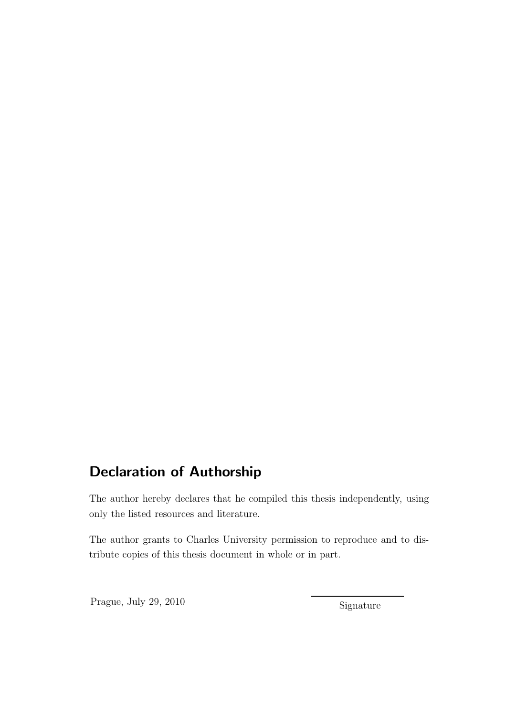## Declaration of Authorship

The author hereby declares that he compiled this thesis independently, using only the listed resources and literature.

The author grants to Charles University permission to reproduce and to distribute copies of this thesis document in whole or in part.

Prague, July 29, 2010 Signature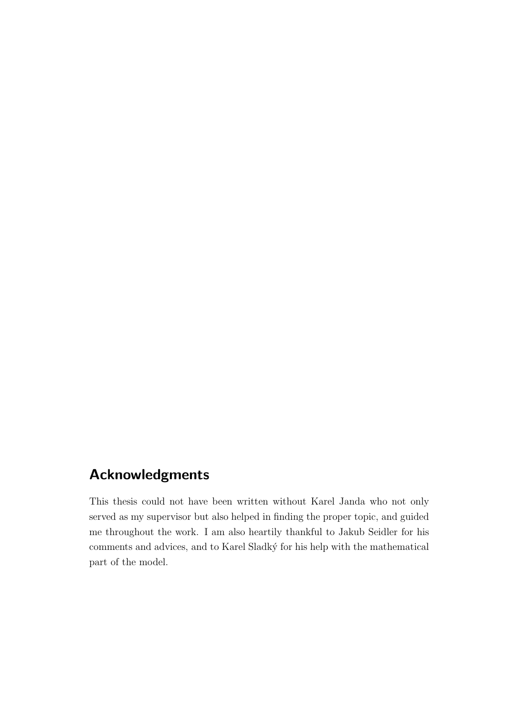## Acknowledgments

This thesis could not have been written without Karel Janda who not only served as my supervisor but also helped in finding the proper topic, and guided me throughout the work. I am also heartily thankful to Jakub Seidler for his comments and advices, and to Karel Sladký for his help with the mathematical part of the model.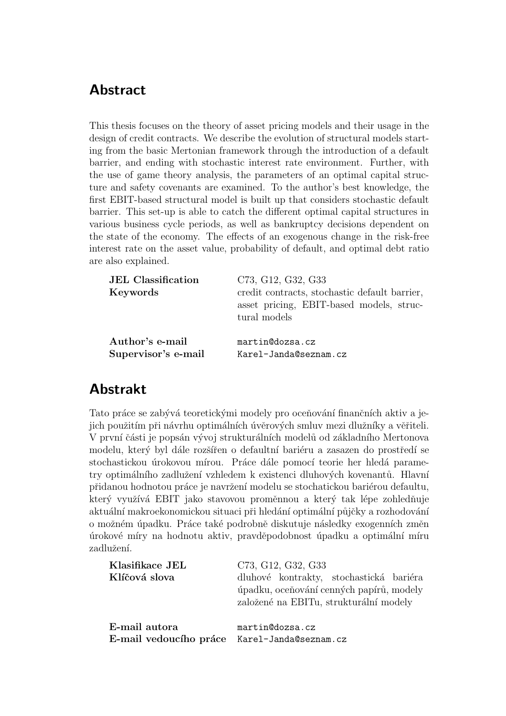## Abstract

This thesis focuses on the theory of asset pricing models and their usage in the design of credit contracts. We describe the evolution of structural models starting from the basic Mertonian framework through the introduction of a default barrier, and ending with stochastic interest rate environment. Further, with the use of game theory analysis, the parameters of an optimal capital structure and safety covenants are examined. To the author's best knowledge, the first EBIT-based structural model is built up that considers stochastic default barrier. This set-up is able to catch the different optimal capital structures in various business cycle periods, as well as bankruptcy decisions dependent on the state of the economy. The effects of an exogenous change in the risk-free interest rate on the asset value, probability of default, and optimal debt ratio are also explained.

| <b>JEL Classification</b><br>Keywords | C73, G12, G32, G33<br>credit contracts, stochastic default barrier,<br>asset pricing, EBIT-based models, struc-<br>tural models |
|---------------------------------------|---------------------------------------------------------------------------------------------------------------------------------|
| Author's e-mail                       | martin@dozsa.cz                                                                                                                 |
| Supervisor's e-mail                   | Karel-Janda@seznam.cz                                                                                                           |

## Abstrakt

Tato práce se zabývá teoretickými modely pro oceňování finančních aktiv a jejich použitím při návrhu optimálních úvěrových smluv mezi dlužníky a věřiteli. V první části je popsán vývoj strukturálních modelů od základního Mertonova modelu, který byl dále rozšířen o defaultní bariéru a zasazen do prostředí se stochastickou úrokovou mírou. Práce dále pomocí teorie her hledá parametry optimálního zadlužení vzhledem k existenci dluhových kovenantů. Hlavní přidanou hodnotou práce je navržení modelu se stochatickou bariérou defaultu, který využívá EBIT jako stavovou proměnnou a který tak lépe zohledňuje aktuální makroekonomickou situaci při hledání optimální půjčky a rozhodování o možném úpadku. Práce také podrobně diskutuje následky exogenních změn ´urokov´e m´ıry na hodnotu aktiv, pravdˇepodobnost ´upadku a optim´aln´ı m´ıru zadlužení.

| Klasifikace JEL                                               | C73, G12, G32, G33                                                                                                            |
|---------------------------------------------------------------|-------------------------------------------------------------------------------------------------------------------------------|
| Klíčová slova                                                 | dluhové kontrakty, stochastická bariéra<br>úpadku, oceňování cenných papírů, modely<br>založené na EBITu, strukturální modely |
| E-mail autora<br>E-mail vedoucího práce Karel-Janda@seznam.cz | martin@dozsa.cz                                                                                                               |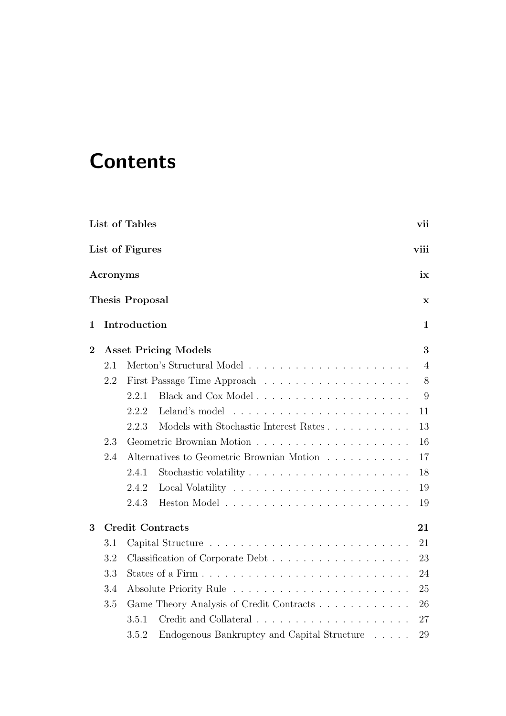# **Contents**

|                              |          | List of Tables         |                                                                          |    |  | vii            |
|------------------------------|----------|------------------------|--------------------------------------------------------------------------|----|--|----------------|
|                              |          | List of Figures        |                                                                          |    |  | viii           |
|                              | Acronyms |                        |                                                                          |    |  | ix             |
|                              |          | <b>Thesis Proposal</b> |                                                                          |    |  | X              |
| 1                            |          | Introduction           |                                                                          |    |  | $\mathbf{1}$   |
| $\overline{2}$               |          |                        | <b>Asset Pricing Models</b>                                              |    |  | 3              |
|                              | 2.1      |                        |                                                                          |    |  | $\overline{4}$ |
|                              | 2.2      |                        |                                                                          |    |  | 8              |
|                              |          | 2.2.1                  | Black and Cox Model                                                      |    |  | 9              |
|                              |          | 2.2.2                  |                                                                          |    |  | 11             |
|                              |          | 2.2.3                  | Models with Stochastic Interest Rates                                    |    |  | 13             |
|                              | 2.3      |                        |                                                                          |    |  | 16             |
|                              | 2.4      |                        | Alternatives to Geometric Brownian Motion                                |    |  | 17             |
|                              |          | 2.4.1                  | Stochastic volatility $\ldots \ldots \ldots \ldots \ldots \ldots \ldots$ |    |  | 18             |
|                              |          | 2.4.2                  |                                                                          |    |  | 19             |
|                              |          | 2.4.3                  |                                                                          |    |  | $19\,$         |
| <b>Credit Contracts</b><br>3 |          |                        |                                                                          | 21 |  |                |
|                              | 3.1      |                        |                                                                          |    |  | 21             |
|                              | 3.2      |                        |                                                                          |    |  | 23             |
|                              | 3.3      |                        |                                                                          |    |  | 24             |
|                              | 3.4      |                        |                                                                          |    |  | 25             |
|                              | 3.5      |                        | Game Theory Analysis of Credit Contracts                                 |    |  | 26             |
|                              |          | 3.5.1                  |                                                                          |    |  | 27             |
|                              |          | 3.5.2                  | Endogenous Bankruptcy and Capital Structure                              |    |  | 29             |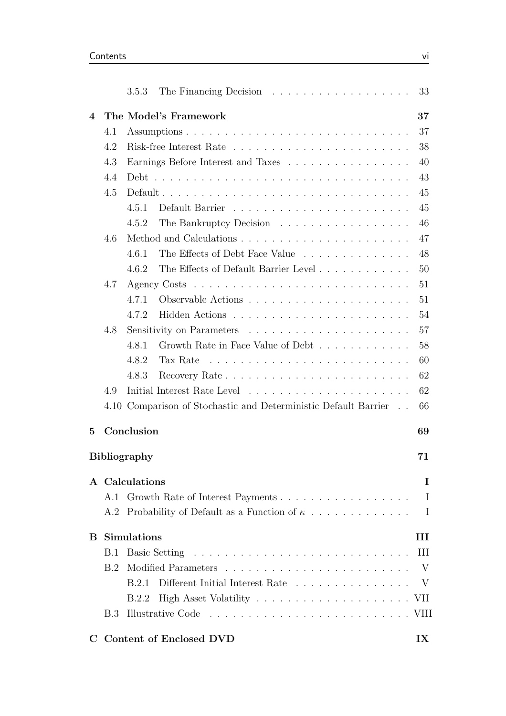|                  |     | 3.5.3                                                           | 33           |
|------------------|-----|-----------------------------------------------------------------|--------------|
| $\boldsymbol{4}$ |     | The Model's Framework                                           | 37           |
|                  | 4.1 |                                                                 | 37           |
|                  | 4.2 |                                                                 | 38           |
|                  | 4.3 | Earnings Before Interest and Taxes                              | 40           |
|                  | 4.4 | Debt                                                            | 43           |
|                  | 4.5 |                                                                 | 45           |
|                  |     | 4.5.1                                                           | 45           |
|                  |     | 4.5.2<br>The Bankruptcy Decision                                | 46           |
|                  | 4.6 |                                                                 | 47           |
|                  |     | 4.6.1<br>The Effects of Debt Face Value                         | 48           |
|                  |     | 4.6.2<br>The Effects of Default Barrier Level                   | 50           |
|                  | 4.7 |                                                                 | 51           |
|                  |     | 4.7.1                                                           | 51           |
|                  |     | 4.7.2                                                           | 54           |
|                  | 4.8 |                                                                 | 57           |
|                  |     | 4.8.1<br>Growth Rate in Face Value of Debt                      | 58           |
|                  |     | 4.8.2<br>Tax Rate                                               | 60           |
|                  |     | 4.8.3                                                           | 62           |
|                  | 4.9 |                                                                 | 62           |
|                  |     | 4.10 Comparison of Stochastic and Deterministic Default Barrier | 66           |
|                  |     |                                                                 |              |
| $\bf{5}$         |     | Conclusion                                                      | 69           |
|                  |     | <b>Bibliography</b>                                             | 71           |
|                  |     |                                                                 |              |
|                  |     | A Calculations                                                  | T.           |
|                  | A.1 | Growth Rate of Interest Payments                                | $\mathbf I$  |
|                  | A.2 | Probability of Default as a Function of $\kappa$                | <sup>1</sup> |
| B.               |     | Simulations                                                     | ш            |
|                  | B.1 |                                                                 | Ш            |
|                  | B.2 |                                                                 | V            |
|                  |     | Different Initial Interest Rate<br>B.2.1                        | $\mathbf{V}$ |
|                  |     | B.2.2                                                           |              |
|                  | B.3 |                                                                 |              |
| $\mathbf C$      |     | Content of Enclosed DVD                                         | IX           |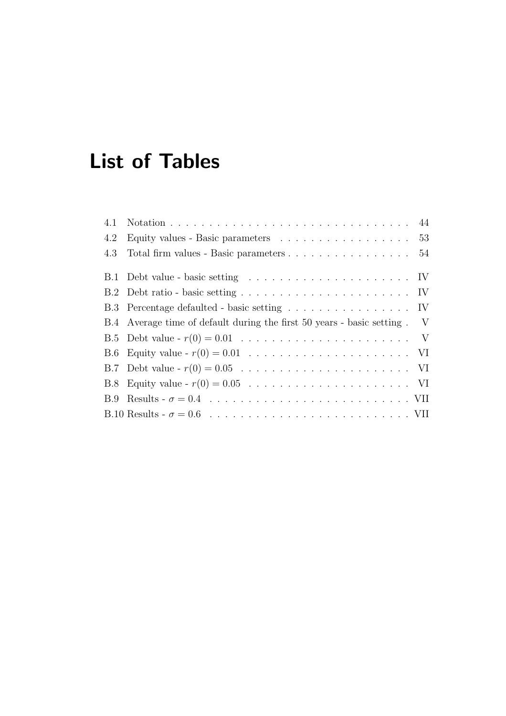# <span id="page-6-0"></span>List of Tables

| 4.2 | Equity values - Basic parameters $\ldots \ldots \ldots \ldots \ldots \ldots 53$ |  |
|-----|---------------------------------------------------------------------------------|--|
| 4.3 |                                                                                 |  |
|     |                                                                                 |  |
|     |                                                                                 |  |
|     | B.3 Percentage defaulted - basic setting IV                                     |  |
|     | B.4 Average time of default during the first 50 years - basic setting. V        |  |
|     |                                                                                 |  |
|     |                                                                                 |  |
|     |                                                                                 |  |
|     |                                                                                 |  |
|     |                                                                                 |  |
|     |                                                                                 |  |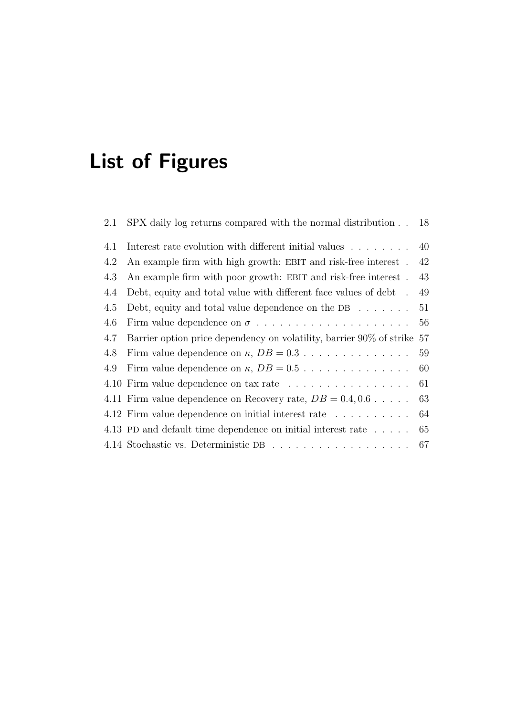# <span id="page-7-0"></span>List of Figures

| 2.1 | SPX daily log returns compared with the normal distribution 18          |     |
|-----|-------------------------------------------------------------------------|-----|
| 4.1 | Interest rate evolution with different initial values                   | 40  |
| 4.2 | An example firm with high growth: EBIT and risk-free interest.          | 42  |
| 4.3 | An example firm with poor growth: EBIT and risk-free interest.          | 43  |
| 4.4 | Debt, equity and total value with different face values of debt.        | 49  |
| 4.5 | Debt, equity and total value dependence on the DB $\dots$               | 51  |
| 4.6 |                                                                         | 56  |
| 4.7 | Barrier option price dependency on volatility, barrier 90% of strike 57 |     |
| 4.8 |                                                                         |     |
| 4.9 | Firm value dependence on $\kappa$ , $DB = 0.5$                          | -60 |
|     | 4.10 Firm value dependence on tax rate                                  | 61  |
|     | 4.11 Firm value dependence on Recovery rate, $DB = 0.4, 0.6 \ldots$ .   | 63  |
|     | 4.12 Firm value dependence on initial interest rate                     | 64  |
|     | 4.13 PD and default time dependence on initial interest rate $\dots$ .  | 65  |
|     |                                                                         |     |
|     |                                                                         |     |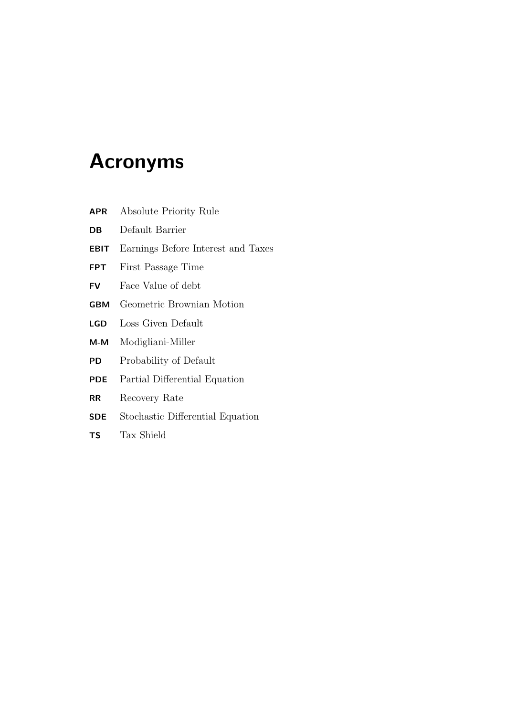# <span id="page-8-0"></span>Acronyms

<span id="page-8-11"></span><span id="page-8-10"></span><span id="page-8-9"></span><span id="page-8-8"></span><span id="page-8-7"></span><span id="page-8-6"></span><span id="page-8-5"></span><span id="page-8-4"></span><span id="page-8-3"></span><span id="page-8-2"></span><span id="page-8-1"></span>

| <b>APR</b> | Absolute Priority Rule             |
|------------|------------------------------------|
| DB.        | Default Barrier                    |
| EBIT       | Earnings Before Interest and Taxes |
| <b>FPT</b> | First Passage Time                 |
| <b>FV</b>  | Face Value of debt                 |
| <b>GBM</b> | Geometric Brownian Motion          |
| LGD        | Loss Given Default                 |
| M-M        | Modigliani-Miller                  |
| PD         | Probability of Default             |
| <b>PDE</b> | Partial Differential Equation      |
| <b>RR</b>  | Recovery Rate                      |
| <b>SDE</b> | Stochastic Differential Equation   |
| TS         | Tax Shield                         |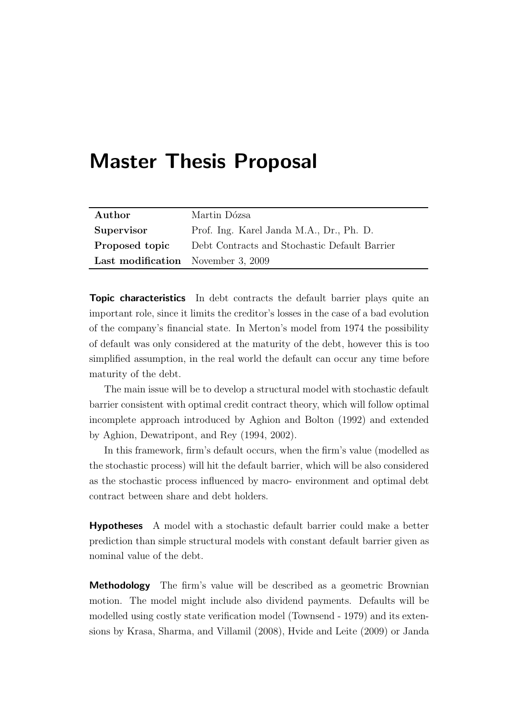## <span id="page-9-0"></span>Master Thesis Proposal

| Author                                    | Martin Dózsa                                  |
|-------------------------------------------|-----------------------------------------------|
| Supervisor                                | Prof. Ing. Karel Janda M.A., Dr., Ph. D.      |
| Proposed topic                            | Debt Contracts and Stochastic Default Barrier |
| <b>Last modification</b> November 3, 2009 |                                               |

**Topic characteristics** In debt contracts the default barrier plays quite an important role, since it limits the creditor's losses in the case of a bad evolution of the company's financial state. In Merton's model from 1974 the possibility of default was only considered at the maturity of the debt, however this is too simplified assumption, in the real world the default can occur any time before maturity of the debt.

The main issue will be to develop a structural model with stochastic default barrier consistent with optimal credit contract theory, which will follow optimal incomplete approach introduced by Aghion and Bolton (1992) and extended by Aghion, Dewatripont, and Rey (1994, 2002).

In this framework, firm's default occurs, when the firm's value (modelled as the stochastic process) will hit the default barrier, which will be also considered as the stochastic process influenced by macro- environment and optimal debt contract between share and debt holders.

Hypotheses A model with a stochastic default barrier could make a better prediction than simple structural models with constant default barrier given as nominal value of the debt.

**Methodology** The firm's value will be described as a geometric Brownian motion. The model might include also dividend payments. Defaults will be modelled using costly state verification model (Townsend - 1979) and its extensions by Krasa, Sharma, and Villamil (2008), Hvide and Leite (2009) or Janda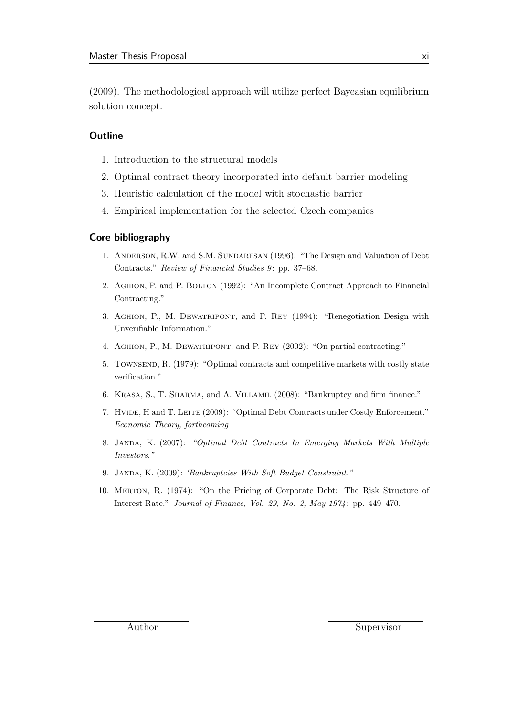(2009). The methodological approach will utilize perfect Bayeasian equilibrium solution concept.

#### **Outline**

- 1. Introduction to the structural models
- 2. Optimal contract theory incorporated into default barrier modeling
- 3. Heuristic calculation of the model with stochastic barrier
- 4. Empirical implementation for the selected Czech companies

#### Core bibliography

- 1. Anderson, R.W. and S.M. Sundaresan (1996): "The Design and Valuation of Debt Contracts." Review of Financial Studies 9: pp. 37–68.
- 2. Aghion, P. and P. Bolton (1992): "An Incomplete Contract Approach to Financial Contracting."
- 3. Aghion, P., M. Dewatripont, and P. Rey (1994): "Renegotiation Design with Unverifiable Information."
- 4. Aghion, P., M. Dewatripont, and P. Rey (2002): "On partial contracting."
- 5. Townsend, R. (1979): "Optimal contracts and competitive markets with costly state verification."
- 6. Krasa, S., T. Sharma, and A. Villamil (2008): "Bankruptcy and firm finance."
- 7. Hvide, H and T. Leite (2009): "Optimal Debt Contracts under Costly Enforcement." Economic Theory, forthcoming
- 8. Janda, K. (2007): "Optimal Debt Contracts In Emerging Markets With Multiple Investors."
- 9. Janda, K. (2009): 'Bankruptcies With Soft Budget Constraint."
- 10. Merton, R. (1974): "On the Pricing of Corporate Debt: The Risk Structure of Interest Rate." Journal of Finance, Vol. 29, No. 2, May 1974: pp. 449–470.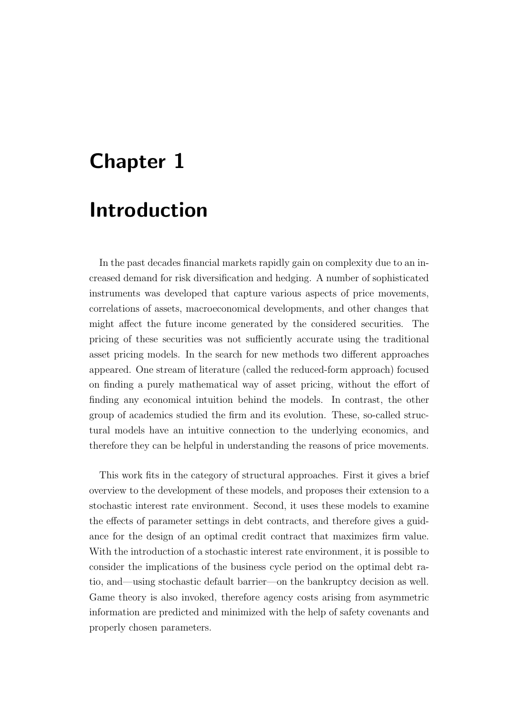## <span id="page-11-0"></span>Chapter 1

## Introduction

In the past decades financial markets rapidly gain on complexity due to an increased demand for risk diversification and hedging. A number of sophisticated instruments was developed that capture various aspects of price movements, correlations of assets, macroeconomical developments, and other changes that might affect the future income generated by the considered securities. The pricing of these securities was not sufficiently accurate using the traditional asset pricing models. In the search for new methods two different approaches appeared. One stream of literature (called the reduced-form approach) focused on finding a purely mathematical way of asset pricing, without the effort of finding any economical intuition behind the models. In contrast, the other group of academics studied the firm and its evolution. These, so-called structural models have an intuitive connection to the underlying economics, and therefore they can be helpful in understanding the reasons of price movements.

This work fits in the category of structural approaches. First it gives a brief overview to the development of these models, and proposes their extension to a stochastic interest rate environment. Second, it uses these models to examine the effects of parameter settings in debt contracts, and therefore gives a guidance for the design of an optimal credit contract that maximizes firm value. With the introduction of a stochastic interest rate environment, it is possible to consider the implications of the business cycle period on the optimal debt ratio, and—using stochastic default barrier—on the bankruptcy decision as well. Game theory is also invoked, therefore agency costs arising from asymmetric information are predicted and minimized with the help of safety covenants and properly chosen parameters.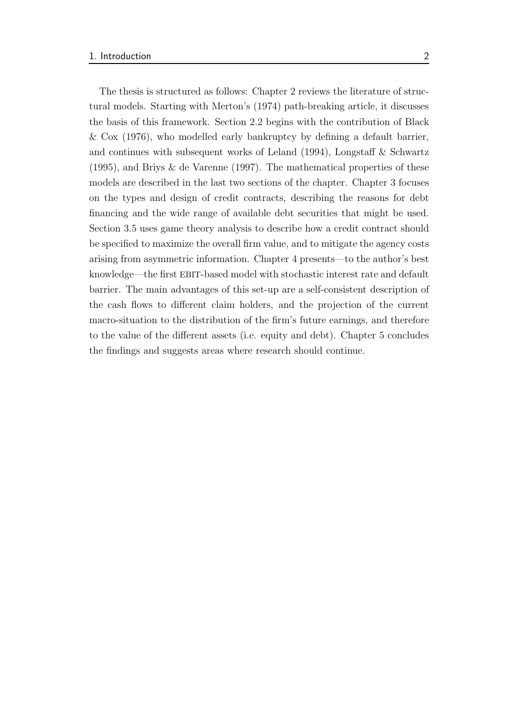The thesis is structured as follows: [Chapter 2](#page-13-0) reviews the literature of structural models. Starting with [Merton](#page-84-0)'s [\(1974](#page-84-0)) path-breaking article, it discusses the ba[sis of this framework.](#page-81-0) [Section 2.2](#page-18-0) [begins with the contribution](#page-81-0) of Black & Cox [\(1976\)](#page-81-0), who modelled early bankruptcy by defining a default barrier, and continues with subsequent works of Leland  $(1994)$ , Longstaff [& Schwartz](#page-84-2)  $(1995)$ , and Briys & de Varenne  $(1997)$ . The mathematical properties of these models are described in the last two sections of the chapter. [Chapter 3](#page-31-0) focuses on the types and design of credit contracts, describing the reasons for debt financing and the wide range of available debt securities that might be used. [Section 3.5](#page-36-0) uses game theory analysis to describe how a credit contract should be specified to maximize the overall firm value, and to mitigate the agency costs arising from asymmetric information. [Chapter 4](#page-47-0) presents—to the author's best knowledge—the first [EBIT](#page-8-1)-based model with stochastic interest rate and default barrier. The main advantages of this set-up are a self-consistent description of the cash flows to different claim holders, and the projection of the current macro-situation to the distribution of the firm's future earnings, and therefore to the value of the different assets (i.e. equity and debt). [Chapter](#page-79-0) 5 concludes the findings and suggests areas where research should continue.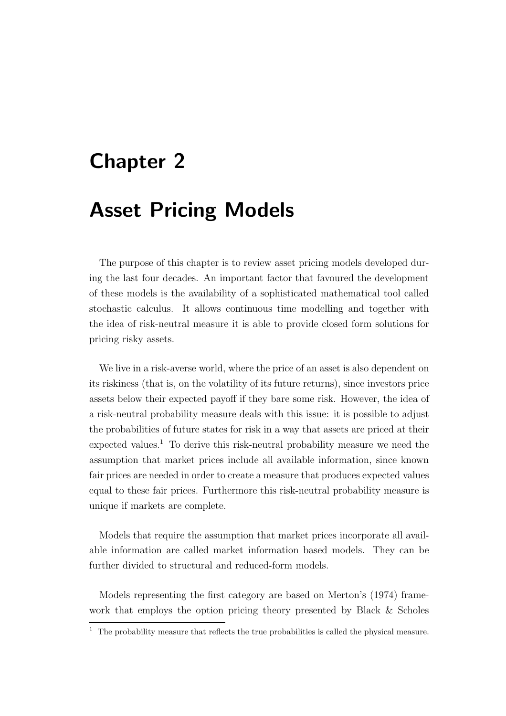## <span id="page-13-0"></span>Chapter 2

## Asset Pricing Models

The purpose of this chapter is to review asset pricing models developed during the last four decades. An important factor that favoured the development of these models is the availability of a sophisticated mathematical tool called stochastic calculus. It allows continuous time modelling and together with the idea of risk-neutral measure it is able to provide closed form solutions for pricing risky assets.

We live in a risk-averse world, where the price of an asset is also dependent on its riskiness (that is, on the volatility of its future returns), since investors price assets below their expected payoff if they bare some risk. However, the idea of a risk-neutral probability measure deals with this issue: it is possible to adjust the probabilities of future states for risk in a way that assets are priced at their expected values.<sup>[1](#page-13-1)</sup> To derive this risk-neutral probability measure we need the assumption that market prices include all available information, since known fair prices are needed in order to create a measure that produces expected values equal to these fair prices. Furthermore this risk-neutral probability measure is unique if markets are complete.

Models that require the assumption that market prices incorporate all available information are called market information based models. They can be further divided to structural and reduced-form models.

Models representing the first category are based on [Merton'](#page-84-0)s [\(1974](#page-84-0)) framework that employs the option pricing theory presented by [Black & Scholes](#page-81-1)

<span id="page-13-1"></span> $1$  The probability measure that reflects the true probabilities is called the physical measure.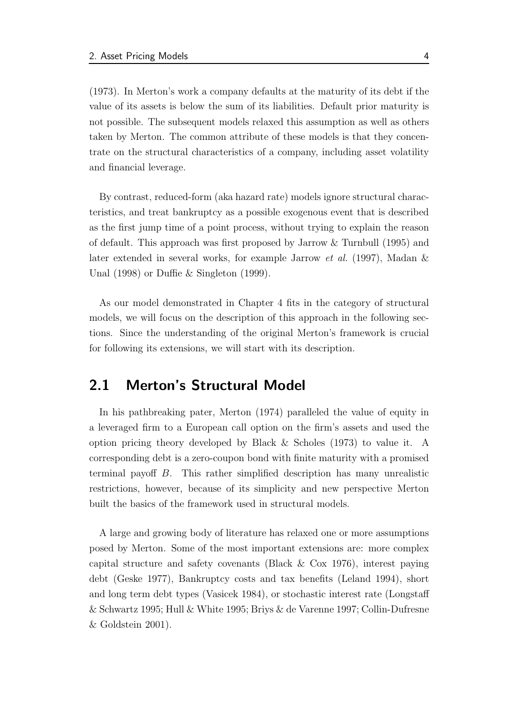[\(1973\)](#page-81-1). In Merton's work a company defaults at the maturity of its debt if the value of its assets is below the sum of its liabilities. Default prior maturity is not possible. The subsequent models relaxed this assumption as well as others taken by Merton. The common attribute of these models is that they concentrate on the structural characteristics of a company, including asset volatility and financial leverage.

By contrast, reduced-form (aka hazard rate) models ignore structural characteristics, and treat bankruptcy as a possible exogenous event that is described as the first jump time of a point process, without trying to explain the reason of default. This approach was first proposed by [Jarrow & Turnbull](#page-83-0) [\(1995\)](#page-83-0) and later [extended in several works, for example](#page-84-3) [Jarrow](#page-83-1) et al. [\(1997](#page-83-1)), Madan & Unal [\(1998](#page-84-3)) or [Duffie & Singleton \(1999\)](#page-82-1).

As our model demonstrated in Chapter [4](#page-47-0) fits in the category of structural models, we will focus on the description of this approach in the following sections. Since the understanding of the original [Merton'](#page-84-0)s framework is crucial for following its extensions, we will start with its description.

### <span id="page-14-0"></span>2.1 Merton's Structural Model

In his pathbreaking pater, [Merton \(1974](#page-84-0)) paralleled the value of equity in a leveraged firm to a European call option on the firm's assets and used the option pricing theory developed by [Black & Scholes \(1973](#page-81-1)) to value it. A corresponding debt is a zero-coupon bond with finite maturity with a promised terminal payoff B. This rather simplified description has many unrealistic restrictions, however, because of its simplicity and new perspective Merton built the basics of the framework used in structural models.

A large and growing body of literature has relaxed one or more assumptions posed by Merton. Some of the most important extensions are: more complex capital structure and safety covenants [\(Black & Cox 1976\)](#page-81-0), interest paying debt [\(Geske 1977\)](#page-83-2), Bankruptcy costs and tax benefits [\(Leland 1994\)](#page-84-1), short and long t[erm debt types](#page-84-2) [\(Vasicek 1984](#page-85-0)[\), or stochastic interest rate \(](#page-84-2)Longstaff & Schwartz [1995](#page-84-2)[;](#page-82-2) [Hull & White 1995](#page-83-3)[;](#page-82-2) [Briys & de Varenne 1997](#page-82-0)[;](#page-82-2) Collin-Dufresne & Goldstein [2001](#page-82-2)).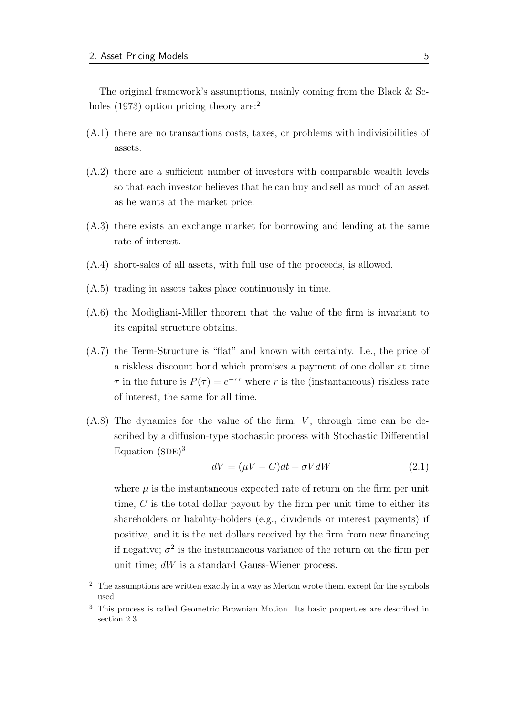T[he original framework's assumptions, mainly coming from the](#page-81-1) Black & Sc-holes [\(1973](#page-81-1)) option pricing theory are:<sup>[2](#page-15-0)</sup>

- (A.1) there are no transactions costs, taxes, or problems with indivisibilities of assets.
- (A.2) there are a sufficient number of investors with comparable wealth levels so that each investor believes that he can buy and sell as much of an asset as he wants at the market price.
- (A.3) there exists an exchange market for borrowing and lending at the same rate of interest.
- (A.4) short-sales of all assets, with full use of the proceeds, is allowed.
- (A.5) trading in assets takes place continuously in time.
- (A.6) the Modigliani-Miller theorem that the value of the firm is invariant to its capital structure obtains.
- (A.7) the Term-Structure is "flat" and known with certainty. I.e., the price of a riskless discount bond which promises a payment of one dollar at time  $\tau$  in the future is  $P(\tau) = e^{-r\tau}$  where r is the (instantaneous) riskless rate of interest, the same for all time.
- $(A.8)$  The dynamics for the value of the firm, V, through time can be described by a diffusion-type stochastic process with Stochastic Differential Equation  $(SDE)^3$  $(SDE)^3$  $(SDE)^3$  $(SDE)^3$

<span id="page-15-2"></span>
$$
dV = (\mu V - C)dt + \sigma VdW
$$
\n(2.1)

where  $\mu$  is the instantaneous expected rate of return on the firm per unit time,  $C$  is the total dollar payout by the firm per unit time to either its shareholders or liability-holders (e.g., dividends or interest payments) if positive, and it is the net dollars received by the firm from new financing if negative;  $\sigma^2$  is the instantaneous variance of the return on the firm per unit time;  $dW$  is a standard Gauss-Wiener process.

<span id="page-15-0"></span><sup>&</sup>lt;sup>2</sup> The assumptions are written exactly in a way as Merton wrote them, except for the symbols used

<span id="page-15-1"></span><sup>3</sup> This process is called Geometric Brownian Motion. Its basic properties are described in section [2.3.](#page-26-0)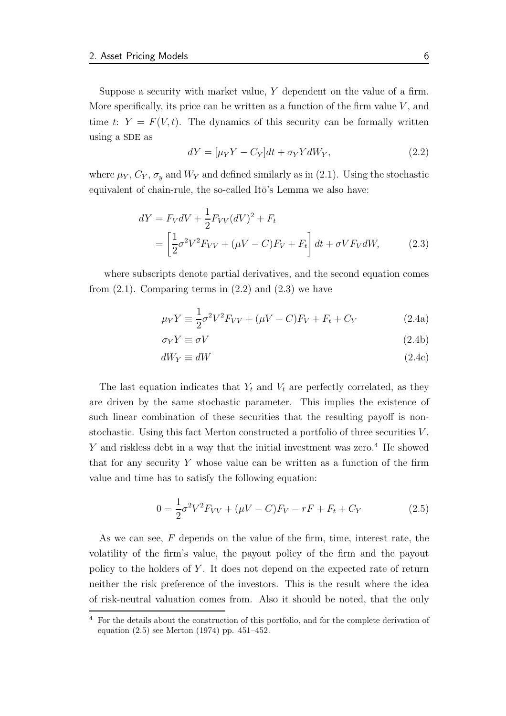Suppose a security with market value, Y dependent on the value of a firm. More specifically, its price can be written as a function of the firm value  $V$ , and time t:  $Y = F(V, t)$ . The dynamics of this security can be formally written using a [SDE](#page-8-4) as

<span id="page-16-1"></span><span id="page-16-0"></span>
$$
dY = \left[\mu_Y Y - C_Y\right] dt + \sigma_Y Y dW_Y,\tag{2.2}
$$

where  $\mu_Y$ ,  $C_Y$ ,  $\sigma_y$  and  $W_Y$  and defined similarly as in [\(2.1\)](#page-15-2). Using the stochastic equivalent of chain-rule, the so-called Itō's Lemma we also have:

$$
dY = F_V dV + \frac{1}{2} F_{VV} (dV)^2 + F_t
$$
  
=  $\left[ \frac{1}{2} \sigma^2 V^2 F_{VV} + (\mu V - C) F_V + F_t \right] dt + \sigma V F_V dW,$  (2.3)

where subscripts denote partial derivatives, and the second equation comes from  $(2.1)$ . Comparing terms in  $(2.2)$  and  $(2.3)$  we have

$$
\mu_Y Y \equiv \frac{1}{2} \sigma^2 V^2 F_{VV} + (\mu V - C) F_V + F_t + C_Y \tag{2.4a}
$$

$$
\sigma_Y Y \equiv \sigma V \tag{2.4b}
$$

$$
dW_Y \equiv dW \tag{2.4c}
$$

The last equation indicates that  $Y_t$  and  $V_t$  are perfectly correlated, as they are driven by the same stochastic parameter. This implies the existence of such linear combination of these securities that the resulting payoff is nonstochastic. Using this fact Merton constructed a portfolio of three securities  $V$ ,  $Y$  and riskless debt in a way that the initial investment was zero.<sup>[4](#page-16-2)</sup> He showed that for any security  $Y$  whose value can be written as a function of the firm value and time has to satisfy the following equation:

<span id="page-16-3"></span>
$$
0 = \frac{1}{2}\sigma^2 V^2 F_{VV} + (\mu V - C)F_V - rF + F_t + C_Y \tag{2.5}
$$

As we can see,  $F$  depends on the value of the firm, time, interest rate, the volatility of the firm's value, the payout policy of the firm and the payout policy to the holders of  $Y$ . It does not depend on the expected rate of return neither the risk preference of the investors. This is the result where the idea of risk-neutral valuation comes from. Also it should be noted, that the only

<span id="page-16-2"></span><sup>4</sup> For the details about the construction of this portfolio, and for the complete derivation of equation [\(2.5\)](#page-16-3) see [Merton \(1974\)](#page-84-0) pp. 451–452.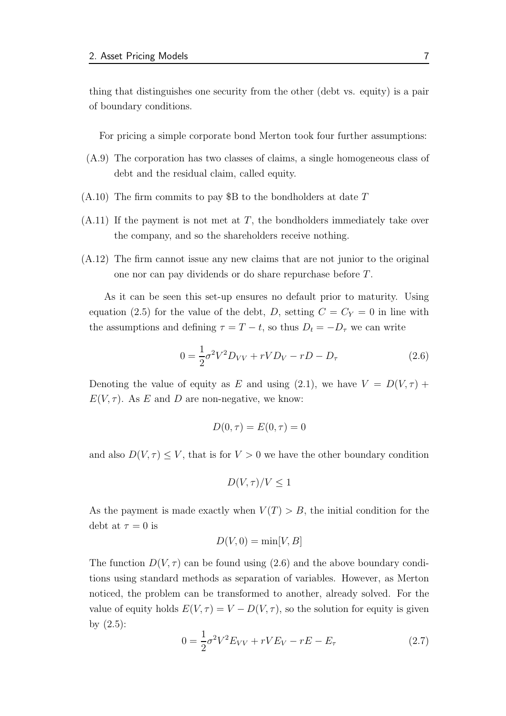thing that distinguishes one security from the other (debt vs. equity) is a pair of boundary conditions.

For pricing a simple corporate bond Merton took four further assumptions:

- (A.9) The corporation has two classes of claims, a single homogeneous class of debt and the residual claim, called equity.
- $(A.10)$  The firm commits to pay \$B to the bondholders at date T
- $(A.11)$  If the payment is not met at T, the bondholders immediately take over the company, and so the shareholders receive nothing.
- (A.12) The firm cannot issue any new claims that are not junior to the original one nor can pay dividends or do share repurchase before T.

As it can be seen this set-up ensures no default prior to maturity. Using equation [\(2.5\)](#page-16-3) for the value of the debt, D, setting  $C = C_Y = 0$  in line with the assumptions and defining  $\tau = T - t$ , so thus  $D_t = -D_\tau$  we can write

<span id="page-17-0"></span>
$$
0 = \frac{1}{2}\sigma^2 V^2 D_{VV} + rVD_V - rD - D_\tau
$$
\n(2.6)

Denoting the value of equity as E and using [\(2.1\)](#page-15-2), we have  $V = D(V, \tau)$  +  $E(V, \tau)$ . As E and D are non-negative, we know:

$$
D(0,\tau) = E(0,\tau) = 0
$$

and also  $D(V, \tau) \leq V$ , that is for  $V > 0$  we have the other boundary condition

$$
D(V,\tau)/V\leq 1
$$

As the payment is made exactly when  $V(T) > B$ , the initial condition for the debt at  $\tau = 0$  is

$$
D(V,0) = \min[V, B]
$$

The function  $D(V, \tau)$  can be found using [\(2.6\)](#page-17-0) and the above boundary conditions using standard methods as separation of variables. However, as Merton noticed, the problem can be transformed to another, already solved. For the value of equity holds  $E(V, \tau) = V - D(V, \tau)$ , so the solution for equity is given by [\(2.5\)](#page-16-3):

$$
0 = \frac{1}{2}\sigma^2 V^2 E_{VV} + rVE_V - rE - E_\tau
$$
\n(2.7)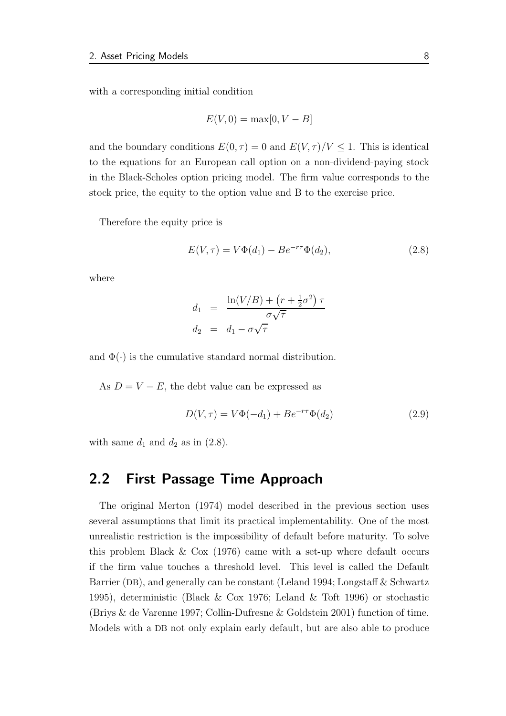with a corresponding initial condition

$$
E(V,0) = \max[0, V - B]
$$

and the boundary conditions  $E(0, \tau) = 0$  and  $E(V, \tau)/V \leq 1$ . This is identical to the equations for an European call option on a non-dividend-paying stock in the Black-Scholes option pricing model. The firm value corresponds to the stock price, the equity to the option value and B to the exercise price.

Therefore the equity price is

<span id="page-18-1"></span>
$$
E(V,\tau) = V\Phi(d_1) - Be^{-r\tau}\Phi(d_2),
$$
\n(2.8)

where

$$
d_1 = \frac{\ln(V/B) + (r + \frac{1}{2}\sigma^2)\tau}{\sigma\sqrt{\tau}}
$$
  

$$
d_2 = d_1 - \sigma\sqrt{\tau}
$$

and  $\Phi(\cdot)$  is the cumulative standard normal distribution.

As  $D = V - E$ , the debt value can be expressed as

$$
D(V, \tau) = V\Phi(-d_1) + Be^{-r\tau}\Phi(d_2)
$$
\n(2.9)

<span id="page-18-0"></span>with same  $d_1$  and  $d_2$  as in [\(2.8\)](#page-18-1).

### 2.2 First Passage Time Approach

The original [Merton \(1974](#page-84-0)) model described in the previous section uses several assumptions that limit its practical implementability. One of the most unrealistic restriction is the impossibility of default before maturity. To solve this problem Black  $& \text{Cox } (1976)$  came with a set-up where default occurs if the firm value touches a threshold level. This level is called the Default Barrier ([DB](#page-8-2)), and generally can be constant [\(Leland 1994;](#page-84-1) [Longstaff & Schwartz](#page-84-2) [1995](#page-84-2)), deterministic [\(Black & Cox 1976](#page-81-0); [Leland & Toft 1996\)](#page-84-4) or stochastic [\(Briys & de Varenne 1997](#page-82-0); [Collin-Dufresne & Goldstein 2001\)](#page-82-2) function of time. Models with a [DB](#page-8-2) not only explain early default, but are also able to produce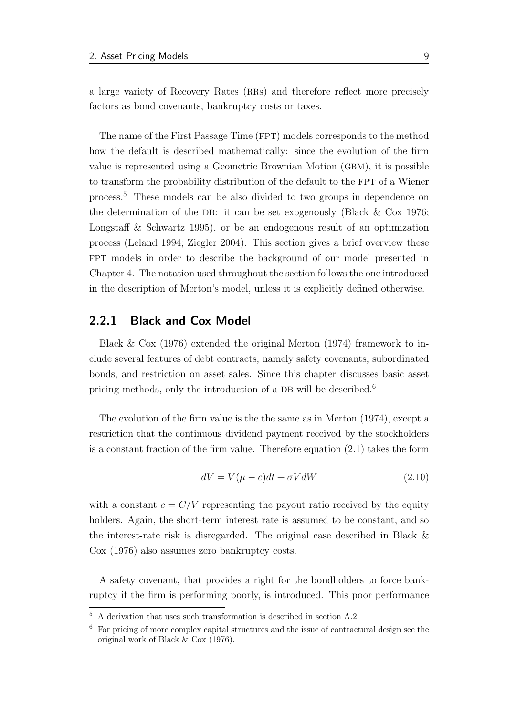a large variety of Recovery Rates ([RR](#page-8-5)s) and therefore reflect more precisely factors as bond covenants, bankruptcy costs or taxes.

The name of the First Passage Time ([FPT](#page-8-6)) models corresponds to the method how the default is described mathematically: since the evolution of the firm value is represented using a Geometric Brownian Motion ([GBM](#page-8-7)), it is possible to transform the probability distribution of the default to the [FPT](#page-8-6) of a Wiener process.[5](#page-19-1) These models can be also divided to two groups in dependence on the determination of the [DB](#page-8-2): it can be set exogenously [\(Black & Cox 1976](#page-81-0); [Longstaff & Schwartz 1995](#page-84-2)), or be an endogenous result of an optimization process [\(Leland 1994;](#page-84-1) [Ziegler 2004\)](#page-85-1). This section gives a brief overview these [FPT](#page-8-6) models in order to describe the background of our model presented in Chapter [4.](#page-47-0) The notation used throughout the section follows the one introduced in the description of Merton's model, unless it is explicitly defined otherwise.

#### <span id="page-19-0"></span>2.2.1 Black and Cox Model

Black & Cox [\(1976\)](#page-81-0) extended the original [Merton \(1974\)](#page-84-0) framework to include several features of debt contracts, namely safety covenants, subordinated bonds, and restriction on asset sales. Since this chapter discusses basic asset pricing methods, only the introduction of a [DB](#page-8-2) will be described.[6](#page-19-2)

The evolution of the firm value is the the same as in [Merton \(1974](#page-84-0)), except a restriction that the continuous dividend payment received by the stockholders is a constant fraction of the firm value. Therefore equation [\(2.1\)](#page-15-2) takes the form

<span id="page-19-3"></span>
$$
dV = V(\mu - c)dt + \sigma VdW \qquad (2.10)
$$

with a constant  $c = C/V$  representing the payout ratio received by the equity holders. Again, the short-term interest rate is assumed to be constant, and so the [interest-rate risk is disregarded. The original case described](#page-81-0) in Black & Cox [\(1976](#page-81-0)) also assumes zero bankruptcy costs.

A safety covenant, that provides a right for the bondholders to force bankruptcy if the firm is performing poorly, is introduced. This poor performance

<sup>5</sup> A derivation that uses such transformation is described in section [A.2](#page-86-2)

<span id="page-19-2"></span><span id="page-19-1"></span> $6\degree$  For pricing of more complex capital structures and the issue of contractural design see the original work of [Black & Cox \(1976\)](#page-81-0).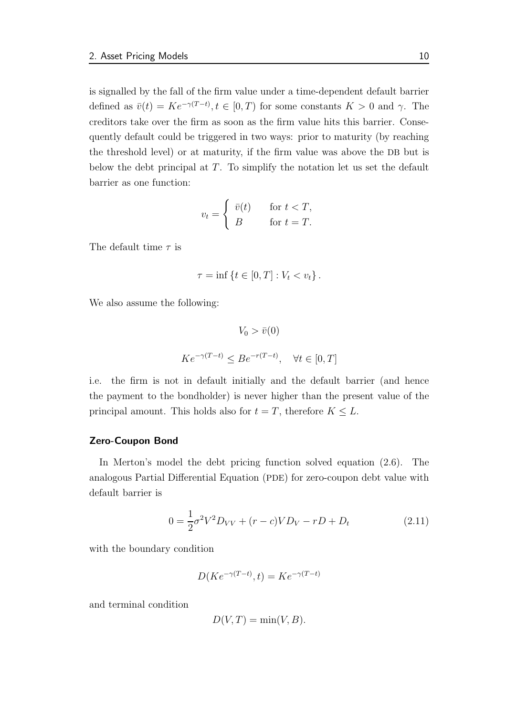is signalled by the fall of the firm value under a time-dependent default barrier defined as  $\bar{v}(t) = Ke^{-\gamma(T-t)}, t \in [0, T)$  for some constants  $K > 0$  and  $\gamma$ . The creditors take over the firm as soon as the firm value hits this barrier. Consequently default could be triggered in two ways: prior to maturity (by reaching the threshold level) or at maturity, if the firm value was above the [DB](#page-8-2) but is below the debt principal at  $T$ . To simplify the notation let us set the default barrier as one function:

$$
v_t = \begin{cases} \bar{v}(t) & \text{for } t < T, \\ B & \text{for } t = T. \end{cases}
$$

The default time  $\tau$  is

$$
\tau = \inf \{ t \in [0, T] : V_t < v_t \} \, .
$$

We also assume the following:

$$
V_0 > \bar{v}(0)
$$
  

$$
Ke^{-\gamma(T-t)} \le Be^{-r(T-t)}, \quad \forall t \in [0, T]
$$

i.e. the firm is not in default initially and the default barrier (and hence the payment to the bondholder) is never higher than the present value of the principal amount. This holds also for  $t = T$ , therefore  $K \leq L$ .

#### Zero-Coupon Bond

In Merton's model the debt pricing function solved equation [\(2.6\)](#page-17-0). The analogous Partial Differential Equation ([PDE](#page-8-8)) for zero-coupon debt value with default barrier is

<span id="page-20-0"></span>
$$
0 = \frac{1}{2}\sigma^2 V^2 D_{VV} + (r - c)VD_V - rD + D_t \tag{2.11}
$$

with the boundary condition

$$
D(Ke^{-\gamma(T-t)}, t) = Ke^{-\gamma(T-t)}
$$

and terminal condition

$$
D(V,T) = \min(V,B)
$$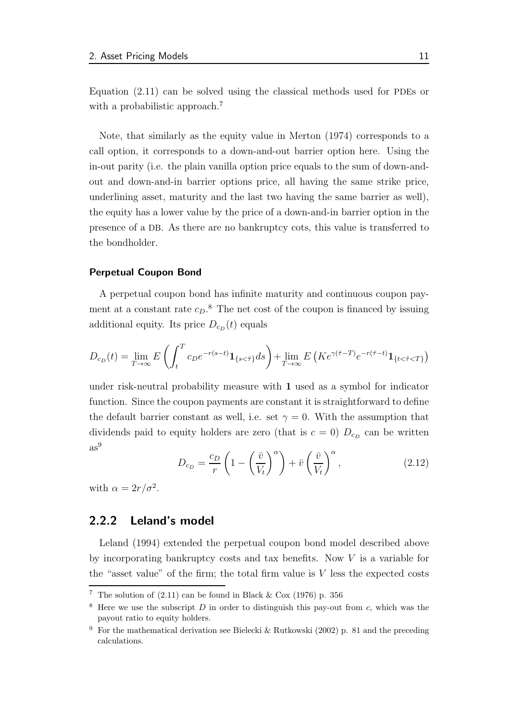Equation [\(2.11\)](#page-20-0) can be solved using the classical methods used for [PDE](#page-8-8)s or with a probabilistic approach.<sup>[7](#page-21-1)</sup>

Note, that similarly as the equity value in [Merton \(1974](#page-84-0)) corresponds to a call option, it corresponds to a down-and-out barrier option here. Using the in-out parity (i.e. the plain vanilla option price equals to the sum of down-andout and down-and-in barrier options price, all having the same strike price, underlining asset, maturity and the last two having the same barrier as well), the equity has a lower value by the price of a down-and-in barrier option in the presence of a [DB](#page-8-2). As there are no bankruptcy cots, this value is transferred to the bondholder.

#### Perpetual Coupon Bond

A perpetual coupon bond has infinite maturity and continuous coupon payment at a constant rate  $c_D$ .<sup>[8](#page-21-2)</sup> The net cost of the coupon is financed by issuing additional equity. Its price  $D_{c_D}(t)$  equals

$$
D_{c_D}(t) = \lim_{T \to \infty} E\left(\int_t^T c_D e^{-r(s-t)} \mathbf{1}_{\{s < \bar{\tau}\}} ds\right) + \lim_{T \to \infty} E\left(Ke^{\gamma(\bar{\tau}-T)} e^{-r(\bar{\tau}-t)} \mathbf{1}_{\{t < \bar{\tau} < T\}}\right)
$$

under risk-neutral probability measure with 1 used as a symbol for indicator function. Since the coupon payments are constant it is straightforward to define the default barrier constant as well, i.e. set  $\gamma = 0$ . With the assumption that dividends paid to equity holders are zero (that is  $c = 0$ )  $D_{c_D}$  can be written  $as<sup>9</sup>$  $as<sup>9</sup>$  $as<sup>9</sup>$ 

<span id="page-21-4"></span>
$$
D_{c_D} = \frac{c_D}{r} \left( 1 - \left(\frac{\bar{v}}{V_t}\right)^{\alpha} \right) + \bar{v} \left(\frac{\bar{v}}{V_t}\right)^{\alpha},\tag{2.12}
$$

<span id="page-21-0"></span>with  $\alpha = 2r/\sigma^2$ .

#### 2.2.2 Leland's model

Leland [\(1994\)](#page-84-1) extended the perpetual coupon bond model described above by incorporating bankruptcy costs and tax benefits. Now  $V$  is a variable for the "asset value" of the firm; the total firm value is  $V$  less the expected costs

<sup>&</sup>lt;sup>7</sup> The solution of  $(2.11)$  can be found in Black & Cox  $(1976)$  p. 356

<span id="page-21-2"></span><span id="page-21-1"></span><sup>&</sup>lt;sup>8</sup> Here we use the subscript D in order to distinguish this pay-out from c, which was the payout ratio to equity holders.

<span id="page-21-3"></span><sup>9</sup> For the mathematical derivation see [Bielecki & Rutkowski \(2002](#page-81-2)) p. 81 and the preceding calculations.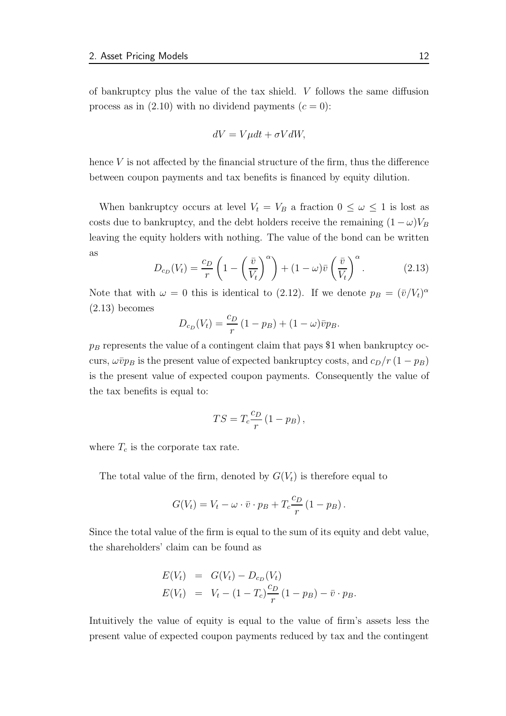of bankruptcy plus the value of the tax shield. V follows the same diffusion process as in  $(2.10)$  with no dividend payments  $(c = 0)$ :

$$
dV = V\mu dt + \sigma V dW,
$$

hence  $V$  is not affected by the financial structure of the firm, thus the difference between coupon payments and tax benefits is financed by equity dilution.

When bankruptcy occurs at level  $V_t = V_B$  a fraction  $0 \leq \omega \leq 1$  is lost as costs due to bankruptcy, and the debt holders receive the remaining  $(1 - \omega)V_B$ leaving the equity holders with nothing. The value of the bond can be written as

<span id="page-22-0"></span>
$$
D_{c_D}(V_t) = \frac{c_D}{r} \left( 1 - \left(\frac{\bar{v}}{V_t}\right)^{\alpha} \right) + (1 - \omega)\bar{v} \left(\frac{\bar{v}}{V_t}\right)^{\alpha}.
$$
 (2.13)

Note that with  $\omega = 0$  this is identical to [\(2.12\)](#page-21-4). If we denote  $p_B = (\bar{v}/V_t)^{\alpha}$ [\(2.13\)](#page-22-0) becomes

$$
D_{c_D}(V_t) = \frac{c_D}{r} (1 - p_B) + (1 - \omega)\overline{v}p_B.
$$

 $p_B$  represents the value of a contingent claim that pays \$1 when bankruptcy occurs,  $\omega \bar{v} p_B$  is the present value of expected bankruptcy costs, and  $c_D/r (1 - p_B)$ is the present value of expected coupon payments. Consequently the value of the tax benefits is equal to:

$$
TS = T_c \frac{c_D}{r} \left( 1 - p_B \right),
$$

where  $T_c$  is the corporate tax rate.

The total value of the firm, denoted by  $G(V_t)$  is therefore equal to

$$
G(V_t) = V_t - \omega \cdot \bar{v} \cdot p_B + T_c \frac{c_D}{r} (1 - p_B).
$$

Since the total value of the firm is equal to the sum of its equity and debt value, the shareholders' claim can be found as

$$
E(V_t) = G(V_t) - D_{c_D}(V_t)
$$
  
\n
$$
E(V_t) = V_t - (1 - T_c) \frac{c_D}{r} (1 - p_B) - \bar{v} \cdot p_B.
$$

Intuitively the value of equity is equal to the value of firm's assets less the present value of expected coupon payments reduced by tax and the contingent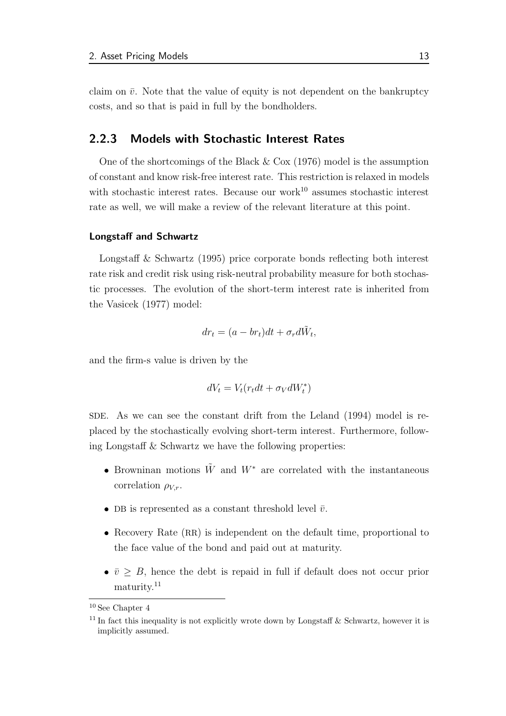claim on  $\bar{v}$ . Note that the value of equity is not dependent on the bankruptcy costs, and so that is paid in full by the bondholders.

#### <span id="page-23-0"></span>2.2.3 Models with Stochastic Interest Rates

One of the shortcomings of the Black  $& \text{Cox} (1976) \text{ model is the assumption}$ of constant and know risk-free interest rate. This restriction is relaxed in models with stochastic interest rates. Because our work<sup>[10](#page-23-1)</sup> assumes stochastic interest rate as well, we will make a review of the relevant literature at this point.

#### Longstaff and Schwartz

Longstaff & Schwartz [\(1995\)](#page-84-2) price corporate bonds reflecting both interest rate risk and credit risk using risk-neutral probability measure for both stochastic processes. The evolution of the short-term interest rate is inherited from the [Vasicek \(1977](#page-85-2)) model:

$$
dr_t = (a - br_t)dt + \sigma_r d\tilde{W}_t,
$$

and the firm-s value is driven by the

$$
dV_t = V_t(r_t dt + \sigma_V dW_t^*)
$$

[SDE](#page-8-4). As we can see the constant drift from the [Leland \(1994](#page-84-1)) model is replaced by the stochastically evolving short-term interest. Furthermore, following [Longstaff & Schwartz](#page-84-2) we have the following properties:

- Browninan motions  $\tilde{W}$  and  $W^*$  are correlated with the instantaneous correlation  $\rho_{V,r}$ .
- [DB](#page-8-2) is represented as a constant threshold level  $\bar{v}$ .
- Recovery Rate ([RR](#page-8-5)) is independent on the default time, proportional to the face value of the bond and paid out at maturity.
- $\bar{v} \geq B$ , hence the debt is repaid in full if default does not occur prior maturity.<sup>[11](#page-23-2)</sup>

<sup>10</sup> See Chapter [4](#page-47-0)

<span id="page-23-2"></span><span id="page-23-1"></span><sup>&</sup>lt;sup>11</sup> In fact this inequality is not explicitly wrote down by [Longstaff & Schwartz](#page-84-2), however it is implicitly assumed.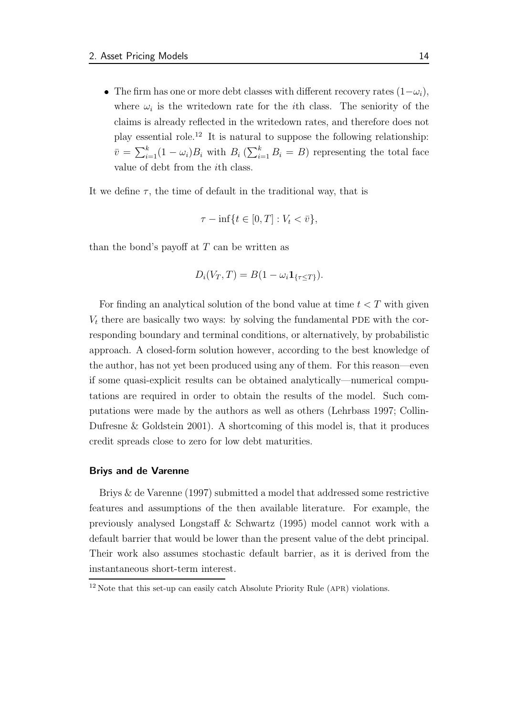• The firm has one or more debt classes with different recovery rates  $(1-\omega_i)$ , where  $\omega_i$  is the writedown rate for the *i*th class. The seniority of the claims is already reflected in the writedown rates, and therefore does not play essential role.[12](#page-24-0) It is natural to suppose the following relationship:  $\bar{v} = \sum_{i=1}^{k} (1 - \omega_i) B_i$  with  $B_i$  ( $\sum_{i=1}^{k} B_i = B$ ) representing the total face value of debt from the ith class.

It we define  $\tau$ , the time of default in the traditional way, that is

$$
\tau - \inf\{t \in [0, T] : V_t < \bar{v}\},\
$$

than the bond's payoff at  $T$  can be written as

$$
D_i(V_T, T) = B(1 - \omega_i \mathbf{1}_{\{\tau \leq T\}}).
$$

For finding an analytical solution of the bond value at time  $t < T$  with given  $V_t$  there are basically two ways: by solving the fundamental [PDE](#page-8-8) with the corresponding boundary and terminal conditions, or alternatively, by probabilistic approach. A closed-form solution however, according to the best knowledge of the author, has not yet been produced using any of them. For this reason—even if some quasi-explicit results can be obtained analytically—numerical computations are required in order to obtain the results of the model. Such computations were made [by the authors as well as others](#page-82-2) [\(Lehrbass 1997](#page-84-5)[;](#page-82-2) Collin-Dufresne & Goldstein [2001](#page-82-2)). A shortcoming of this model is, that it produces credit spreads close to zero for low debt maturities.

#### Briys and de Varenne

Briys & de Varenne [\(1997](#page-82-0)) submitted a model that addressed some restrictive features and assumptions of the then available literature. For example, the previously analysed [Longstaff & Schwartz \(1995](#page-84-2)) model cannot work with a default barrier that would be lower than the present value of the debt principal. Their work also assumes stochastic default barrier, as it is derived from the instantaneous short-term interest.

<span id="page-24-0"></span><sup>12</sup> Note that this set-up can easily catch Absolute Priority Rule ([APR](#page-8-9)) violations.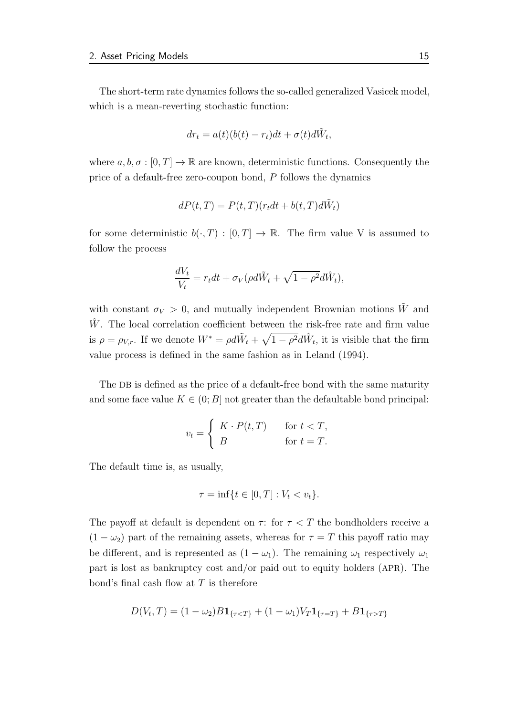The short-term rate dynamics follows the so-called generalized Vasicek model, which is a mean-reverting stochastic function:

$$
dr_t = a(t)(b(t) - r_t)dt + \sigma(t)d\tilde{W}_t,
$$

where  $a, b, \sigma : [0, T] \to \mathbb{R}$  are known, deterministic functions. Consequently the price of a default-free zero-coupon bond, P follows the dynamics

$$
dP(t,T) = P(t,T)(r_t dt + b(t,T)d\tilde{W}_t)
$$

for some deterministic  $b(\cdot, T) : [0, T] \to \mathbb{R}$ . The firm value V is assumed to follow the process

$$
\frac{dV_t}{V_t} = r_t dt + \sigma_V (\rho d\tilde{W}_t + \sqrt{1 - \rho^2} d\hat{W}_t),
$$

with constant  $\sigma_V > 0$ , and mutually independent Brownian motions  $\tilde{W}$  and  $\hat{W}$ . The local correlation coefficient between the risk-free rate and firm value is  $\rho = \rho_{V,r}$ . If we denote  $W^* = \rho d\tilde{W}_t + \sqrt{1 - \rho^2} d\tilde{W}_t$ , it is visible that the firm value process is defined in the same fashion as in [Leland \(1994\)](#page-84-1).

The [DB](#page-8-2) is defined as the price of a default-free bond with the same maturity and some face value  $K \in (0; B]$  not greater than the defaultable bond principal:

$$
v_t = \begin{cases} K \cdot P(t,T) & \text{for } t < T, \\ B & \text{for } t = T. \end{cases}
$$

The default time is, as usually,

$$
\tau = \inf \{ t \in [0, T] : V_t < v_t \}.
$$

The payoff at default is dependent on  $\tau$ : for  $\tau < T$  the bondholders receive a  $(1 - \omega_2)$  part of the remaining assets, whereas for  $\tau = T$  this payoff ratio may be different, and is represented as  $(1 - \omega_1)$ . The remaining  $\omega_1$  respectively  $\omega_1$ part is lost as bankruptcy cost and/or paid out to equity holders ([APR](#page-8-9)). The bond's final cash flow at  $T$  is therefore

$$
D(V_t, T) = (1 - \omega_2)B\mathbf{1}_{\{\tau < T\}} + (1 - \omega_1)V_T\mathbf{1}_{\{\tau = T\}} + B\mathbf{1}_{\{\tau > T\}}
$$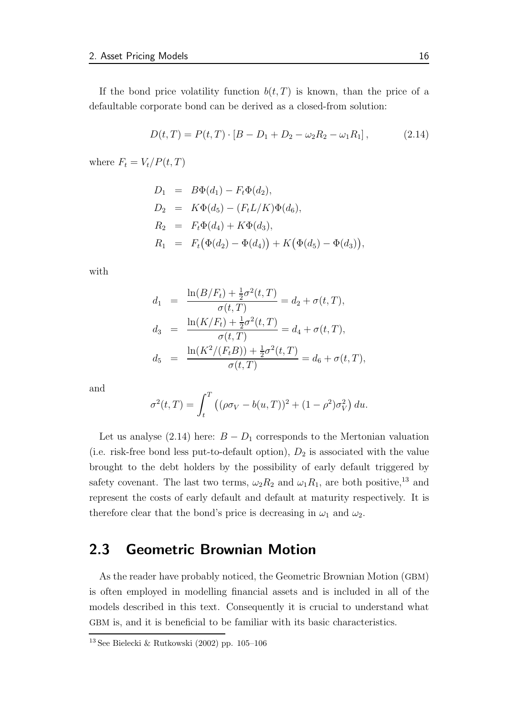If the bond price volatility function  $b(t, T)$  is known, than the price of a defaultable corporate bond can be derived as a closed-from solution:

<span id="page-26-1"></span>
$$
D(t,T) = P(t,T) \cdot [B - D_1 + D_2 - \omega_2 R_2 - \omega_1 R_1], \qquad (2.14)
$$

where  $F_t = V_t/P(t,T)$ 

$$
D_1 = B\Phi(d_1) - F_t\Phi(d_2),
$$
  
\n
$$
D_2 = K\Phi(d_5) - (F_t L/K)\Phi(d_6),
$$
  
\n
$$
R_2 = F_t\Phi(d_4) + K\Phi(d_3),
$$
  
\n
$$
R_1 = F_t(\Phi(d_2) - \Phi(d_4)) + K(\Phi(d_5) - \Phi(d_3)),
$$

with

$$
d_1 = \frac{\ln(B/F_t) + \frac{1}{2}\sigma^2(t, T)}{\sigma(t, T)} = d_2 + \sigma(t, T),
$$
  
\n
$$
d_3 = \frac{\ln(K/F_t) + \frac{1}{2}\sigma^2(t, T)}{\sigma(t, T)} = d_4 + \sigma(t, T),
$$
  
\n
$$
d_5 = \frac{\ln(K^2/(F_t B)) + \frac{1}{2}\sigma^2(t, T)}{\sigma(t, T)} = d_6 + \sigma(t, T),
$$

and

$$
\sigma^{2}(t,T) = \int_{t}^{T} ((\rho \sigma_{V} - b(u,T))^{2} + (1 - \rho^{2})\sigma_{V}^{2}) du.
$$

Let us analyse [\(2.14\)](#page-26-1) here:  $B - D_1$  corresponds to the Mertonian valuation (i.e. risk-free bond less put-to-default option),  $D_2$  is associated with the value brought to the debt holders by the possibility of early default triggered by safety covenant. The last two terms,  $\omega_2 R_2$  and  $\omega_1 R_1$ , are both positive,<sup>[13](#page-26-2)</sup> and represent the costs of early default and default at maturity respectively. It is therefore clear that the bond's price is decreasing in  $\omega_1$  and  $\omega_2$ .

### <span id="page-26-0"></span>2.3 Geometric Brownian Motion

As the reader have probably noticed, the Geometric Brownian Motion ([GBM](#page-8-7)) is often employed in modelling financial assets and is included in all of the models described in this text. Consequently it is crucial to understand what [GBM](#page-8-7) is, and it is beneficial to be familiar with its basic characteristics.

<span id="page-26-2"></span> $^{13}$  See [Bielecki & Rutkowski \(2002](#page-81-2)) pp. 105–106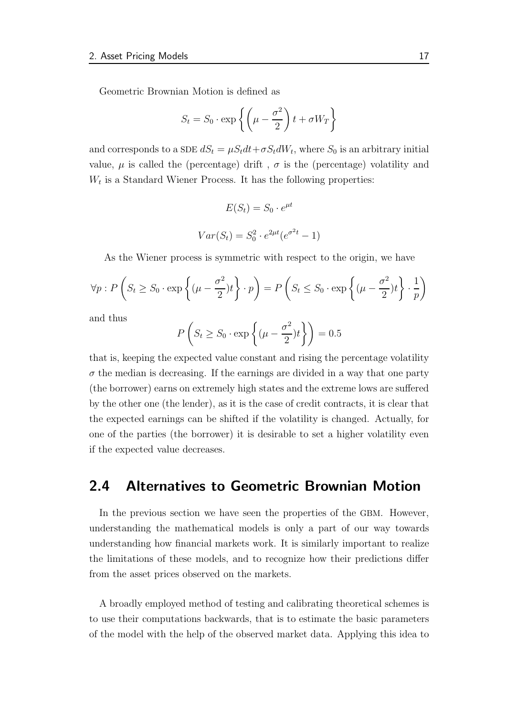Geometric Brownian Motion is defined as

$$
S_t = S_0 \cdot \exp\left\{ \left( \mu - \frac{\sigma^2}{2} \right) t + \sigma W_T \right\}
$$

and corresponds to a [SDE](#page-8-4)  $dS_t = \mu S_t dt + \sigma S_t dW_t$ , where  $S_0$  is an arbitrary initial value,  $\mu$  is called the (percentage) drift,  $\sigma$  is the (percentage) volatility and  $W_t$  is a Standard Wiener Process. It has the following properties:

$$
E(S_t) = S_0 \cdot e^{\mu t}
$$

$$
Var(S_t) = S_0^2 \cdot e^{2\mu t} (e^{\sigma^2 t} - 1)
$$

As the Wiener process is symmetric with respect to the origin, we have

$$
\forall p : P\left(S_t \ge S_0 \cdot \exp\left\{(\mu - \frac{\sigma^2}{2})t\right\} \cdot p\right) = P\left(S_t \le S_0 \cdot \exp\left\{(\mu - \frac{\sigma^2}{2})t\right\} \cdot \frac{1}{p}\right)
$$

and thus

$$
P\left(S_t \ge S_0 \cdot \exp\left\{(\mu - \frac{\sigma^2}{2})t\right\}\right) = 0.5
$$

that is, keeping the expected value constant and rising the percentage volatility  $\sigma$  the median is decreasing. If the earnings are divided in a way that one party (the borrower) earns on extremely high states and the extreme lows are suffered by the other one (the lender), as it is the case of credit contracts, it is clear that the expected earnings can be shifted if the volatility is changed. Actually, for one of the parties (the borrower) it is desirable to set a higher volatility even if the expected value decreases.

### <span id="page-27-0"></span>2.4 Alternatives to Geometric Brownian Motion

In the previous section we have seen the properties of the [GBM](#page-8-7). However, understanding the mathematical models is only a part of our way towards understanding how financial markets work. It is similarly important to realize the limitations of these models, and to recognize how their predictions differ from the asset prices observed on the markets.

A broadly employed method of testing and calibrating theoretical schemes is to use their computations backwards, that is to estimate the basic parameters of the model with the help of the observed market data. Applying this idea to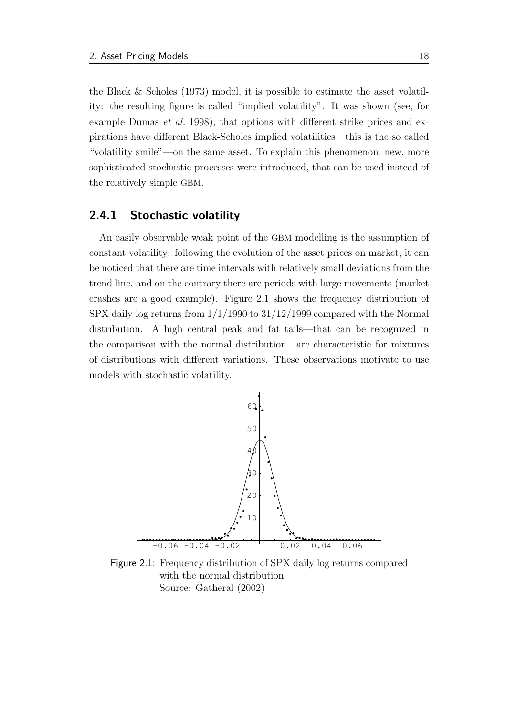the [Black & Scholes \(1973\)](#page-81-1) model, it is possible to estimate the asset volatility: the resulting figure is called "implied volatility". It was shown (see, for example [Dumas](#page-82-3) *et al.* [1998\)](#page-82-3), that options with different strike prices and expirations have different Black-Scholes implied volatilities—this is the so called "volatility smile"—on the same asset. To explain this phenomenon, new, more sophisticated stochastic processes were introduced, that can be used instead of the relatively simple [GBM](#page-8-7).

#### <span id="page-28-0"></span>2.4.1 Stochastic volatility

An easily observable weak point of the [GBM](#page-8-7) modelling is the assumption of constant volatility: following the evolution of the asset prices on market, it can be noticed that there are time intervals with relatively small deviations from the trend line, and on the contrary there are periods with large movements (market crashes are a good example). Figure [2.1](#page-28-1) shows the frequency distribution of SPX daily log returns from 1/1/1990 to 31/12/1999 compared with the Normal distribution. A high central peak and fat tails—that can be recognized in the comparison with the normal distribution—are characteristic for mixtures of distributions with different variations. These observations motivate to use models with stochastic volatility.

<span id="page-28-1"></span>

Figure 2.1: Frequency distribution of SPX daily log returns compared with the normal distribution Source: [Gatheral \(2002\)](#page-82-4)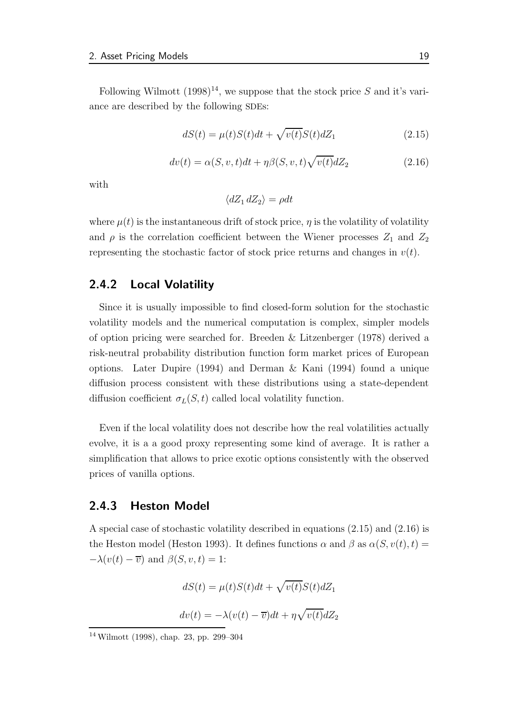Following Wilmott  $(1998)^{14}$  $(1998)^{14}$  $(1998)^{14}$ , we suppose that the stock price S and it's variance are described by the following [SDE](#page-8-4)s:

<span id="page-29-3"></span>
$$
dS(t) = \mu(t)S(t)dt + \sqrt{v(t)}S(t)dZ_1
$$
\n(2.15)

<span id="page-29-4"></span>
$$
dv(t) = \alpha(S, v, t)dt + \eta\beta(S, v, t)\sqrt{v(t)}dZ_2
$$
\n(2.16)

with

$$
\langle dZ_1 dZ_2 \rangle = \rho dt
$$

where  $\mu(t)$  is the instantaneous drift of stock price,  $\eta$  is the volatility of volatility and  $\rho$  is the correlation coefficient between the Wiener processes  $Z_1$  and  $Z_2$ representing the stochastic factor of stock price returns and changes in  $v(t)$ .

#### <span id="page-29-0"></span>2.4.2 Local Volatility

Since it is usually impossible to find closed-form solution for the stochastic volatility models and the numerical computation is complex, simpler models of option pricing were searched for. [Breeden & Litzenberger \(1978\)](#page-81-3) derived a risk-neutral probability distribution function form market prices of European options. Later [Dupire \(1994](#page-82-5)) and [Derman & Kani \(1994\)](#page-82-6) found a unique diffusion process consistent with these distributions using a state-dependent diffusion coefficient  $\sigma_L(S, t)$  called local volatility function.

Even if the local volatility does not describe how the real volatilities actually evolve, it is a a good proxy representing some kind of average. It is rather a simplification that allows to price exotic options consistently with the observed prices of vanilla options.

#### <span id="page-29-1"></span>2.4.3 Heston Model

A special case of stochastic volatility described in equations [\(2.15\)](#page-29-3) and [\(2.16\)](#page-29-4) is the Heston model [\(Heston 1993](#page-83-4)). It defines functions  $\alpha$  and  $\beta$  as  $\alpha(S, v(t), t) =$  $-\lambda(v(t)-\overline{v})$  and  $\beta(S, v, t) = 1$ :

$$
dS(t) = \mu(t)S(t)dt + \sqrt{v(t)}S(t)dZ_1
$$

$$
dv(t) = -\lambda(v(t) - \overline{v})dt + \eta\sqrt{v(t)}dZ_2
$$

<span id="page-29-2"></span><sup>14</sup> [Wilmott \(1998\)](#page-85-3), chap. 23, pp. 299–304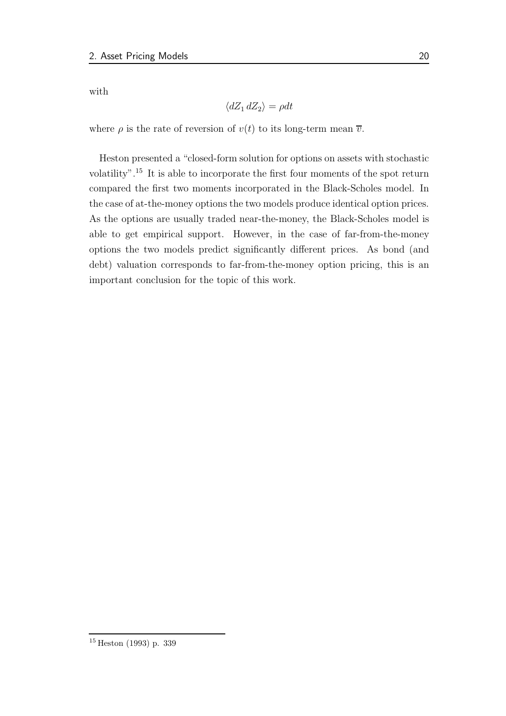with

$$
\langle dZ_1 dZ_2 \rangle = \rho dt
$$

where  $\rho$  is the rate of reversion of  $v(t)$  to its long-term mean  $\overline{v}$ .

Heston presented a "closed-form solution for options on assets with stochastic volatility".[15](#page-30-0) It is able to incorporate the first four moments of the spot return compared the first two moments incorporated in the Black-Scholes model. In the case of at-the-money options the two models produce identical option prices. As the options are usually traded near-the-money, the Black-Scholes model is able to get empirical support. However, in the case of far-from-the-money options the two models predict significantly different prices. As bond (and debt) valuation corresponds to far-from-the-money option pricing, this is an important conclusion for the topic of this work.

<span id="page-30-0"></span><sup>15</sup> [Heston \(1993](#page-83-4)) p. 339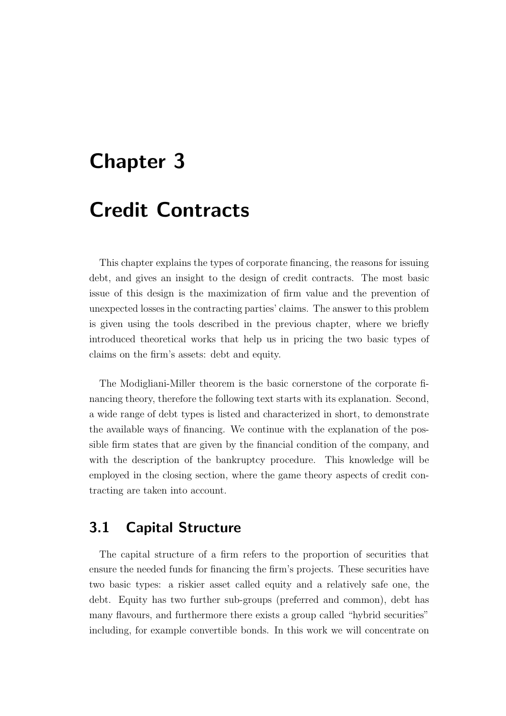## <span id="page-31-0"></span>Chapter 3

## Credit Contracts

This chapter explains the types of corporate financing, the reasons for issuing debt, and gives an insight to the design of credit contracts. The most basic issue of this design is the maximization of firm value and the prevention of unexpected losses in the contracting parties' claims. The answer to this problem is given using the tools described in the previous chapter, where we briefly introduced theoretical works that help us in pricing the two basic types of claims on the firm's assets: debt and equity.

The Modigliani-Miller theorem is the basic cornerstone of the corporate financing theory, therefore the following text starts with its explanation. Second, a wide range of debt types is listed and characterized in short, to demonstrate the available ways of financing. We continue with the explanation of the possible firm states that are given by the financial condition of the company, and with the description of the bankruptcy procedure. This knowledge will be employed in the closing section, where the game theory aspects of credit contracting are taken into account.

### <span id="page-31-1"></span>3.1 Capital Structure

The capital structure of a firm refers to the proportion of securities that ensure the needed funds for financing the firm's projects. These securities have two basic types: a riskier asset called equity and a relatively safe one, the debt. Equity has two further sub-groups (preferred and common), debt has many flavours, and furthermore there exists a group called "hybrid securities" including, for example convertible bonds. In this work we will concentrate on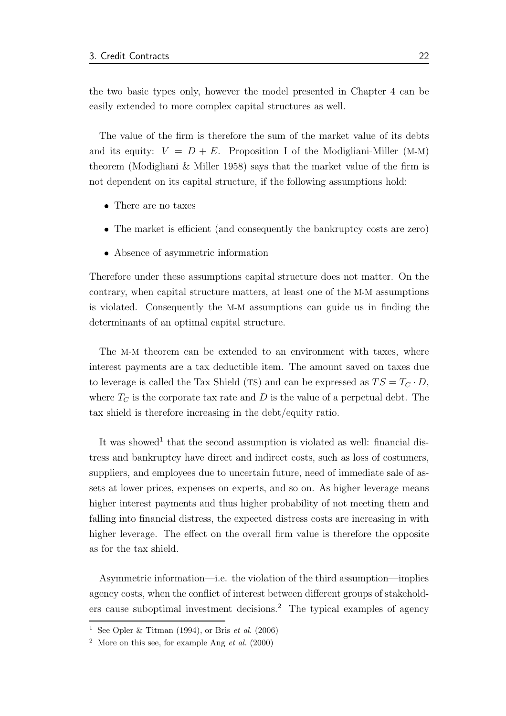the two basic types only, however the model presented in Chapter [4](#page-47-0) can be easily extended to more complex capital structures as well.

The value of the firm is therefore the sum of the market value of its debts and its equity:  $V = D + E$ . Proposition I of the Modigliani-Miller ([M-M](#page-8-10)) theorem [\(Modigliani & Miller 1958\)](#page-85-4) says that the market value of the firm is not dependent on its capital structure, if the following assumptions hold:

- There are no taxes
- The market is efficient (and consequently the bankruptcy costs are zero)
- Absence of asymmetric information

Therefore under these assumptions capital structure does not matter. On the contrary, when capital structure matters, at least one of the [M-M](#page-8-10) assumptions is violated. Consequently the [M-M](#page-8-10) assumptions can guide us in finding the determinants of an optimal capital structure.

The [M-M](#page-8-10) theorem can be extended to an environment with taxes, where interest payments are a tax deductible item. The amount saved on taxes due to leverage is called the Tax Shield ([TS](#page-8-11)) and can be expressed as  $TS = T<sub>C</sub> \cdot D$ , where  $T_C$  is the corporate tax rate and D is the value of a perpetual debt. The tax shield is therefore increasing in the debt/equity ratio.

It was showed<sup>[1](#page-32-0)</sup> that the second assumption is violated as well: financial distress and bankruptcy have direct and indirect costs, such as loss of costumers, suppliers, and employees due to uncertain future, need of immediate sale of assets at lower prices, expenses on experts, and so on. As higher leverage means higher interest payments and thus higher probability of not meeting them and falling into financial distress, the expected distress costs are increasing in with higher leverage. The effect on the overall firm value is therefore the opposite as for the tax shield.

Asymmetric information—i.e. the violation of the third assumption—implies agency costs, when the conflict of interest between different groups of stakeholders cause suboptimal investment decisions.[2](#page-32-1) The typical examples of agency

<sup>&</sup>lt;sup>1</sup> See [Opler & Titman \(1994](#page-85-5)), or Bris *[et al.](#page-82-7)* [\(2006\)](#page-82-7)

<span id="page-32-1"></span><span id="page-32-0"></span><sup>&</sup>lt;sup>2</sup> More on this see, for example Ang *[et al.](#page-81-4)*  $(2000)$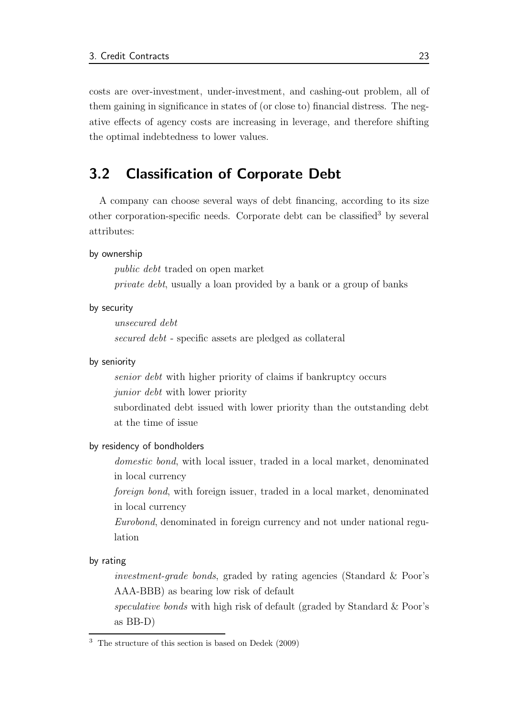costs are over-investment, under-investment, and cashing-out problem, all of them gaining in significance in states of (or close to) financial distress. The negative effects of agency costs are increasing in leverage, and therefore shifting the optimal indebtedness to lower values.

### <span id="page-33-0"></span>3.2 Classification of Corporate Debt

A company can choose several ways of debt financing, according to its size other corporation-specific needs. Corporate debt can be classified<sup>[3](#page-33-1)</sup> by several attributes:

#### by ownership

public debt traded on open market

private debt, usually a loan provided by a bank or a group of banks

#### by security

unsecured debt

secured debt - specific assets are pledged as collateral

#### by seniority

senior debt with higher priority of claims if bankruptcy occurs junior debt with lower priority subordinated debt issued with lower priority than the outstanding debt at the time of issue

#### by residency of bondholders

domestic bond, with local issuer, traded in a local market, denominated in local currency

foreign bond, with foreign issuer, traded in a local market, denominated in local currency

Eurobond, denominated in foreign currency and not under national regulation

by rating

investment-grade bonds, graded by rating agencies (Standard & Poor's AAA-BBB) as bearing low risk of default

speculative bonds with high risk of default (graded by Standard & Poor's as BB-D)

<span id="page-33-1"></span><sup>3</sup> The structure of this section is based on [Dedek \(2009](#page-82-8))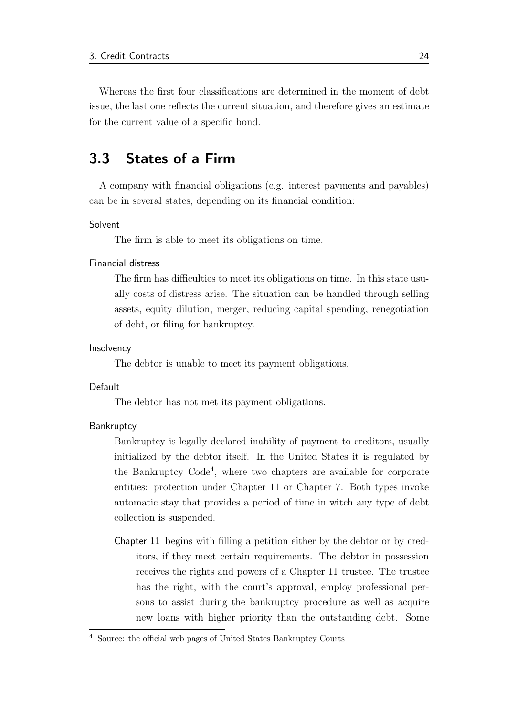Whereas the first four classifications are determined in the moment of debt issue, the last one reflects the current situation, and therefore gives an estimate for the current value of a specific bond.

### <span id="page-34-0"></span>3.3 States of a Firm

A company with financial obligations (e.g. interest payments and payables) can be in several states, depending on its financial condition:

Solvent

The firm is able to meet its obligations on time.

#### Financial distress

The firm has difficulties to meet its obligations on time. In this state usually costs of distress arise. The situation can be handled through selling assets, equity dilution, merger, reducing capital spending, renegotiation of debt, or filing for bankruptcy.

#### Insolvency

The debtor is unable to meet its payment obligations.

#### Default

The debtor has not met its payment obligations.

#### **Bankruptcy**

Bankruptcy is legally declared inability of payment to creditors, usually initialized by the debtor itself. In the United States it is regulated by the Bankruptcy Code[4](#page-34-1) , where two chapters are available for corporate entities: protection under Chapter 11 or Chapter 7. Both types invoke automatic stay that provides a period of time in witch any type of debt collection is suspended.

Chapter 11 begins with filling a petition either by the debtor or by creditors, if they meet certain requirements. The debtor in possession receives the rights and powers of a Chapter 11 trustee. The trustee has the right, with the court's approval, employ professional persons to assist during the bankruptcy procedure as well as acquire new loans with higher priority than the outstanding debt. Some

<span id="page-34-1"></span><sup>4</sup> Source: the official web pages of United States Bankruptcy Courts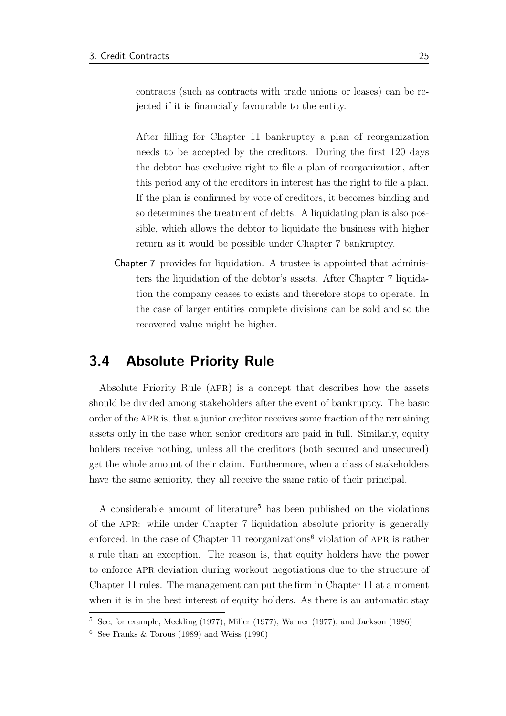contracts (such as contracts with trade unions or leases) can be rejected if it is financially favourable to the entity.

After filling for Chapter 11 bankruptcy a plan of reorganization needs to be accepted by the creditors. During the first 120 days the debtor has exclusive right to file a plan of reorganization, after this period any of the creditors in interest has the right to file a plan. If the plan is confirmed by vote of creditors, it becomes binding and so determines the treatment of debts. A liquidating plan is also possible, which allows the debtor to liquidate the business with higher return as it would be possible under Chapter 7 bankruptcy.

Chapter 7 provides for liquidation. A trustee is appointed that administers the liquidation of the debtor's assets. After Chapter 7 liquidation the company ceases to exists and therefore stops to operate. In the case of larger entities complete divisions can be sold and so the recovered value might be higher.

### <span id="page-35-0"></span>3.4 Absolute Priority Rule

Absolute Priority Rule ([APR](#page-8-9)) is a concept that describes how the assets should be divided among stakeholders after the event of bankruptcy. The basic order of the [APR](#page-8-9) is, that a junior creditor receives some fraction of the remaining assets only in the case when senior creditors are paid in full. Similarly, equity holders receive nothing, unless all the creditors (both secured and unsecured) get the whole amount of their claim. Furthermore, when a class of stakeholders have the same seniority, they all receive the same ratio of their principal.

A considerable amount of literature<sup>[5](#page-35-1)</sup> has been published on the violations of the [APR](#page-8-9): while under Chapter 7 liquidation absolute priority is generally enforced, in the case of Chapter 11 reorganizations<sup>[6](#page-35-2)</sup> violation of [APR](#page-8-9) is rather a rule than an exception. The reason is, that equity holders have the power to enforce [APR](#page-8-9) deviation during workout negotiations due to the structure of Chapter 11 rules. The management can put the firm in Chapter 11 at a moment when it is in the best interest of equity holders. As there is an automatic stay

<sup>5</sup> See, for example, [Meckling \(1977\)](#page-84-6), [Miller \(1977](#page-84-7)), [Warner \(1977\)](#page-85-6), and [Jackson \(1986](#page-83-5))

<span id="page-35-2"></span><span id="page-35-1"></span> $6$  See [Franks & Torous \(1989](#page-82-9)) and [Weiss \(1990](#page-85-7))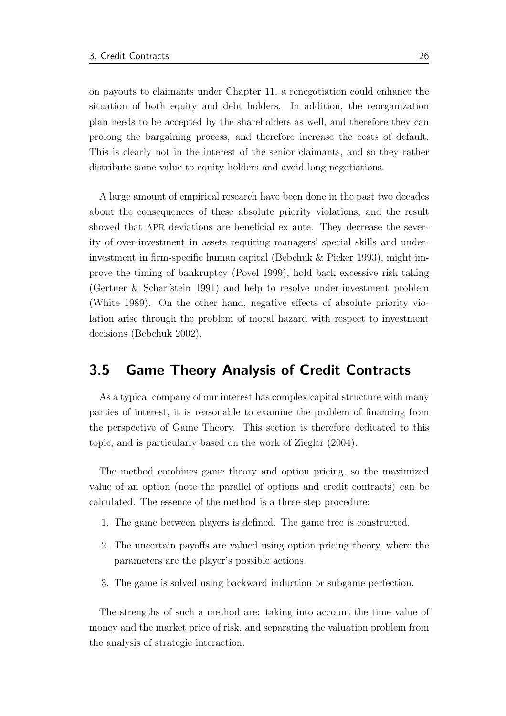on payouts to claimants under Chapter 11, a renegotiation could enhance the situation of both equity and debt holders. In addition, the reorganization plan needs to be accepted by the shareholders as well, and therefore they can prolong the bargaining process, and therefore increase the costs of default. This is clearly not in the interest of the senior claimants, and so they rather distribute some value to equity holders and avoid long negotiations.

A large amount of empirical research have been done in the past two decades about the consequences of these absolute priority violations, and the result showed that [APR](#page-8-0) deviations are beneficial ex ante. They decrease the severity of over-investment in assets requiring managers' special skills and underinvestment in firm-specific human capital [\(Bebchuk & Picker 1993](#page-81-0)), might improve the timing of bankruptcy [\(Povel 1999\)](#page-85-0), hold back excessive risk taking [\(Gertner & Scharfstein 1991](#page-83-0)) and help to resolve under-investment problem [\(White 1989\)](#page-85-1). On the other hand, negative effects of absolute priority violation arise through the problem of moral hazard with respect to investment decisions [\(Bebchuk 2002\)](#page-81-1).

# <span id="page-36-0"></span>3.5 Game Theory Analysis of Credit Contracts

As a typical company of our interest has complex capital structure with many parties of interest, it is reasonable to examine the problem of financing from the perspective of Game Theory. This section is therefore dedicated to this topic, and is particularly based on the work of [Ziegler \(2004\)](#page-85-2).

The method combines game theory and option pricing, so the maximized value of an option (note the parallel of options and credit contracts) can be calculated. The essence of the method is a three-step procedure:

- 1. The game between players is defined. The game tree is constructed.
- 2. The uncertain payoffs are valued using option pricing theory, where the parameters are the player's possible actions.
- 3. The game is solved using backward induction or subgame perfection.

The strengths of such a method are: taking into account the time value of money and the market price of risk, and separating the valuation problem from the analysis of strategic interaction.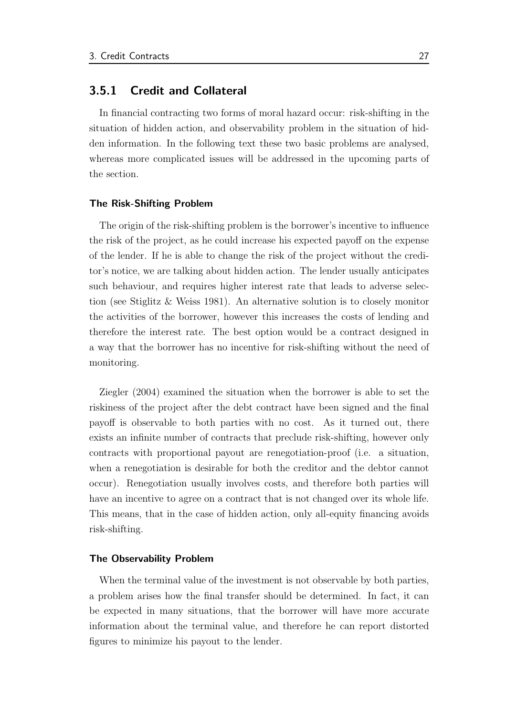# 3.5.1 Credit and Collateral

In financial contracting two forms of moral hazard occur: risk-shifting in the situation of hidden action, and observability problem in the situation of hidden information. In the following text these two basic problems are analysed, whereas more complicated issues will be addressed in the upcoming parts of the section.

### The Risk-Shifting Problem

The origin of the risk-shifting problem is the borrower's incentive to influence the risk of the project, as he could increase his expected payoff on the expense of the lender. If he is able to change the risk of the project without the creditor's notice, we are talking about hidden action. The lender usually anticipates such behaviour, and requires higher interest rate that leads to adverse selection (see [Stiglitz & Weiss 1981](#page-85-3)). An alternative solution is to closely monitor the activities of the borrower, however this increases the costs of lending and therefore the interest rate. The best option would be a contract designed in a way that the borrower has no incentive for risk-shifting without the need of monitoring.

Ziegler [\(2004\)](#page-85-2) examined the situation when the borrower is able to set the riskiness of the project after the debt contract have been signed and the final payoff is observable to both parties with no cost. As it turned out, there exists an infinite number of contracts that preclude risk-shifting, however only contracts with proportional payout are renegotiation-proof (i.e. a situation, when a renegotiation is desirable for both the creditor and the debtor cannot occur). Renegotiation usually involves costs, and therefore both parties will have an incentive to agree on a contract that is not changed over its whole life. This means, that in the case of hidden action, only all-equity financing avoids risk-shifting.

#### The Observability Problem

When the terminal value of the investment is not observable by both parties, a problem arises how the final transfer should be determined. In fact, it can be expected in many situations, that the borrower will have more accurate information about the terminal value, and therefore he can report distorted figures to minimize his payout to the lender.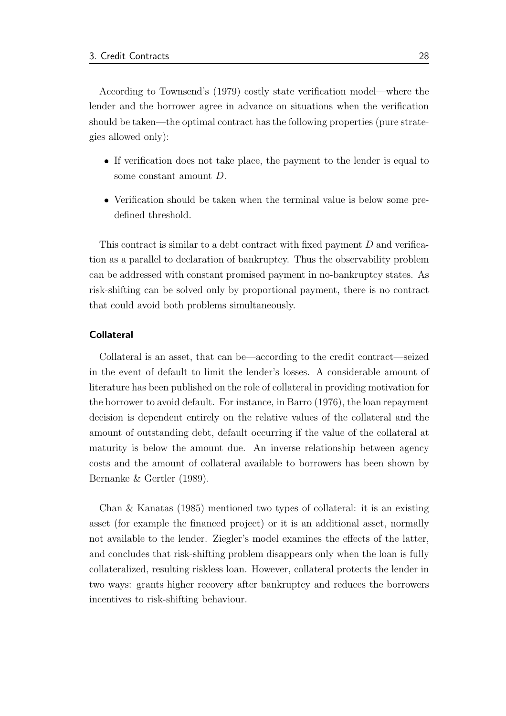According to [Townsend'](#page-85-4)s [\(1979\)](#page-85-4) costly state verification model—where the lender and the borrower agree in advance on situations when the verification should be taken—the optimal contract has the following properties (pure strategies allowed only):

- If verification does not take place, the payment to the lender is equal to some constant amount D.
- Verification should be taken when the terminal value is below some predefined threshold.

This contract is similar to a debt contract with fixed payment D and verification as a parallel to declaration of bankruptcy. Thus the observability problem can be addressed with constant promised payment in no-bankruptcy states. As risk-shifting can be solved only by proportional payment, there is no contract that could avoid both problems simultaneously.

### Collateral

Collateral is an asset, that can be—according to the credit contract—seized in the event of default to limit the lender's losses. A considerable amount of literature has been published on the role of collateral in providing motivation for the borrower to avoid default. For instance, in [Barro \(1976](#page-81-2)), the loan repayment decision is dependent entirely on the relative values of the collateral and the amount of outstanding debt, default occurring if the value of the collateral at maturity is below the amount due. An inverse relationship between agency costs and the amount of collateral available to borrowers has been shown by [Bernanke & Gertler \(1989](#page-81-3)).

Chan & Kanatas [\(1985\)](#page-82-0) mentioned two types of collateral: it is an existing asset (for example the financed project) or it is an additional asset, normally not available to the lender. Ziegler's model examines the effects of the latter, and concludes that risk-shifting problem disappears only when the loan is fully collateralized, resulting riskless loan. However, collateral protects the lender in two ways: grants higher recovery after bankruptcy and reduces the borrowers incentives to risk-shifting behaviour.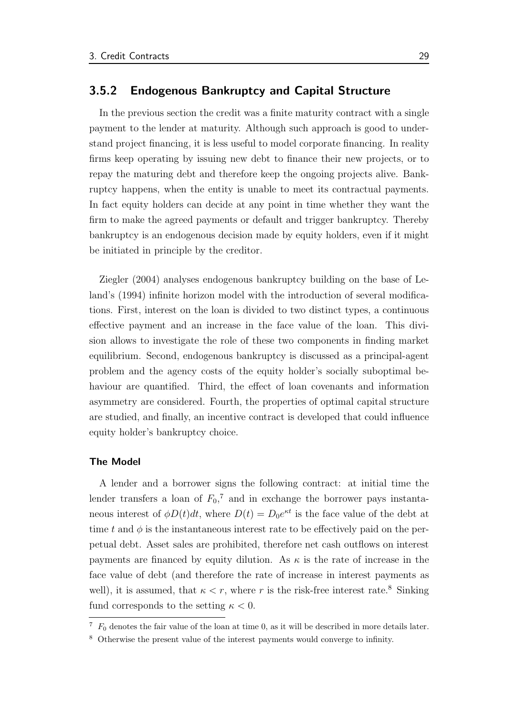### 3.5.2 Endogenous Bankruptcy and Capital Structure

In the previous section the credit was a finite maturity contract with a single payment to the lender at maturity. Although such approach is good to understand project financing, it is less useful to model corporate financing. In reality firms keep operating by issuing new debt to finance their new projects, or to repay the maturing debt and therefore keep the ongoing projects alive. Bankruptcy happens, when the entity is unable to meet its contractual payments. In fact equity holders can decide at any point in time whether they want the firm to make the agreed payments or default and trigger bankruptcy. Thereby bankruptcy is an endogenous decision made by equity holders, even if it might be initiated in principle by the creditor.

Z[iegler](#page-84-0) [\(2004](#page-85-2)[\) analyses endogenous bankruptcy building on the base of](#page-84-0) Leland's [\(1994\)](#page-84-0) infinite horizon model with the introduction of several modifications. First, interest on the loan is divided to two distinct types, a continuous effective payment and an increase in the face value of the loan. This division allows to investigate the role of these two components in finding market equilibrium. Second, endogenous bankruptcy is discussed as a principal-agent problem and the agency costs of the equity holder's socially suboptimal behaviour are quantified. Third, the effect of loan covenants and information asymmetry are considered. Fourth, the properties of optimal capital structure are studied, and finally, an incentive contract is developed that could influence equity holder's bankruptcy choice.

### The Model

A lender and a borrower signs the following contract: at initial time the lender transfers a loan of  $F_0$ ,<sup>[7](#page-39-0)</sup> and in exchange the borrower pays instantaneous interest of  $\phi D(t)dt$ , where  $D(t) = D_0 e^{\kappa t}$  is the face value of the debt at time t and  $\phi$  is the instantaneous interest rate to be effectively paid on the perpetual debt. Asset sales are prohibited, therefore net cash outflows on interest payments are financed by equity dilution. As  $\kappa$  is the rate of increase in the face value of debt (and therefore the rate of increase in interest payments as well), it is assumed, that  $\kappa < r$ , where r is the risk-free interest rate.<sup>[8](#page-39-1)</sup> Sinking fund corresponds to the setting  $\kappa < 0$ .

 $7 F_0$  denotes the fair value of the loan at time 0, as it will be described in more details later.

<span id="page-39-1"></span><span id="page-39-0"></span><sup>8</sup> Otherwise the present value of the interest payments would converge to infinity.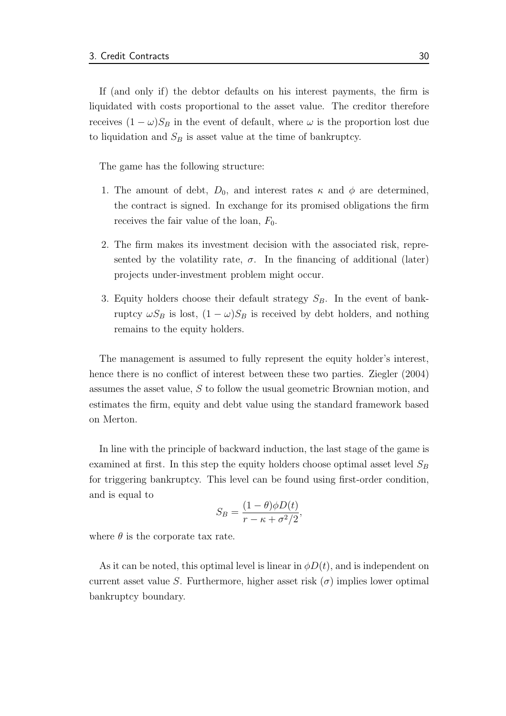If (and only if) the debtor defaults on his interest payments, the firm is liquidated with costs proportional to the asset value. The creditor therefore receives  $(1 - \omega)S_B$  in the event of default, where  $\omega$  is the proportion lost due to liquidation and  $S_B$  is asset value at the time of bankruptcy.

The game has the following structure:

- 1. The amount of debt,  $D_0$ , and interest rates  $\kappa$  and  $\phi$  are determined, the contract is signed. In exchange for its promised obligations the firm receives the fair value of the loan,  $F_0$ .
- 2. The firm makes its investment decision with the associated risk, represented by the volatility rate,  $\sigma$ . In the financing of additional (later) projects under-investment problem might occur.
- 3. Equity holders choose their default strategy  $S_B$ . In the event of bankruptcy  $\omega S_B$  is lost,  $(1 - \omega) S_B$  is received by debt holders, and nothing remains to the equity holders.

The management is assumed to fully represent the equity holder's interest, hence there is no conflict of interest between these two parties. [Ziegler \(2004](#page-85-2)) assumes the asset value, S to follow the usual geometric Brownian motion, and estimates the firm, equity and debt value using the standard framework based on Merton.

In line with the principle of backward induction, the last stage of the game is examined at first. In this step the equity holders choose optimal asset level  $S_B$ for triggering bankruptcy. This level can be found using first-order condition, and is equal to

$$
S_B = \frac{(1 - \theta)\phi D(t)}{r - \kappa + \sigma^2/2},
$$

where  $\theta$  is the corporate tax rate.

As it can be noted, this optimal level is linear in  $\phi D(t)$ , and is independent on current asset value S. Furthermore, higher asset risk  $(\sigma)$  implies lower optimal bankruptcy boundary.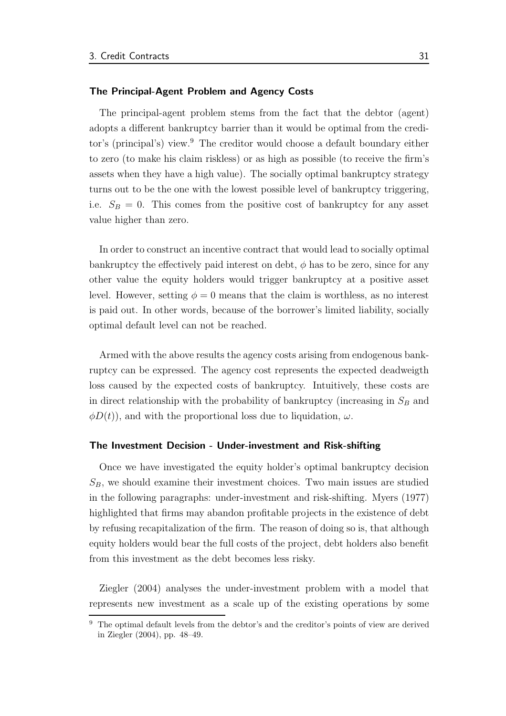### The Principal-Agent Problem and Agency Costs

The principal-agent problem stems from the fact that the debtor (agent) adopts a different bankruptcy barrier than it would be optimal from the credi-tor's (principal's) view.<sup>[9](#page-41-0)</sup> The creditor would choose a default boundary either to zero (to make his claim riskless) or as high as possible (to receive the firm's assets when they have a high value). The socially optimal bankruptcy strategy turns out to be the one with the lowest possible level of bankruptcy triggering, i.e.  $S_B = 0$ . This comes from the positive cost of bankruptcy for any asset value higher than zero.

In order to construct an incentive contract that would lead to socially optimal bankruptcy the effectively paid interest on debt,  $\phi$  has to be zero, since for any other value the equity holders would trigger bankruptcy at a positive asset level. However, setting  $\phi = 0$  means that the claim is worthless, as no interest is paid out. In other words, because of the borrower's limited liability, socially optimal default level can not be reached.

Armed with the above results the agency costs arising from endogenous bankruptcy can be expressed. The agency cost represents the expected deadweigth loss caused by the expected costs of bankruptcy. Intuitively, these costs are in direct relationship with the probability of bankruptcy (increasing in  $S_B$  and  $\phi D(t)$ , and with the proportional loss due to liquidation,  $\omega$ .

#### The Investment Decision - Under-investment and Risk-shifting

Once we have investigated the equity holder's optimal bankruptcy decision  $S_B$ , we should examine their investment choices. Two main issues are studied in the following paragraphs: under-investment and risk-shifting. [Myers \(1977](#page-85-5)) highlighted that firms may abandon profitable projects in the existence of debt by refusing recapitalization of the firm. The reason of doing so is, that although equity holders would bear the full costs of the project, debt holders also benefit from this investment as the debt becomes less risky.

Ziegler [\(2004\)](#page-85-2) analyses the under-investment problem with a model that represents new investment as a scale up of the existing operations by some

<span id="page-41-0"></span><sup>&</sup>lt;sup>9</sup> The optimal default levels from the debtor's and the creditor's points of view are derived in [Ziegler \(2004](#page-85-2)), pp. 48–49.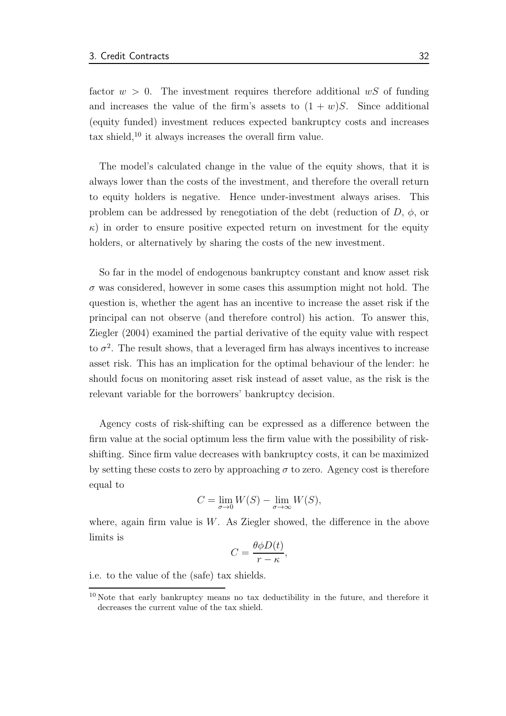factor  $w > 0$ . The investment requires therefore additional  $wS$  of funding and increases the value of the firm's assets to  $(1 + w)S$ . Since additional (equity funded) investment reduces expected bankruptcy costs and increases tax shield, $10$  it always increases the overall firm value.

The model's calculated change in the value of the equity shows, that it is always lower than the costs of the investment, and therefore the overall return to equity holders is negative. Hence under-investment always arises. This problem can be addressed by renegotiation of the debt (reduction of  $D, \phi$ , or  $\kappa$ ) in order to ensure positive expected return on investment for the equity holders, or alternatively by sharing the costs of the new investment.

So far in the model of endogenous bankruptcy constant and know asset risk  $\sigma$  was considered, however in some cases this assumption might not hold. The question is, whether the agent has an incentive to increase the asset risk if the principal can not observe (and therefore control) his action. To answer this, [Ziegler \(2004](#page-85-2)) examined the partial derivative of the equity value with respect to  $\sigma^2$ . The result shows, that a leveraged firm has always incentives to increase asset risk. This has an implication for the optimal behaviour of the lender: he should focus on monitoring asset risk instead of asset value, as the risk is the relevant variable for the borrowers' bankruptcy decision.

Agency costs of risk-shifting can be expressed as a difference between the firm value at the social optimum less the firm value with the possibility of riskshifting. Since firm value decreases with bankruptcy costs, it can be maximized by setting these costs to zero by approaching  $\sigma$  to zero. Agency cost is therefore equal to

$$
C = \lim_{\sigma \to 0} W(S) - \lim_{\sigma \to \infty} W(S),
$$

where, again firm value is  $W$ . As [Ziegler](#page-85-2) showed, the difference in the above limits is

$$
C = \frac{\theta \phi D(t)}{r - \kappa},
$$

i.e. to the value of the (safe) tax shields.

<span id="page-42-0"></span><sup>10</sup> Note that early bankruptcy means no tax deductibility in the future, and therefore it decreases the current value of the tax shield.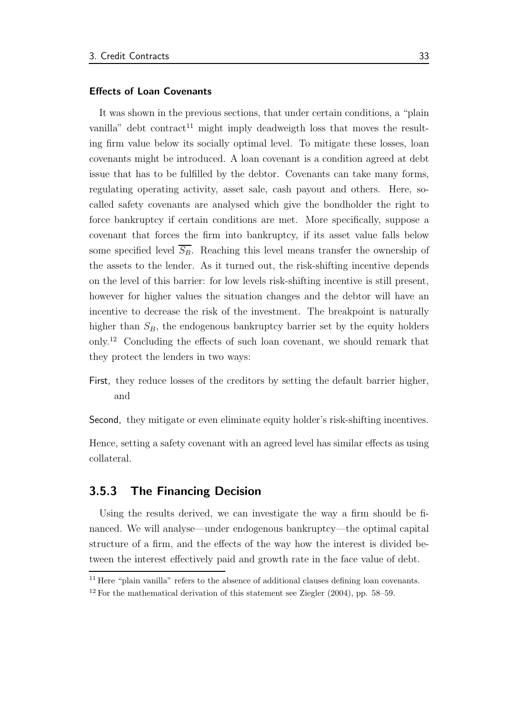### Effects of Loan Covenants

It was shown in the previous sections, that under certain conditions, a "plain vanilla" debt contract<sup>[11](#page-43-0)</sup> might imply deadweigth loss that moves the resulting firm value below its socially optimal level. To mitigate these losses, loan covenants might be introduced. A loan covenant is a condition agreed at debt issue that has to be fulfilled by the debtor. Covenants can take many forms, regulating operating activity, asset sale, cash payout and others. Here, socalled safety covenants are analysed which give the bondholder the right to force bankruptcy if certain conditions are met. More specifically, suppose a covenant that forces the firm into bankruptcy, if its asset value falls below some specified level  $\overline{S_B}$ . Reaching this level means transfer the ownership of the assets to the lender. As it turned out, the risk-shifting incentive depends on the level of this barrier: for low levels risk-shifting incentive is still present, however for higher values the situation changes and the debtor will have an incentive to decrease the risk of the investment. The breakpoint is naturally higher than  $S_B$ , the endogenous bankruptcy barrier set by the equity holders only.[12](#page-43-1) Concluding the effects of such loan covenant, we should remark that they protect the lenders in two ways:

- First, they reduce losses of the creditors by setting the default barrier higher, and
- Second, they mitigate or even eliminate equity holder's risk-shifting incentives.

Hence, setting a safety covenant with an agreed level has similar effects as using collateral.

### 3.5.3 The Financing Decision

Using the results derived, we can investigate the way a firm should be financed. We will analyse—under endogenous bankruptcy—the optimal capital structure of a firm, and the effects of the way how the interest is divided between the interest effectively paid and growth rate in the face value of debt.

<span id="page-43-1"></span><span id="page-43-0"></span> $^{11}$  Here "plain vanilla" refers to the absence of additional clauses defining loan covenants. <sup>12</sup> For the mathematical derivation of this statement see [Ziegler \(2004\)](#page-85-2), pp. 58–59.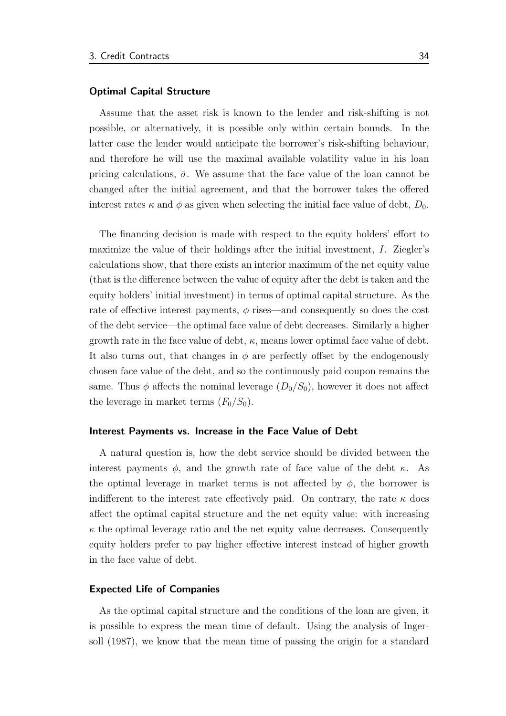#### Optimal Capital Structure

Assume that the asset risk is known to the lender and risk-shifting is not possible, or alternatively, it is possible only within certain bounds. In the latter case the lender would anticipate the borrower's risk-shifting behaviour, and therefore he will use the maximal available volatility value in his loan pricing calculations,  $\bar{\sigma}$ . We assume that the face value of the loan cannot be changed after the initial agreement, and that the borrower takes the offered interest rates  $\kappa$  and  $\phi$  as given when selecting the initial face value of debt,  $D_0$ .

The financing decision is made with respect to the equity holders' effort to maximize the value of their holdings after the initial investment, I. Ziegler's calculations show, that there exists an interior maximum of the net equity value (that is the difference between the value of equity after the debt is taken and the equity holders' initial investment) in terms of optimal capital structure. As the rate of effective interest payments,  $\phi$  rises—and consequently so does the cost of the debt service—the optimal face value of debt decreases. Similarly a higher growth rate in the face value of debt,  $\kappa$ , means lower optimal face value of debt. It also turns out, that changes in  $\phi$  are perfectly offset by the endogenously chosen face value of the debt, and so the continuously paid coupon remains the same. Thus  $\phi$  affects the nominal leverage  $(D_0/S_0)$ , however it does not affect the leverage in market terms  $(F_0/S_0)$ .

#### Interest Payments vs. Increase in the Face Value of Debt

A natural question is, how the debt service should be divided between the interest payments  $\phi$ , and the growth rate of face value of the debt  $\kappa$ . As the optimal leverage in market terms is not affected by  $\phi$ , the borrower is indifferent to the interest rate effectively paid. On contrary, the rate  $\kappa$  does affect the optimal capital structure and the net equity value: with increasing  $\kappa$  the optimal leverage ratio and the net equity value decreases. Consequently equity holders prefer to pay higher effective interest instead of higher growth in the face value of debt.

#### Expected Life of Companies

As the optimal capital structure and the conditions of the loan are given, it is [possible to express the mean time of default. Using the analysis of](#page-83-1) Ingersoll [\(1987](#page-83-1)), we know that the mean time of passing the origin for a standard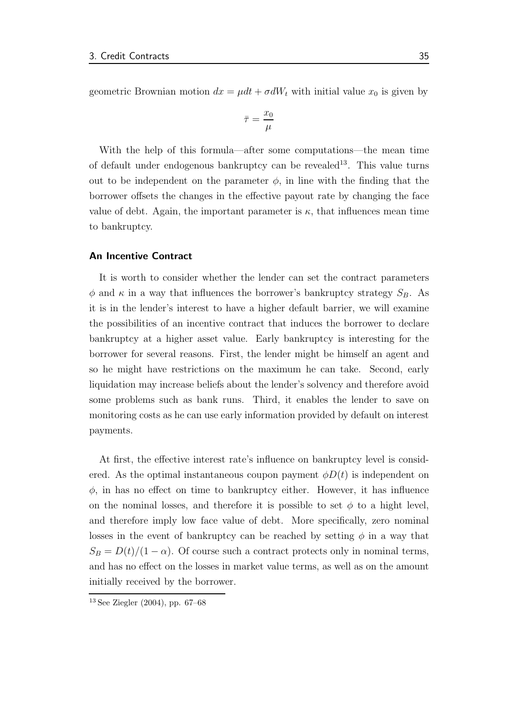geometric Brownian motion  $dx = \mu dt + \sigma dW_t$  with initial value  $x_0$  is given by

$$
\bar{\tau} = \frac{x_0}{\mu}
$$

With the help of this formula—after some computations—the mean time of default under endogenous bankruptcy can be revealed<sup>[13](#page-45-0)</sup>. This value turns out to be independent on the parameter  $\phi$ , in line with the finding that the borrower offsets the changes in the effective payout rate by changing the face value of debt. Again, the important parameter is  $\kappa$ , that influences mean time to bankruptcy.

### An Incentive Contract

It is worth to consider whether the lender can set the contract parameters  $\phi$  and  $\kappa$  in a way that influences the borrower's bankruptcy strategy  $S_B$ . As it is in the lender's interest to have a higher default barrier, we will examine the possibilities of an incentive contract that induces the borrower to declare bankruptcy at a higher asset value. Early bankruptcy is interesting for the borrower for several reasons. First, the lender might be himself an agent and so he might have restrictions on the maximum he can take. Second, early liquidation may increase beliefs about the lender's solvency and therefore avoid some problems such as bank runs. Third, it enables the lender to save on monitoring costs as he can use early information provided by default on interest payments.

At first, the effective interest rate's influence on bankruptcy level is considered. As the optimal instantaneous coupon payment  $\phi D(t)$  is independent on  $\phi$ , in has no effect on time to bankruptcy either. However, it has influence on the nominal losses, and therefore it is possible to set  $\phi$  to a hight level, and therefore imply low face value of debt. More specifically, zero nominal losses in the event of bankruptcy can be reached by setting  $\phi$  in a way that  $S_B = D(t)/(1 - \alpha)$ . Of course such a contract protects only in nominal terms, and has no effect on the losses in market value terms, as well as on the amount initially received by the borrower.

<span id="page-45-0"></span><sup>13</sup> See [Ziegler \(2004](#page-85-2)), pp. 67–68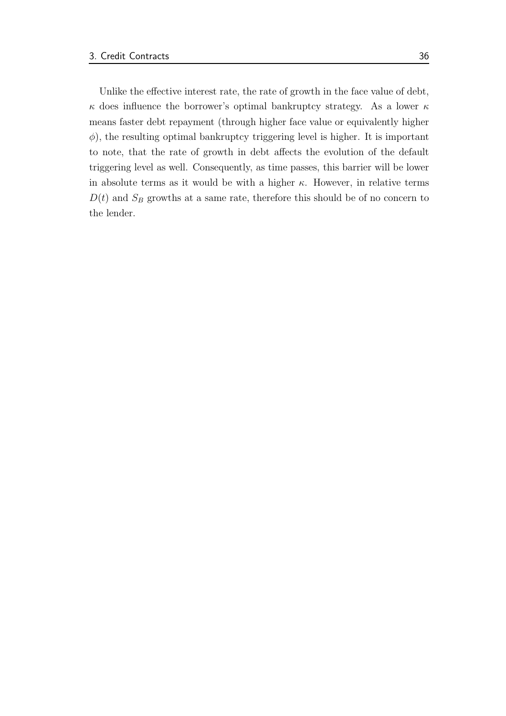Unlike the effective interest rate, the rate of growth in the face value of debt,  $\kappa$  does influence the borrower's optimal bankruptcy strategy. As a lower  $\kappa$ means faster debt repayment (through higher face value or equivalently higher  $\phi$ ), the resulting optimal bankruptcy triggering level is higher. It is important to note, that the rate of growth in debt affects the evolution of the default triggering level as well. Consequently, as time passes, this barrier will be lower in absolute terms as it would be with a higher  $\kappa$ . However, in relative terms  $D(t)$  and  $S_B$  growths at a same rate, therefore this should be of no concern to the lender.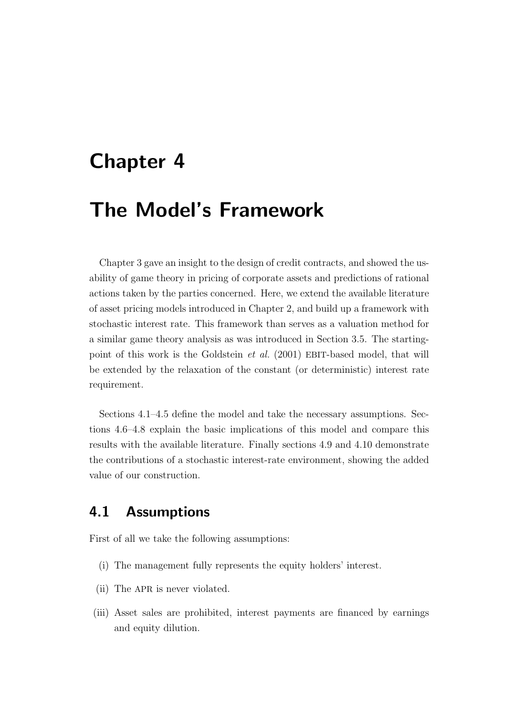# Chapter 4

# The Model's Framework

Chapter [3](#page-31-0) gave an insight to the design of credit contracts, and showed the usability of game theory in pricing of corporate assets and predictions of rational actions taken by the parties concerned. Here, we extend the available literature of asset pricing models introduced in [Chapter 2,](#page-13-0) and build up a framework with stochastic interest rate. This framework than serves as a valuation method for a similar game theory analysis as was introduced in [Section 3.5.](#page-36-0) The startingpoint of this work is the [Goldstein](#page-83-2) et al. [\(2001](#page-83-2)) [EBIT](#page-8-1)-based model, that will be extended by the relaxation of the constant (or deterministic) interest rate requirement.

Sections [4.1](#page-47-0)[–4.5](#page-55-0) define the model and take the necessary assumptions. Sections [4.6–](#page-57-0)[4.8](#page-67-0) explain the basic implications of this model and compare this results with the available literature. Finally sections [4.9](#page-72-0) and [4.10](#page-76-0) demonstrate the contributions of a stochastic interest-rate environment, showing the added value of our construction.

# <span id="page-47-0"></span>4.1 Assumptions

First of all we take the following assumptions:

- (i) The management fully represents the equity holders' interest.
- (ii) The [APR](#page-8-0) is never violated.
- (iii) Asset sales are prohibited, interest payments are financed by earnings and equity dilution.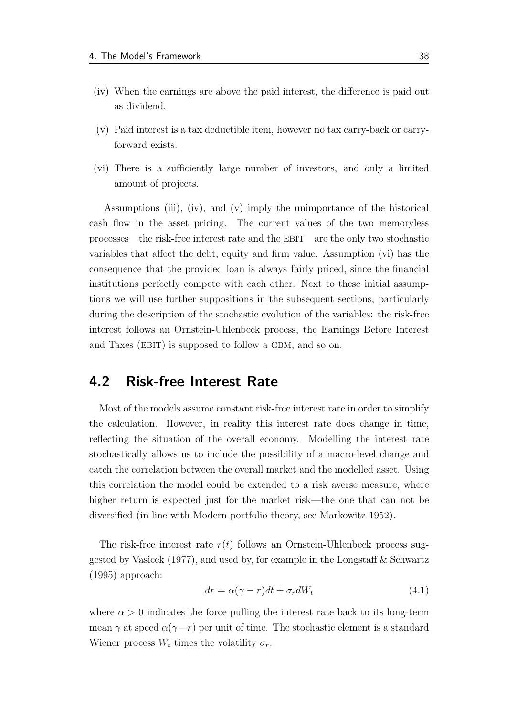- (iv) When the earnings are above the paid interest, the difference is paid out as dividend.
- (v) Paid interest is a tax deductible item, however no tax carry-back or carryforward exists.
- (vi) There is a sufficiently large number of investors, and only a limited amount of projects.

Assumptions (iii), (iv), and (v) imply the unimportance of the historical cash flow in the asset pricing. The current values of the two memoryless processes—the risk-free interest rate and the [EBIT](#page-8-1)—are the only two stochastic variables that affect the debt, equity and firm value. Assumption (vi) has the consequence that the provided loan is always fairly priced, since the financial institutions perfectly compete with each other. Next to these initial assumptions we will use further suppositions in the subsequent sections, particularly during the description of the stochastic evolution of the variables: the risk-free interest follows an Ornstein-Uhlenbeck process, the Earnings Before Interest and Taxes ([EBIT](#page-8-1)) is supposed to follow a [GBM](#page-8-2), and so on.

# 4.2 Risk-free Interest Rate

Most of the models assume constant risk-free interest rate in order to simplify the calculation. However, in reality this interest rate does change in time, reflecting the situation of the overall economy. Modelling the interest rate stochastically allows us to include the possibility of a macro-level change and catch the correlation between the overall market and the modelled asset. Using this correlation the model could be extended to a risk averse measure, where higher return is expected just for the market risk—the one that can not be diversified (in line with Modern portfolio theory, see [Markowitz 1952\)](#page-84-1).

The risk-free interest rate  $r(t)$  follows an Ornstein-Uhlenbeck process suggested by [Vasicek \(1977\)](#page-85-6), and used by, for example in the [Longstaff & Schwartz](#page-84-2) [\(1995\)](#page-84-2) approach:

<span id="page-48-0"></span>
$$
dr = \alpha(\gamma - r)dt + \sigma_r dW_t \tag{4.1}
$$

where  $\alpha > 0$  indicates the force pulling the interest rate back to its long-term mean  $\gamma$  at speed  $\alpha(\gamma-r)$  per unit of time. The stochastic element is a standard Wiener process  $W_t$  times the volatility  $\sigma_r$ .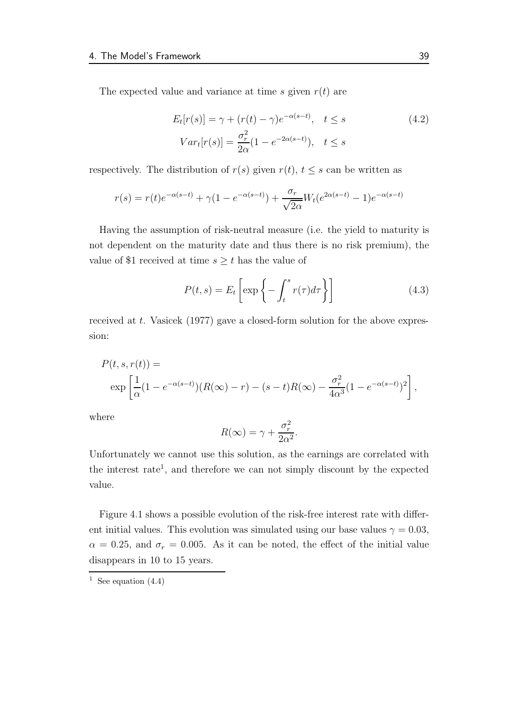The expected value and variance at time s given  $r(t)$  are

<span id="page-49-2"></span>
$$
E_t[r(s)] = \gamma + (r(t) - \gamma)e^{-\alpha(s-t)}, \quad t \le s
$$
  
\n
$$
Var_t[r(s)] = \frac{\sigma_r^2}{2\alpha}(1 - e^{-2\alpha(s-t)}), \quad t \le s
$$
\n(4.2)

respectively. The distribution of  $r(s)$  given  $r(t)$ ,  $t \leq s$  can be written as

$$
r(s) = r(t)e^{-\alpha(s-t)} + \gamma(1 - e^{-\alpha(s-t)}) + \frac{\sigma_r}{\sqrt{2\alpha}}W_t(e^{2\alpha(s-t)} - 1)e^{-\alpha(s-t)}
$$

Having the assumption of risk-neutral measure (i.e. the yield to maturity is not dependent on the maturity date and thus there is no risk premium), the value of \$1 received at time  $s\geq t$  has the value of

<span id="page-49-1"></span>
$$
P(t,s) = E_t \left[ \exp \left\{ - \int_t^s r(\tau) d\tau \right\} \right]
$$
 (4.3)

received at t. [Vasicek \(1977\)](#page-85-6) gave a closed-form solution for the above expression:

$$
P(t, s, r(t)) = \exp\left[\frac{1}{\alpha}(1 - e^{-\alpha(s-t)})(R(\infty) - r) - (s-t)R(\infty) - \frac{\sigma_r^2}{4\alpha^3}(1 - e^{-\alpha(s-t)})^2\right],
$$

where

$$
R(\infty) = \gamma + \frac{\sigma_r^2}{2\alpha^2}.
$$

Unfortunately we cannot use this solution, as the earnings are correlated with the interest rate<sup>[1](#page-49-0)</sup>, and therefore we can not simply discount by the expected value.

Figure [4.1](#page-50-0) shows a possible evolution of the risk-free interest rate with different initial values. This evolution was simulated using our base values  $\gamma = 0.03$ ,  $\alpha = 0.25$ , and  $\sigma_r = 0.005$ . As it can be noted, the effect of the initial value disappears in 10 to 15 years.

<span id="page-49-0"></span><sup>&</sup>lt;sup>1</sup> See equation  $(4.4)$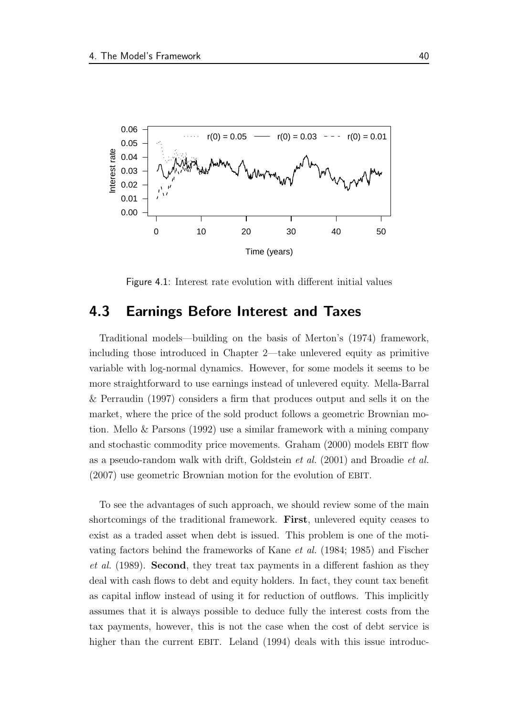<span id="page-50-0"></span>

Figure 4.1: Interest rate evolution with different initial values

# 4.3 Earnings Before Interest and Taxes

Traditional models—building on the basis of [Merton'](#page-84-3)s [\(1974\)](#page-84-3) framework, including those introduced in Chapter [2—](#page-13-0)take unlevered equity as primitive variable with log-normal dynamics. However, for some models it seems to be more straigh[tforward to use earnings instead of unlevered equity.](#page-84-4) Mella-Barral & Perraudin [\(1997](#page-84-4)) considers a firm that produces output and sells it on the market, where the price of the sold product follows a geometric Brownian motion. [Mello & Parsons \(1992\)](#page-84-5) use a similar framework with a mining company and stochastic commodity price movements. [Graham \(2000\)](#page-83-3) models [EBIT](#page-8-1) flow as a pseudo-random walk with drift, [Goldstein](#page-83-2) et al. [\(2001\)](#page-83-2) and [Broadie](#page-82-1) et al. [\(2007\)](#page-82-1) use geometric Brownian motion for the evolution of [EBIT](#page-8-1).

To see the advantages of such approach, we should review some of the main shortcomings of the traditional framework. First, unlevered equity ceases to exist as a traded asset when debt is issued. This problem is one of the motivatin[g factors behind the frameworks of](#page-82-2) [Kane](#page-83-4) et al. [\(1984](#page-83-4); [1985\)](#page-84-6) and Fischer et al. [\(1989\)](#page-82-2). Second, they treat tax payments in a different fashion as they deal with cash flows to debt and equity holders. In fact, they count tax benefit as capital inflow instead of using it for reduction of outflows. This implicitly assumes that it is always possible to deduce fully the interest costs from the tax payments, however, this is not the case when the cost of debt service is higher than the current [EBIT](#page-8-1). [Leland \(1994](#page-84-0)) deals with this issue introduc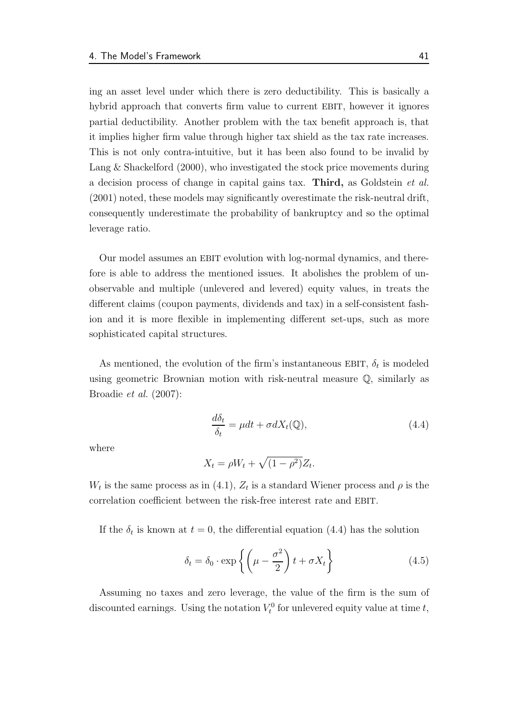ing an asset level under which there is zero deductibility. This is basically a hybrid approach that converts firm value to current [EBIT](#page-8-1), however it ignores partial deductibility. Another problem with the tax benefit approach is, that it implies higher firm value through higher tax shield as the tax rate increases. This is not only contra-intuitive, but it has been also found to be invalid by [Lang & Shackelford \(2000\)](#page-84-7), who investigated the stock price movements during a decision process of change in capital gains tax. Third, as [Goldstein](#page-83-2) et al. [\(2001\)](#page-83-2) noted, these models may significantly overestimate the risk-neutral drift, consequently underestimate the probability of bankruptcy and so the optimal leverage ratio.

Our model assumes an [EBIT](#page-8-1) evolution with log-normal dynamics, and therefore is able to address the mentioned issues. It abolishes the problem of unobservable and multiple (unlevered and levered) equity values, in treats the different claims (coupon payments, dividends and tax) in a self-consistent fashion and it is more flexible in implementing different set-ups, such as more sophisticated capital structures.

As mentioned, the evolution of the firm's instantaneous [EBIT](#page-8-1),  $\delta_t$  is modeled using geometric Brownian motion with risk-neutral measure Q, similarly as [Broadie](#page-82-1) et al. [\(2007](#page-82-1)):

<span id="page-51-0"></span>
$$
\frac{d\delta_t}{\delta_t} = \mu dt + \sigma dX_t(\mathbb{Q}),\tag{4.4}
$$

where

$$
X_t = \rho W_t + \sqrt{(1 - \rho^2)} Z_t.
$$

 $W_t$  is the same process as in [\(4.1\)](#page-48-0),  $Z_t$  is a standard Wiener process and  $\rho$  is the correlation coefficient between the risk-free interest rate and [EBIT](#page-8-1).

If the  $\delta_t$  is known at  $t = 0$ , the differential equation [\(4.4\)](#page-51-0) has the solution

$$
\delta_t = \delta_0 \cdot \exp\left\{ \left( \mu - \frac{\sigma^2}{2} \right) t + \sigma X_t \right\} \tag{4.5}
$$

Assuming no taxes and zero leverage, the value of the firm is the sum of discounted earnings. Using the notation  $V_t^0$  for unlevered equity value at time t,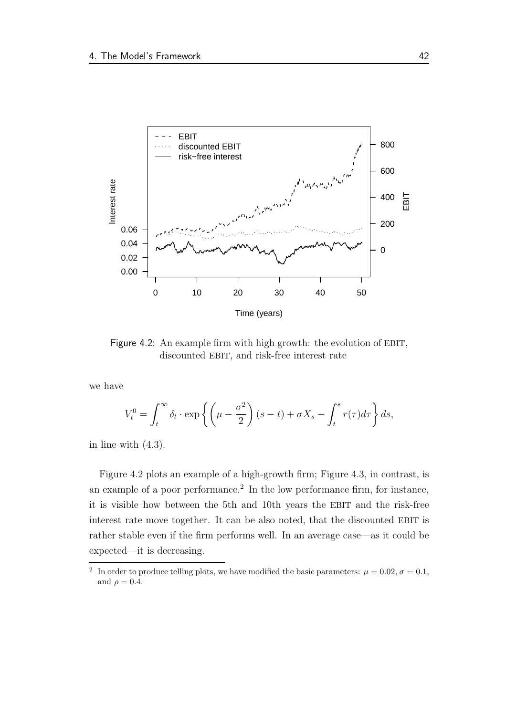<span id="page-52-0"></span>

Figure 4.2: An example firm with high growth: the evolution of [EBIT](#page-8-1), discounted [EBIT](#page-8-1), and risk-free interest rate

we have

$$
V_t^0 = \int_t^\infty \delta_t \cdot \exp\left\{ \left( \mu - \frac{\sigma^2}{2} \right) (s - t) + \sigma X_s - \int_t^s r(\tau) d\tau \right\} ds,
$$

in line with [\(4.3\)](#page-49-1).

Figure [4.2](#page-52-0) plots an example of a high-growth firm; Figure [4.3,](#page-53-0) in contrast, is an example of a poor performance.<sup>[2](#page-52-1)</sup> In the low performance firm, for instance, it is visible how between the 5th and 10th years the [EBIT](#page-8-1) and the risk-free interest rate move together. It can be also noted, that the discounted [EBIT](#page-8-1) is rather stable even if the firm performs well. In an average case—as it could be expected—it is decreasing.

<span id="page-52-1"></span><sup>&</sup>lt;sup>2</sup> In order to produce telling plots, we have modified the basic parameters:  $\mu = 0.02$ ,  $\sigma = 0.1$ , and  $\rho = 0.4$ .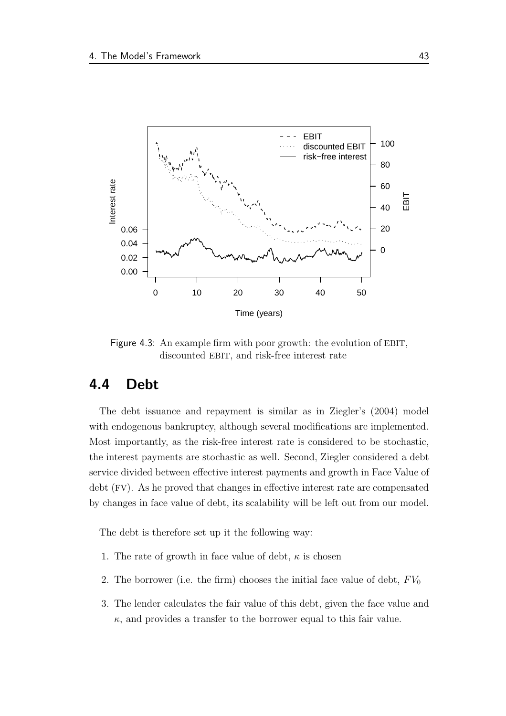<span id="page-53-0"></span>

Figure 4.3: An example firm with poor growth: the evolution of [EBIT](#page-8-1), discounted [EBIT](#page-8-1), and risk-free interest rate

# 4.4 Debt

The debt issuance and repayment is similar as in [Ziegler'](#page-85-2)s [\(2004\)](#page-85-2) model with endogenous bankruptcy, although several modifications are implemented. Most importantly, as the risk-free interest rate is considered to be stochastic, the interest payments are stochastic as well. Second, [Ziegler](#page-85-2) considered a debt service divided between effective interest payments and growth in Face Value of debt ([FV](#page-8-3)). As he proved that changes in effective interest rate are compensated by changes in face value of debt, its scalability will be left out from our model.

The debt is therefore set up it the following way:

- 1. The rate of growth in face value of debt,  $\kappa$  is chosen
- 2. The borrower (i.e. the firm) chooses the initial face value of debt,  $FV_0$
- 3. The lender calculates the fair value of this debt, given the face value and  $\kappa$ , and provides a transfer to the borrower equal to this fair value.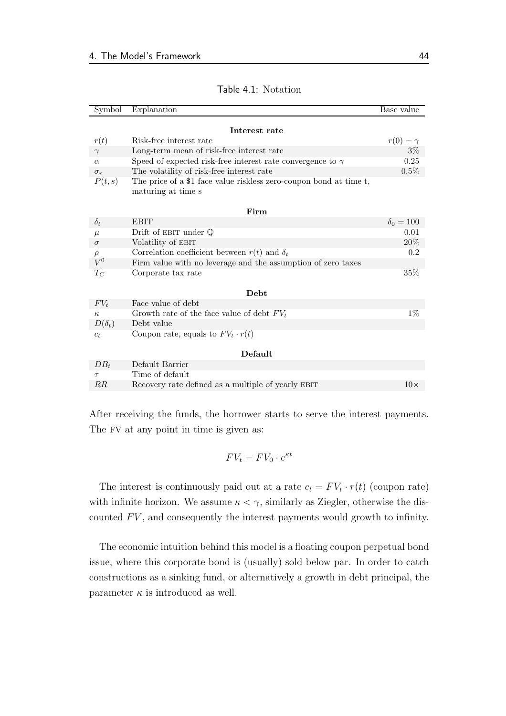<span id="page-54-0"></span>

| Symbol        | Explanation                                                        | Base value       |  |  |  |  |  |
|---------------|--------------------------------------------------------------------|------------------|--|--|--|--|--|
|               |                                                                    |                  |  |  |  |  |  |
| Interest rate |                                                                    |                  |  |  |  |  |  |
| r(t)          | Risk-free interest rate                                            | $r(0) = \gamma$  |  |  |  |  |  |
| $\gamma$      | Long-term mean of risk-free interest rate                          | $3\%$            |  |  |  |  |  |
| $\alpha$      | Speed of expected risk-free interest rate convergence to $\gamma$  | 0.25             |  |  |  |  |  |
| $\sigma_r$    | The volatility of risk-free interest rate                          | $0.5\%$          |  |  |  |  |  |
| P(t,s)        | The price of a \$1 face value riskless zero-coupon bond at time t, |                  |  |  |  |  |  |
|               | maturing at time s                                                 |                  |  |  |  |  |  |
|               |                                                                    |                  |  |  |  |  |  |
| Firm          |                                                                    |                  |  |  |  |  |  |
| $\delta_t$    | <b>EBIT</b>                                                        | $\delta_0 = 100$ |  |  |  |  |  |
| $\mu$         | Drift of EBIT under $\mathbb Q$                                    | 0.01             |  |  |  |  |  |
| $\sigma$      | Volatility of EBIT                                                 | 20%              |  |  |  |  |  |
| $\rho$        | Correlation coefficient between $r(t)$ and $\delta_t$              | 0.2              |  |  |  |  |  |
| $V^0$         | Firm value with no leverage and the assumption of zero taxes       |                  |  |  |  |  |  |
| $T_C$         | Corporate tax rate                                                 | 35%              |  |  |  |  |  |
|               |                                                                    |                  |  |  |  |  |  |
| Debt          |                                                                    |                  |  |  |  |  |  |
| $FV_t$        | Face value of debt                                                 |                  |  |  |  |  |  |
| $\kappa$      | Growth rate of the face value of debt $FV_t$                       | $1\%$            |  |  |  |  |  |
| $D(\delta_t)$ | Debt value                                                         |                  |  |  |  |  |  |
| $c_t$         | Coupon rate, equals to $FV_t \cdot r(t)$                           |                  |  |  |  |  |  |
|               |                                                                    |                  |  |  |  |  |  |
| Default       |                                                                    |                  |  |  |  |  |  |
| $DB_t$        | Default Barrier                                                    |                  |  |  |  |  |  |
| $\tau$        | Time of default                                                    |                  |  |  |  |  |  |
| RR            | Recovery rate defined as a multiple of yearly EBIT                 | $10\times$       |  |  |  |  |  |

Table 4.1: Notation

After receiving the funds, the borrower starts to serve the interest payments. The [FV](#page-8-3) at any point in time is given as:

$$
FV_t = FV_0 \cdot e^{\kappa t}
$$

The interest is continuously paid out at a rate  $c_t = F V_t \cdot r(t)$  (coupon rate) with infinite horizon. We assume  $\kappa < \gamma$ , similarly as [Ziegler,](#page-85-2) otherwise the discounted  $FV$ , and consequently the interest payments would growth to infinity.

The economic intuition behind this model is a floating coupon perpetual bond issue, where this corporate bond is (usually) sold below par. In order to catch constructions as a sinking fund, or alternatively a growth in debt principal, the parameter  $\kappa$  is introduced as well.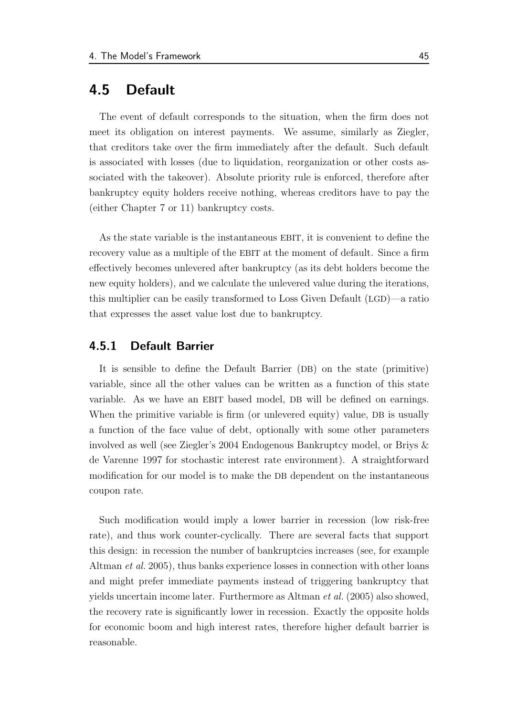# <span id="page-55-0"></span>4.5 Default

The event of default corresponds to the situation, when the firm does not meet its obligation on interest payments. We assume, similarly as [Ziegler](#page-85-2), that creditors take over the firm immediately after the default. Such default is associated with losses (due to liquidation, reorganization or other costs associated with the takeover). Absolute priority rule is enforced, therefore after bankruptcy equity holders receive nothing, whereas creditors have to pay the (either Chapter 7 or 11) bankruptcy costs.

As the state variable is the instantaneous [EBIT](#page-8-1), it is convenient to define the recovery value as a multiple of the [EBIT](#page-8-1) at the moment of default. Since a firm effectively becomes unlevered after bankruptcy (as its debt holders become the new equity holders), and we calculate the unlevered value during the iterations, this multiplier can be easily transformed to Loss Given Default ([LGD](#page-8-4))—a ratio that expresses the asset value lost due to bankruptcy.

### 4.5.1 Default Barrier

It is sensible to define the Default Barrier ([DB](#page-8-5)) on the state (primitive) variable, since all the other values can be written as a function of this state variable. As we have an [EBIT](#page-8-1) based model, [DB](#page-8-5) will be defined on earnings. When the primitive variable is firm (or unlevered equity) value, [DB](#page-8-5) is usually a function of the face value of debt, optionally with some other parameters involved as [well \(see](#page-82-3) [Ziegler'](#page-85-2)[s](#page-82-3) [2004](#page-85-2) [Endogenous Bankruptcy model, or](#page-82-3) Briys & de Varenne [1997](#page-82-3) for stochastic interest rate environment). A straightforward modification for our model is to make the [DB](#page-8-5) dependent on the instantaneous coupon rate.

Such modification would imply a lower barrier in recession (low risk-free rate), and thus work counter-cyclically. There are several facts that support this design: in recession the number of bankruptcies increases (see, for example [Altman](#page-81-4) et al. [2005\)](#page-81-4), thus banks experience losses in connection with other loans and might prefer immediate payments instead of triggering bankruptcy that yields uncertain income later. Furthermore as [Altman](#page-81-4) et al. [\(2005](#page-81-4)) also showed, the recovery rate is significantly lower in recession. Exactly the opposite holds for economic boom and high interest rates, therefore higher default barrier is reasonable.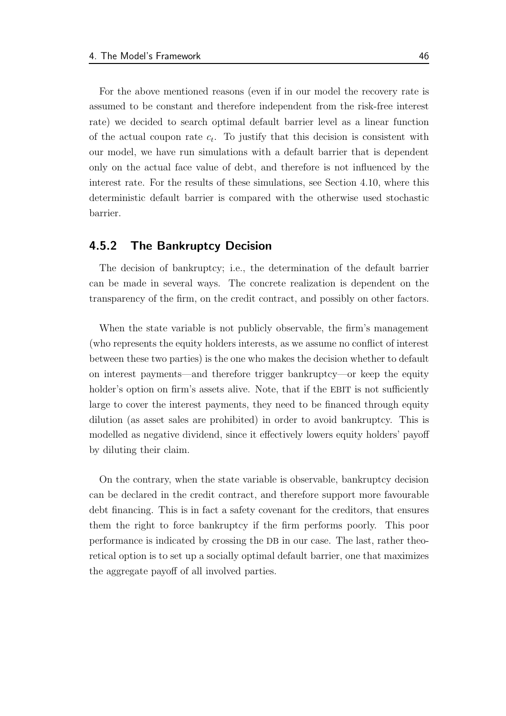For the above mentioned reasons (even if in our model the recovery rate is assumed to be constant and therefore independent from the risk-free interest rate) we decided to search optimal default barrier level as a linear function of the actual coupon rate  $c_t$ . To justify that this decision is consistent with our model, we have run simulations with a default barrier that is dependent only on the actual face value of debt, and therefore is not influenced by the interest rate. For the results of these simulations, see [Section 4.10,](#page-76-0) where this deterministic default barrier is compared with the otherwise used stochastic barrier.

### 4.5.2 The Bankruptcy Decision

The decision of bankruptcy; i.e., the determination of the default barrier can be made in several ways. The concrete realization is dependent on the transparency of the firm, on the credit contract, and possibly on other factors.

When the state variable is not publicly observable, the firm's management (who represents the equity holders interests, as we assume no conflict of interest between these two parties) is the one who makes the decision whether to default on interest payments—and therefore trigger bankruptcy—or keep the equity holder's option on firm's assets alive. Note, that if the [EBIT](#page-8-1) is not sufficiently large to cover the interest payments, they need to be financed through equity dilution (as asset sales are prohibited) in order to avoid bankruptcy. This is modelled as negative dividend, since it effectively lowers equity holders' payoff by diluting their claim.

On the contrary, when the state variable is observable, bankruptcy decision can be declared in the credit contract, and therefore support more favourable debt financing. This is in fact a safety covenant for the creditors, that ensures them the right to force bankruptcy if the firm performs poorly. This poor performance is indicated by crossing the [DB](#page-8-5) in our case. The last, rather theoretical option is to set up a socially optimal default barrier, one that maximizes the aggregate payoff of all involved parties.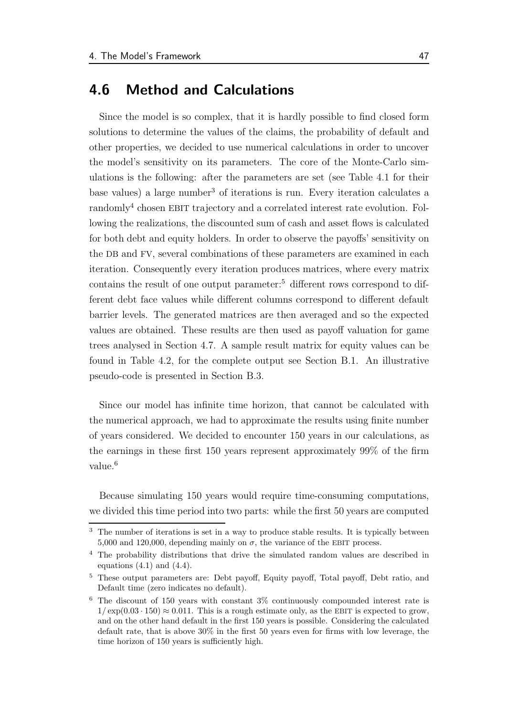# <span id="page-57-0"></span>4.6 Method and Calculations

Since the model is so complex, that it is hardly possible to find closed form solutions to determine the values of the claims, the probability of default and other properties, we decided to use numerical calculations in order to uncover the model's sensitivity on its parameters. The core of the Monte-Carlo simulations is the following: after the parameters are set (see Table [4.1](#page-54-0) for their base values) a large number<sup>[3](#page-57-1)</sup> of iterations is run. Every iteration calculates a randomly<sup>[4](#page-57-2)</sup> chosen [EBIT](#page-8-1) trajectory and a correlated interest rate evolution. Following the realizations, the discounted sum of cash and asset flows is calculated for both debt and equity holders. In order to observe the payoffs' sensitivity on the [DB](#page-8-5) and [FV](#page-8-3), several combinations of these parameters are examined in each iteration. Consequently every iteration produces matrices, where every matrix contains the result of one output parameter:<sup>[5](#page-57-3)</sup> different rows correspond to different debt face values while different columns correspond to different default barrier levels. The generated matrices are then averaged and so the expected values are obtained. These results are then used as payoff valuation for game trees analysed in Section [4.7.](#page-61-0) A sample result matrix for equity values can be found in Table [4.2,](#page-63-0) for the complete output see [Section B.1.](#page-88-0) An illustrative pseudo-code is presented in [Section B.3.](#page-93-0)

Since our model has infinite time horizon, that cannot be calculated with the numerical approach, we had to approximate the results using finite number of years considered. We decided to encounter 150 years in our calculations, as the earnings in these first 150 years represent approximately 99% of the firm value.<sup>[6](#page-57-4)</sup>

Because simulating 150 years would require time-consuming computations, we divided this time period into two parts: while the first 50 years are computed

<span id="page-57-1"></span><sup>3</sup> The number of iterations is set in a way to produce stable results. It is typically between 5,000 and 120,000, depending mainly on  $\sigma$ , the variance of the [EBIT](#page-8-1) process.

<span id="page-57-2"></span><sup>4</sup> The probability distributions that drive the simulated random values are described in equations  $(4.1)$  and  $(4.4)$ .

<span id="page-57-3"></span><sup>5</sup> These output parameters are: Debt payoff, Equity payoff, Total payoff, Debt ratio, and Default time (zero indicates no default).

<span id="page-57-4"></span> $6$  The discount of 150 years with constant  $3\%$  continuously compounded interest rate is  $1/\exp(0.03 \cdot 150) \approx 0.011$ . This is a rough estimate only, as the [EBIT](#page-8-1) is expected to grow, and on the other hand default in the first 150 years is possible. Considering the calculated default rate, that is above 30% in the first 50 years even for firms with low leverage, the time horizon of 150 years is sufficiently high.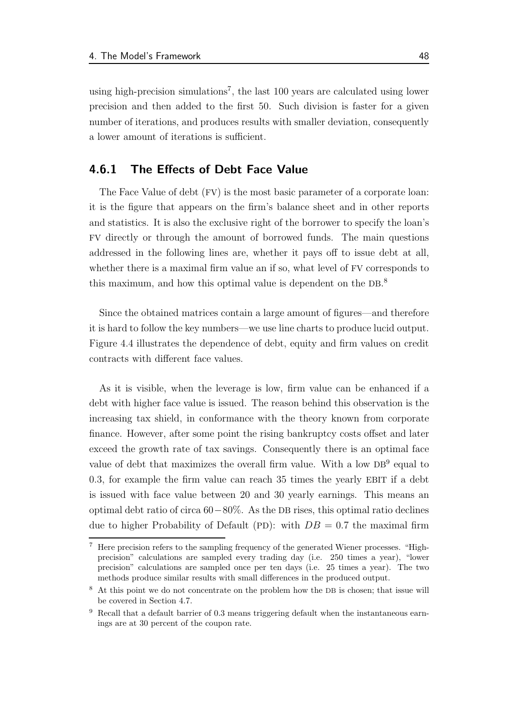using high-precision simulations<sup>[7](#page-58-0)</sup>, the last  $100$  years are calculated using lower precision and then added to the first 50. Such division is faster for a given number of iterations, and produces results with smaller deviation, consequently a lower amount of iterations is sufficient.

## <span id="page-58-3"></span>4.6.1 The Effects of Debt Face Value

The Face Value of debt ([FV](#page-8-3)) is the most basic parameter of a corporate loan: it is the figure that appears on the firm's balance sheet and in other reports and statistics. It is also the exclusive right of the borrower to specify the loan's [FV](#page-8-3) directly or through the amount of borrowed funds. The main questions addressed in the following lines are, whether it pays off to issue debt at all, whether there is a maximal firm value an if so, what level of [FV](#page-8-3) corresponds to this maximum, and how this optimal value is dependent on the [DB](#page-8-5). [8](#page-58-1)

Since the obtained matrices contain a large amount of figures—and therefore it is hard to follow the key numbers—we use line charts to produce lucid output. Figure [4.4](#page-59-0) illustrates the dependence of debt, equity and firm values on credit contracts with different face values.

As it is visible, when the leverage is low, firm value can be enhanced if a debt with higher face value is issued. The reason behind this observation is the increasing tax shield, in conformance with the theory known from corporate finance. However, after some point the rising bankruptcy costs offset and later exceed the growth rate of tax savings. Consequently there is an optimal face value of debt that maximizes the overall firm value. With a low [DB](#page-8-5)<sup>[9](#page-58-2)</sup> equal to 0.3, for example the firm value can reach 35 times the yearly [EBIT](#page-8-1) if a debt is issued with face value between 20 and 30 yearly earnings. This means an optimal debt ratio of circa 60−80%. As the [DB](#page-8-5) rises, this optimal ratio declines due to higher Probability of Default ([PD](#page-8-6)): with  $DB = 0.7$  the maximal firm

<span id="page-58-0"></span><sup>7</sup> Here precision refers to the sampling frequency of the generated Wiener processes. "Highprecision" calculations are sampled every trading day (i.e. 250 times a year), "lower precision" calculations are sampled once per ten days (i.e. 25 times a year). The two methods produce similar results with small differences in the produced output.

<span id="page-58-1"></span><sup>8</sup> At this point we do not concentrate on the problem how the [DB](#page-8-5) is chosen; that issue will be covered in Section [4.7.](#page-61-0)

<span id="page-58-2"></span><sup>9</sup> Recall that a default barrier of 0.3 means triggering default when the instantaneous earnings are at 30 percent of the coupon rate.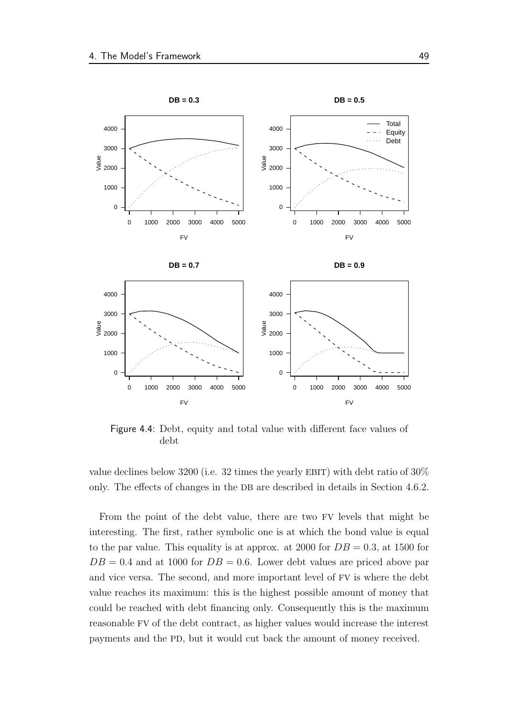<span id="page-59-0"></span>

Figure 4.4: Debt, equity and total value with different face values of debt

value declines below 3200 (i.e. 32 times the yearly [EBIT](#page-8-1)) with debt ratio of 30% only. The effects of changes in the [DB](#page-8-5) are described in details in Section [4.6.2.](#page-60-0)

From the point of the debt value, there are two [FV](#page-8-3) levels that might be interesting. The first, rather symbolic one is at which the bond value is equal to the par value. This equality is at approx. at 2000 for  $DB = 0.3$ , at 1500 for  $DB = 0.4$  and at 1000 for  $DB = 0.6$ . Lower debt values are priced above par and vice versa. The second, and more important level of [FV](#page-8-3) is where the debt value reaches its maximum: this is the highest possible amount of money that could be reached with debt financing only. Consequently this is the maximum reasonable [FV](#page-8-3) of the debt contract, as higher values would increase the interest payments and the [PD](#page-8-6), but it would cut back the amount of money received.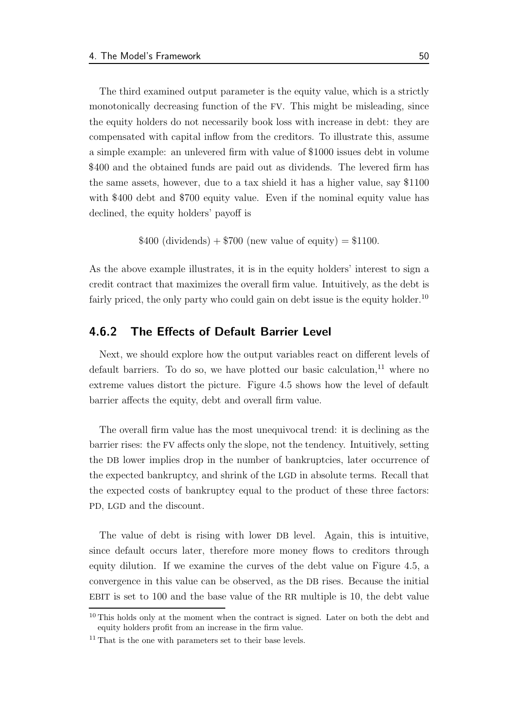The third examined output parameter is the equity value, which is a strictly monotonically decreasing function of the [FV](#page-8-3). This might be misleading, since the equity holders do not necessarily book loss with increase in debt: they are compensated with capital inflow from the creditors. To illustrate this, assume a simple example: an unlevered firm with value of \$1000 issues debt in volume \$400 and the obtained funds are paid out as dividends. The levered firm has the same assets, however, due to a tax shield it has a higher value, say \$1100 with \$400 debt and \$700 equity value. Even if the nominal equity value has declined, the equity holders' payoff is

 $$400$  (dividends) + \$700 (new value of equity) = \$1100.

As the above example illustrates, it is in the equity holders' interest to sign a credit contract that maximizes the overall firm value. Intuitively, as the debt is fairly priced, the only party who could gain on debt issue is the equity holder.<sup>[10](#page-60-1)</sup>

# <span id="page-60-0"></span>4.6.2 The Effects of Default Barrier Level

Next, we should explore how the output variables react on different levels of default barriers. To do so, we have plotted our basic calculation,  $11$  where no extreme values distort the picture. Figure [4.5](#page-61-1) shows how the level of default barrier affects the equity, debt and overall firm value.

The overall firm value has the most unequivocal trend: it is declining as the barrier rises: the [FV](#page-8-3) affects only the slope, not the tendency. Intuitively, setting the [DB](#page-8-5) lower implies drop in the number of bankruptcies, later occurrence of the expected bankruptcy, and shrink of the [LGD](#page-8-4) in absolute terms. Recall that the expected costs of bankruptcy equal to the product of these three factors: [PD](#page-8-6), [LGD](#page-8-4) and the discount.

The value of debt is rising with lower [DB](#page-8-5) level. Again, this is intuitive, since default occurs later, therefore more money flows to creditors through equity dilution. If we examine the curves of the debt value on Figure [4.5,](#page-61-1) a convergence in this value can be observed, as the [DB](#page-8-5) rises. Because the initial [EBIT](#page-8-1) is set to 100 and the base value of the [RR](#page-8-7) multiple is 10, the debt value

<span id="page-60-1"></span> $10$  This holds only at the moment when the contract is signed. Later on both the debt and equity holders profit from an increase in the firm value.

<span id="page-60-2"></span><sup>&</sup>lt;sup>11</sup> That is the one with parameters set to their base levels.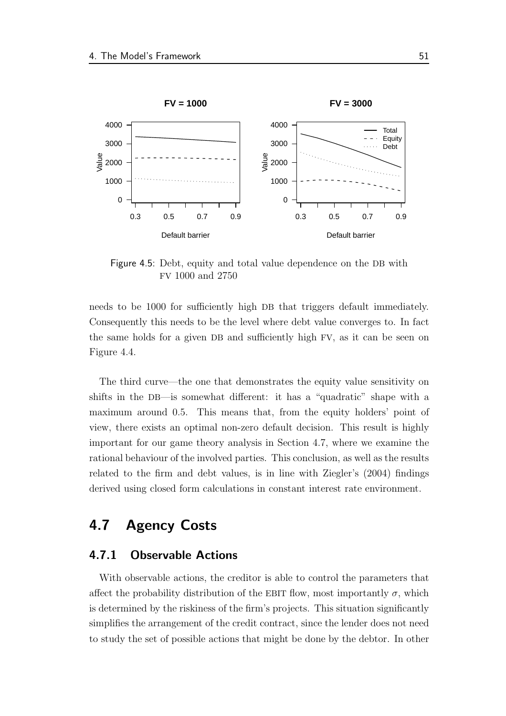<span id="page-61-1"></span>

Figure 4.5: Debt, equity and total value dependence on the [DB](#page-8-5) with [FV](#page-8-3) 1000 and 2750

needs to be 1000 for sufficiently high [DB](#page-8-5) that triggers default immediately. Consequently this needs to be the level where debt value converges to. In fact the same holds for a given [DB](#page-8-5) and sufficiently high [FV](#page-8-3), as it can be seen on Figure [4.4.](#page-59-0)

The third curve—the one that demonstrates the equity value sensitivity on shifts in the [DB](#page-8-5)—is somewhat different: it has a "quadratic" shape with a maximum around 0.5. This means that, from the equity holders' point of view, there exists an optimal non-zero default decision. This result is highly important for our game theory analysis in Section [4.7,](#page-61-0) where we examine the rational behaviour of the involved parties. This conclusion, as well as the results related to the firm and debt values, is in line with [Ziegler'](#page-85-2)s [\(2004](#page-85-2)) findings derived using closed form calculations in constant interest rate environment.

# <span id="page-61-0"></span>4.7 Agency Costs

# 4.7.1 Observable Actions

With observable actions, the creditor is able to control the parameters that affect the probability distribution of the [EBIT](#page-8-1) flow, most importantly  $\sigma$ , which is determined by the riskiness of the firm's projects. This situation significantly simplifies the arrangement of the credit contract, since the lender does not need to study the set of possible actions that might be done by the debtor. In other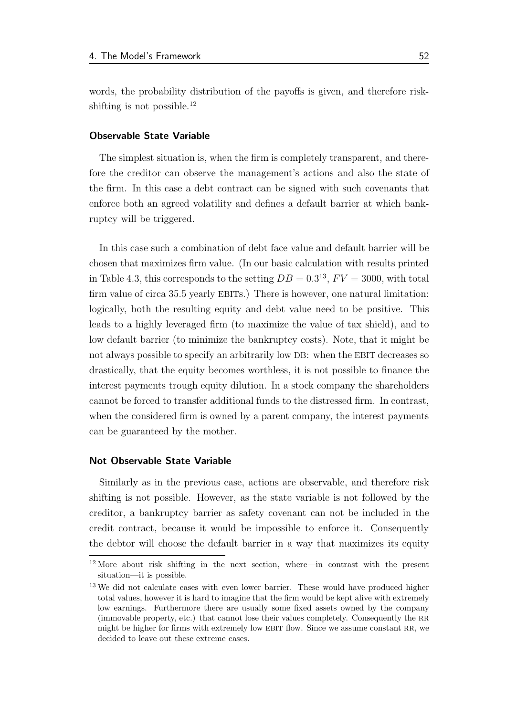words, the probability distribution of the payoffs is given, and therefore risk-shifting is not possible.<sup>[12](#page-62-0)</sup>

### Observable State Variable

The simplest situation is, when the firm is completely transparent, and therefore the creditor can observe the management's actions and also the state of the firm. In this case a debt contract can be signed with such covenants that enforce both an agreed volatility and defines a default barrier at which bankruptcy will be triggered.

In this case such a combination of debt face value and default barrier will be chosen that maximizes firm value. (In our basic calculation with results printed in [Table 4.3,](#page-64-0) this corresponds to the setting  $DB = 0.3^{13}$  $DB = 0.3^{13}$  $DB = 0.3^{13}$ ,  $FV = 3000$ , with total firm value of circa 35.5 yearly [EBIT](#page-8-1)s.) There is however, one natural limitation: logically, both the resulting equity and debt value need to be positive. This leads to a highly leveraged firm (to maximize the value of tax shield), and to low default barrier (to minimize the bankruptcy costs). Note, that it might be not always possible to specify an arbitrarily low [DB](#page-8-5): when the [EBIT](#page-8-1) decreases so drastically, that the equity becomes worthless, it is not possible to finance the interest payments trough equity dilution. In a stock company the shareholders cannot be forced to transfer additional funds to the distressed firm. In contrast, when the considered firm is owned by a parent company, the interest payments can be guaranteed by the mother.

### Not Observable State Variable

Similarly as in the previous case, actions are observable, and therefore risk shifting is not possible. However, as the state variable is not followed by the creditor, a bankruptcy barrier as safety covenant can not be included in the credit contract, because it would be impossible to enforce it. Consequently the debtor will choose the default barrier in a way that maximizes its equity

<span id="page-62-0"></span><sup>12</sup> More about risk shifting in the next section, where—in contrast with the present situation—it is possible.

<span id="page-62-1"></span><sup>&</sup>lt;sup>13</sup> We did not calculate cases with even lower barrier. These would have produced higher total values, however it is hard to imagine that the firm would be kept alive with extremely low earnings. Furthermore there are usually some fixed assets owned by the company (immovable property, etc.) that cannot lose their values completely. Consequently the [RR](#page-8-7) might be higher for firms with extremely low [EBIT](#page-8-1) flow. Since we assume constant [RR](#page-8-7), we decided to leave out these extreme cases.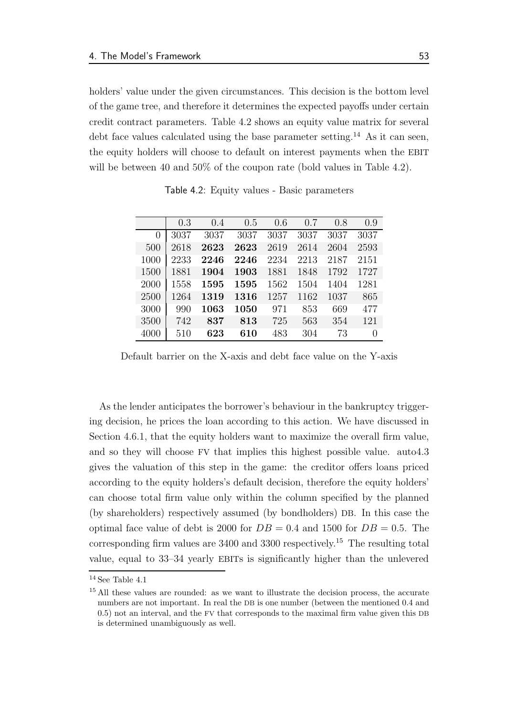holders' value under the given circumstances. This decision is the bottom level of the game tree, and therefore it determines the expected payoffs under certain credit contract parameters. Table [4.2](#page-63-0) shows an equity value matrix for several debt face values calculated using the base parameter setting.<sup>[14](#page-63-1)</sup> As it can seen, the equity holders will choose to default on interest payments when the [EBIT](#page-8-1) will be between 40 and 50% of the coupon rate (bold values in Table [4.2\)](#page-63-0).

<span id="page-63-0"></span>

|          | 0.3  | 0.4      | 0.5      | 0.6  | 0.7  | 0.8  | 0.9  |
|----------|------|----------|----------|------|------|------|------|
| $\theta$ | 3037 | 3037     | 3037     | 3037 | 3037 | 3037 | 3037 |
| 500      | 2618 | 2623     | 2623     | 2619 | 2614 | 2604 | 2593 |
| 1000     | 2233 | 2246     | 2246     | 2234 | 2213 | 2187 | 2151 |
| 1500     | 1881 | 1904     | 1903     | 1881 | 1848 | 1792 | 1727 |
| 2000     | 1558 | 1595     | $1595\,$ | 1562 | 1504 | 1404 | 1281 |
| 2500     | 1264 | 1319     | $1316\,$ | 1257 | 1162 | 1037 | 865  |
| 3000     | 990  | $1063\,$ | 1050     | 971  | 853  | 669  | 477  |
| 3500     | 742  | 837      | 813      | 725  | 563  | 354  | 121  |
| 4000     | 510  | 623      | 610      | 483  | 304  | 73   | 0    |

Table 4.2: Equity values - Basic parameters

Default barrier on the X-axis and debt face value on the Y-axis

As the lender anticipates the borrower's behaviour in the bankruptcy triggering decision, he prices the loan according to this action. We have discussed in Section [4.6.1,](#page-58-3) that the equity holders want to maximize the overall firm value, and so they will choose [FV](#page-8-3) that implies this highest possible value. aut[o4.3](#page-64-0) gives the valuation of this step in the game: the creditor offers loans priced according to the equity holders's default decision, therefore the equity holders' can choose total firm value only within the column specified by the planned (by shareholders) respectively assumed (by bondholders) [DB](#page-8-5). In this case the optimal face value of debt is 2000 for  $DB = 0.4$  and 1500 for  $DB = 0.5$ . The corresponding firm values are  $3400$  and  $3300$  respectively.<sup>[15](#page-63-2)</sup> The resulting total value, equal to 33–34 yearly [EBIT](#page-8-1)s is significantly higher than the unlevered

 $14$  See Table [4.1](#page-54-0)

<span id="page-63-2"></span><span id="page-63-1"></span><sup>&</sup>lt;sup>15</sup> All these values are rounded: as we want to illustrate the decision process, the accurate numbers are not important. In real the [DB](#page-8-5) is one number (between the mentioned 0.4 and 0.5) not an interval, and the [FV](#page-8-3) that corresponds to the maximal firm value given this [DB](#page-8-5) is determined unambiguously as well.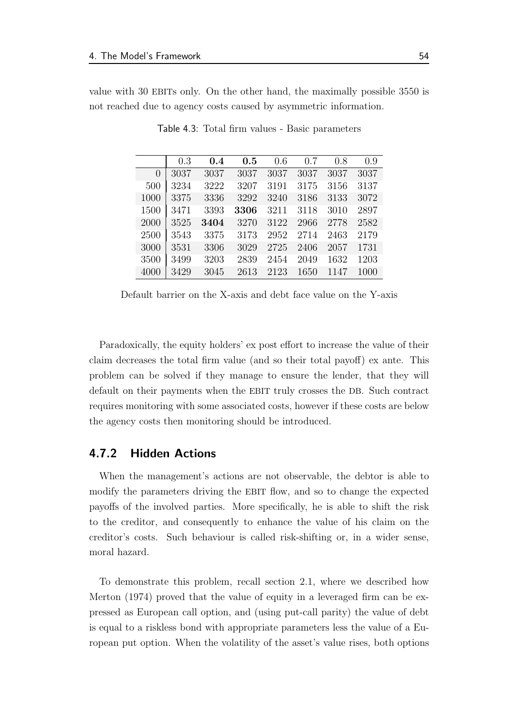<span id="page-64-0"></span>value with 30 [EBIT](#page-8-1)s only. On the other hand, the maximally possible 3550 is not reached due to agency costs caused by asymmetric information.

|                | 0.3  | 0.4  | 0.5  | 0.6  | 0.7  | 0.8  | 0.9  |
|----------------|------|------|------|------|------|------|------|
| $\overline{0}$ | 3037 | 3037 | 3037 | 3037 | 3037 | 3037 | 3037 |
| 500            | 3234 | 3222 | 3207 | 3191 | 3175 | 3156 | 3137 |
| 1000           | 3375 | 3336 | 3292 | 3240 | 3186 | 3133 | 3072 |
| 1500           | 3471 | 3393 | 3306 | 3211 | 3118 | 3010 | 2897 |
| 2000           | 3525 | 3404 | 3270 | 3122 | 2966 | 2778 | 2582 |
| 2500           | 3543 | 3375 | 3173 | 2952 | 2714 | 2463 | 2179 |
| 3000           | 3531 | 3306 | 3029 | 2725 | 2406 | 2057 | 1731 |
| 3500           | 3499 | 3203 | 2839 | 2454 | 2049 | 1632 | 1203 |
| 4000           | 3429 | 3045 | 2613 | 2123 | 1650 | 1147 | 1000 |

Table 4.3: Total firm values - Basic parameters

Default barrier on the X-axis and debt face value on the Y-axis

Paradoxically, the equity holders' ex post effort to increase the value of their claim decreases the total firm value (and so their total payoff) ex ante. This problem can be solved if they manage to ensure the lender, that they will default on their payments when the [EBIT](#page-8-1) truly crosses the [DB](#page-8-5). Such contract requires monitoring with some associated costs, however if these costs are below the agency costs then monitoring should be introduced.

# 4.7.2 Hidden Actions

When the management's actions are not observable, the debtor is able to modify the parameters driving the [EBIT](#page-8-1) flow, and so to change the expected payoffs of the involved parties. More specifically, he is able to shift the risk to the creditor, and consequently to enhance the value of his claim on the creditor's costs. Such behaviour is called risk-shifting or, in a wider sense, moral hazard.

To demonstrate this problem, recall section [2.1,](#page-14-0) where we described how [Merton \(1974\)](#page-84-3) proved that the value of equity in a leveraged firm can be expressed as European call option, and (using put-call parity) the value of debt is equal to a riskless bond with appropriate parameters less the value of a European put option. When the volatility of the asset's value rises, both options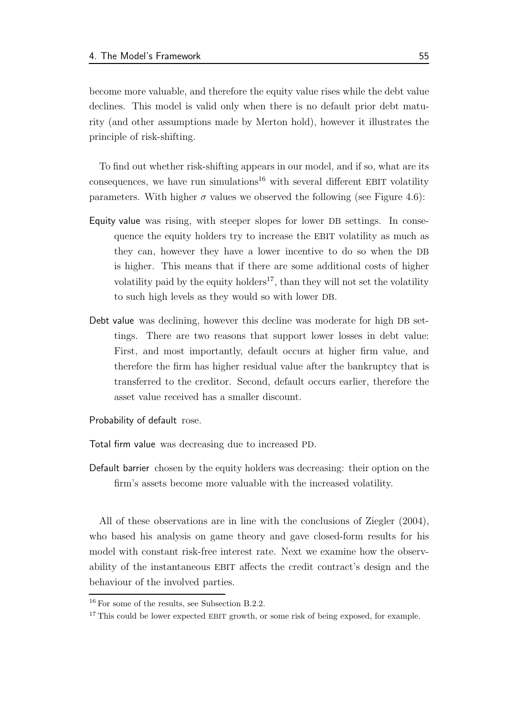become more valuable, and therefore the equity value rises while the debt value declines. This model is valid only when there is no default prior debt maturity (and other assumptions made by [Merton](#page-84-3) hold), however it illustrates the principle of risk-shifting.

To find out whether risk-shifting appears in our model, and if so, what are its consequences, we have run simulations<sup>[16](#page-65-0)</sup> with several different [EBIT](#page-8-1) volatility parameters. With higher  $\sigma$  values we observed the following (see Figure [4.6\)](#page-66-0):

- Equity value was rising, with steeper slopes for lower [DB](#page-8-5) settings. In consequence the equity holders try to increase the [EBIT](#page-8-1) volatility as much as they can, however they have a lower incentive to do so when the [DB](#page-8-5) is higher. This means that if there are some additional costs of higher volatility paid by the equity holders<sup>[17](#page-65-1)</sup>, than they will not set the volatility to such high levels as they would so with lower [DB](#page-8-5).
- Debt value was declining, however this decline was moderate for high [DB](#page-8-5) settings. There are two reasons that support lower losses in debt value: First, and most importantly, default occurs at higher firm value, and therefore the firm has higher residual value after the bankruptcy that is transferred to the creditor. Second, default occurs earlier, therefore the asset value received has a smaller discount.

Probability of default rose.

Total firm value was decreasing due to increased [PD](#page-8-6).

Default barrier chosen by the equity holders was decreasing: their option on the firm's assets become more valuable with the increased volatility.

All of these observations are in line with the conclusions of [Ziegler \(2004\)](#page-85-2), who based his analysis on game theory and gave closed-form results for his model with constant risk-free interest rate. Next we examine how the observability of the instantaneous [EBIT](#page-8-1) affects the credit contract's design and the behaviour of the involved parties.

<sup>16</sup> For some of the results, see [Subsection B.2.2.](#page-92-0)

<span id="page-65-1"></span><span id="page-65-0"></span><sup>&</sup>lt;sup>17</sup> This could be lower expected [EBIT](#page-8-1) growth, or some risk of being exposed, for example.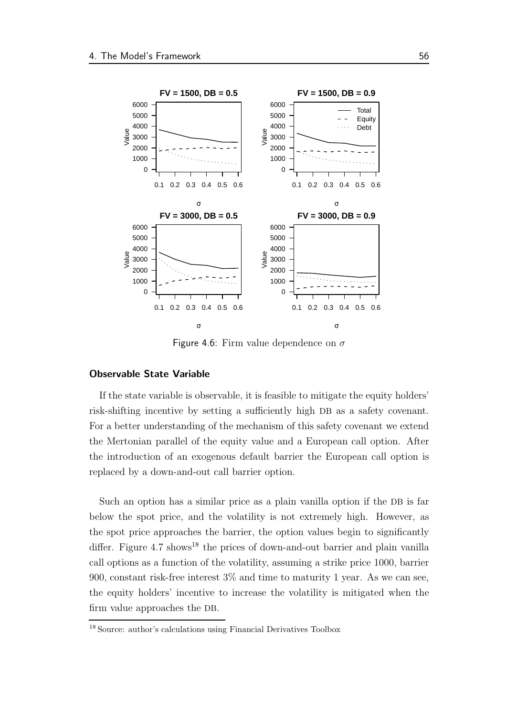<span id="page-66-0"></span>

Figure 4.6: Firm value dependence on  $\sigma$ 

#### Observable State Variable

If the state variable is observable, it is feasible to mitigate the equity holders' risk-shifting incentive by setting a sufficiently high [DB](#page-8-5) as a safety covenant. For a better understanding of the mechanism of this safety covenant we extend the Mertonian parallel of the equity value and a European call option. After the introduction of an exogenous default barrier the European call option is replaced by a down-and-out call barrier option.

Such an option has a similar price as a plain vanilla option if the [DB](#page-8-5) is far below the spot price, and the volatility is not extremely high. However, as the spot price approaches the barrier, the option values begin to significantly differ. Figure  $4.7 \text{ shows}^{18}$  $4.7 \text{ shows}^{18}$  $4.7 \text{ shows}^{18}$  the prices of down-and-out barrier and plain vanilla call options as a function of the volatility, assuming a strike price 1000, barrier 900, constant risk-free interest 3% and time to maturity 1 year. As we can see, the equity holders' incentive to increase the volatility is mitigated when the firm value approaches the [DB](#page-8-5).

<span id="page-66-1"></span><sup>18</sup> Source: author's calculations using Financial Derivatives Toolbox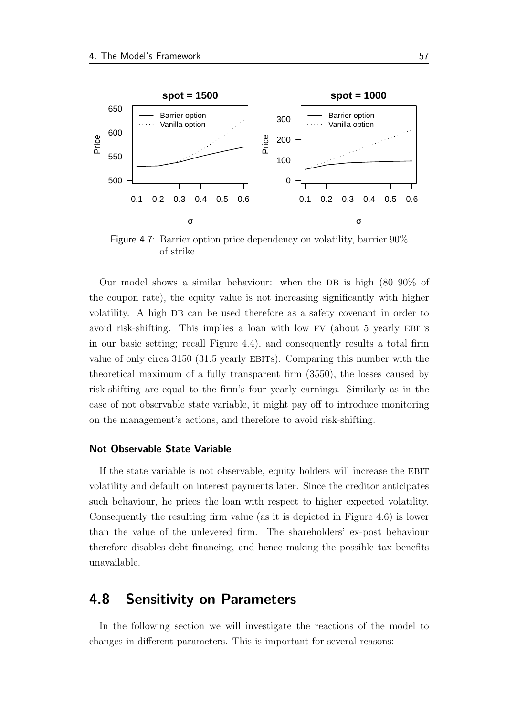<span id="page-67-1"></span>

Figure 4.7: Barrier option price dependency on volatility, barrier 90% of strike

Our model shows a similar behaviour: when the [DB](#page-8-5) is high (80–90% of the coupon rate), the equity value is not increasing significantly with higher volatility. A high [DB](#page-8-5) can be used therefore as a safety covenant in order to avoid risk-shifting. This implies a loan with low [FV](#page-8-3) (about 5 yearly [EBIT](#page-8-1)s in our basic setting; recall Figure [4.4\)](#page-59-0), and consequently results a total firm value of only circa 3150 (31.5 yearly [EBIT](#page-8-1)s). Comparing this number with the theoretical maximum of a fully transparent firm (3550), the losses caused by risk-shifting are equal to the firm's four yearly earnings. Similarly as in the case of not observable state variable, it might pay off to introduce monitoring on the management's actions, and therefore to avoid risk-shifting.

#### Not Observable State Variable

If the state variable is not observable, equity holders will increase the [EBIT](#page-8-1) volatility and default on interest payments later. Since the creditor anticipates such behaviour, he prices the loan with respect to higher expected volatility. Consequently the resulting firm value (as it is depicted in Figure [4.6\)](#page-66-0) is lower than the value of the unlevered firm. The shareholders' ex-post behaviour therefore disables debt financing, and hence making the possible tax benefits unavailable.

# <span id="page-67-0"></span>4.8 Sensitivity on Parameters

In the following section we will investigate the reactions of the model to changes in different parameters. This is important for several reasons: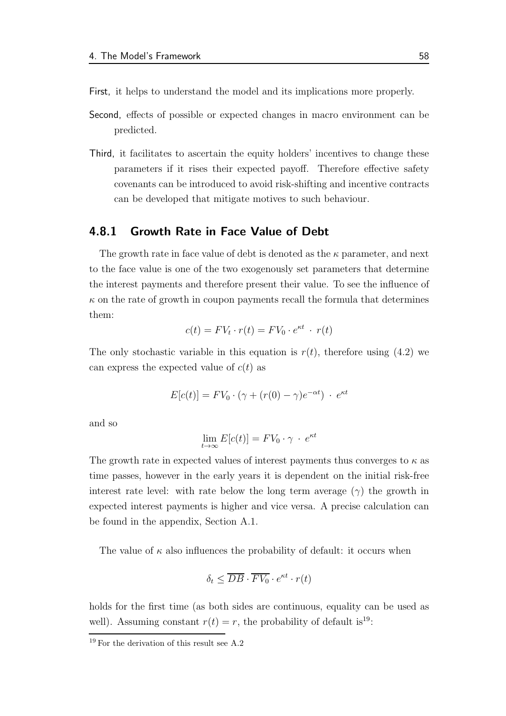First, it helps to understand the model and its implications more properly.

- Second, effects of possible or expected changes in macro environment can be predicted.
- Third, it facilitates to ascertain the equity holders' incentives to change these parameters if it rises their expected payoff. Therefore effective safety covenants can be introduced to avoid risk-shifting and incentive contracts can be developed that mitigate motives to such behaviour.

### 4.8.1 Growth Rate in Face Value of Debt

The growth rate in face value of debt is denoted as the  $\kappa$  parameter, and next to the face value is one of the two exogenously set parameters that determine the interest payments and therefore present their value. To see the influence of  $\kappa$  on the rate of growth in coupon payments recall the formula that determines them:

$$
c(t) = FV_t \cdot r(t) = FV_0 \cdot e^{\kappa t} \cdot r(t)
$$

The only stochastic variable in this equation is  $r(t)$ , therefore using [\(4.2\)](#page-49-2) we can express the expected value of  $c(t)$  as

$$
E[c(t)] = FV_0 \cdot (\gamma + (r(0) - \gamma)e^{-\alpha t}) \cdot e^{\kappa t}
$$

and so

$$
\lim_{t \to \infty} E[c(t)] = FV_0 \cdot \gamma \cdot e^{\kappa t}
$$

The growth rate in expected values of interest payments thus converges to  $\kappa$  as time passes, however in the early years it is dependent on the initial risk-free interest rate level: with rate below the long term average  $(\gamma)$  the growth in expected interest payments is higher and vice versa. A precise calculation can be found in the appendix, Section [A.1.](#page-86-0)

The value of  $\kappa$  also influences the probability of default: it occurs when

$$
\delta_t \leq \overline{DB} \cdot \overline{FV_0} \cdot e^{\kappa t} \cdot r(t)
$$

holds for the first time (as both sides are continuous, equality can be used as well). Assuming constant  $r(t) = r$ , the probability of default is<sup>[19](#page-68-0)</sup>:

<span id="page-68-0"></span><sup>19</sup> For the derivation of this result see [A.2](#page-86-1)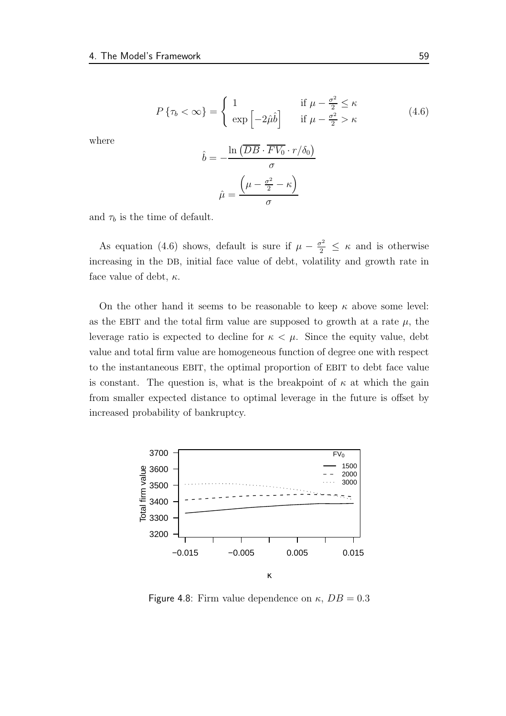<span id="page-69-0"></span>
$$
P\{\tau_b < \infty\} = \begin{cases} 1 & \text{if } \mu - \frac{\sigma^2}{2} \le \kappa \\ \exp\left[-2\hat{\mu}\hat{b}\right] & \text{if } \mu - \frac{\sigma^2}{2} > \kappa \end{cases} \tag{4.6}
$$

where

$$
\hat{b} = -\frac{\ln\left(\overline{DB} \cdot \overline{FV_0} \cdot r/\delta_0\right)}{\sigma}
$$

$$
\hat{\mu} = \frac{\left(\mu - \frac{\sigma^2}{2} - \kappa\right)}{\sigma}
$$

and  $\tau_b$  is the time of default.

As equation [\(4.6\)](#page-69-0) shows, default is sure if  $\mu - \frac{\sigma^2}{2} \leq \kappa$  and is otherwise increasing in the [DB](#page-8-5), initial face value of debt, volatility and growth rate in face value of debt,  $\kappa$ .

On the other hand it seems to be reasonable to keep  $\kappa$  above some level: as the [EBIT](#page-8-1) and the total firm value are supposed to growth at a rate  $\mu$ , the leverage ratio is expected to decline for  $\kappa < \mu$ . Since the equity value, debt value and total firm value are homogeneous function of degree one with respect to the instantaneous [EBIT](#page-8-1), the optimal proportion of [EBIT](#page-8-1) to debt face value is constant. The question is, what is the breakpoint of  $\kappa$  at which the gain from smaller expected distance to optimal leverage in the future is offset by increased probability of bankruptcy.

<span id="page-69-1"></span>

Figure 4.8: Firm value dependence on  $\kappa$ ,  $DB = 0.3$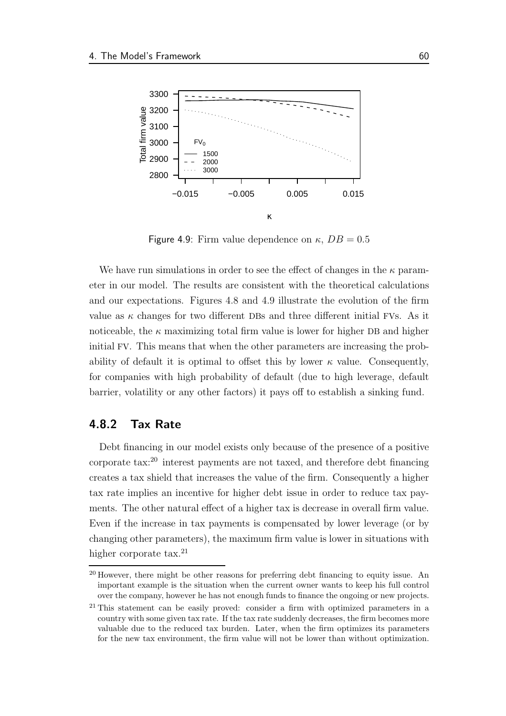<span id="page-70-0"></span>

Figure 4.9: Firm value dependence on  $\kappa$ ,  $DB = 0.5$ 

We have run simulations in order to see the effect of changes in the  $\kappa$  parameter in our model. The results are consistent with the theoretical calculations and our expectations. Figures [4.8](#page-69-1) and [4.9](#page-70-0) illustrate the evolution of the firm value as  $\kappa$  changes for two different [DB](#page-8-5)s and three different initial [FV](#page-8-3)s. As it noticeable, the  $\kappa$  maximizing total firm value is lower for higher [DB](#page-8-5) and higher initial [FV](#page-8-3). This means that when the other parameters are increasing the probability of default it is optimal to offset this by lower  $\kappa$  value. Consequently, for companies with high probability of default (due to high leverage, default barrier, volatility or any other factors) it pays off to establish a sinking fund.

# 4.8.2 Tax Rate

Debt financing in our model exists only because of the presence of a positive corporate tax: $^{20}$  $^{20}$  $^{20}$  interest payments are not taxed, and therefore debt financing creates a tax shield that increases the value of the firm. Consequently a higher tax rate implies an incentive for higher debt issue in order to reduce tax payments. The other natural effect of a higher tax is decrease in overall firm value. Even if the increase in tax payments is compensated by lower leverage (or by changing other parameters), the maximum firm value is lower in situations with higher corporate tax.<sup>[21](#page-70-2)</sup>

<span id="page-70-1"></span><sup>&</sup>lt;sup>20</sup> However, there might be other reasons for preferring debt financing to equity issue. An important example is the situation when the current owner wants to keep his full control over the company, however he has not enough funds to finance the ongoing or new projects.

<span id="page-70-2"></span><sup>&</sup>lt;sup>21</sup> This statement can be easily proved: consider a firm with optimized parameters in a country with some given tax rate. If the tax rate suddenly decreases, the firm becomes more valuable due to the reduced tax burden. Later, when the firm optimizes its parameters for the new tax environment, the firm value will not be lower than without optimization.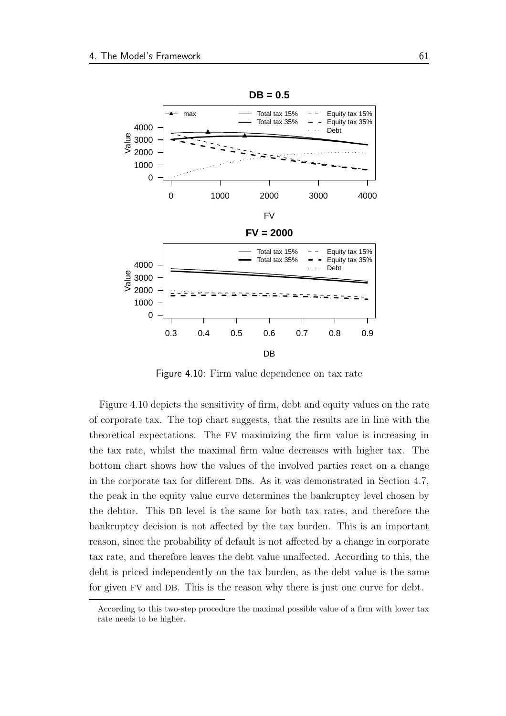<span id="page-71-0"></span>

Figure 4.10: Firm value dependence on tax rate

Figure [4.10](#page-71-0) depicts the sensitivity of firm, debt and equity values on the rate of corporate tax. The top chart suggests, that the results are in line with the theoretical expectations. The [FV](#page-8-3) maximizing the firm value is increasing in the tax rate, whilst the maximal firm value decreases with higher tax. The bottom chart shows how the values of the involved parties react on a change in the corporate tax for different [DB](#page-8-5)s. As it was demonstrated in Section [4.7,](#page-61-0) the peak in the equity value curve determines the bankruptcy level chosen by the debtor. This [DB](#page-8-5) level is the same for both tax rates, and therefore the bankruptcy decision is not affected by the tax burden. This is an important reason, since the probability of default is not affected by a change in corporate tax rate, and therefore leaves the debt value unaffected. According to this, the debt is priced independently on the tax burden, as the debt value is the same for given [FV](#page-8-3) and [DB](#page-8-5). This is the reason why there is just one curve for debt.

According to this two-step procedure the maximal possible value of a firm with lower tax rate needs to be higher.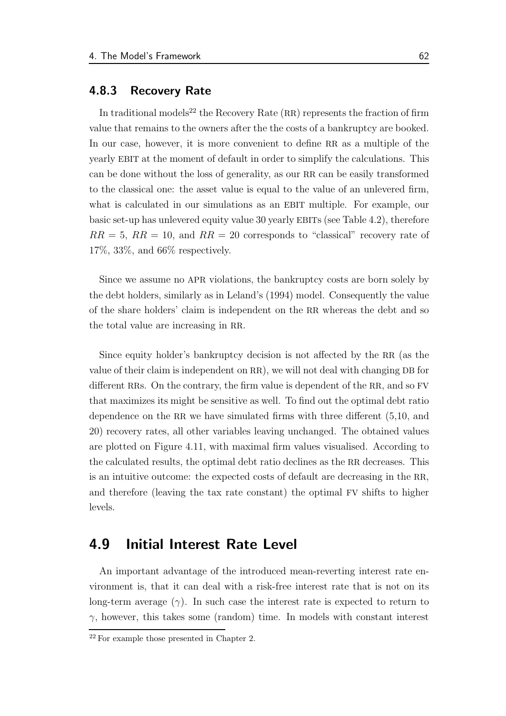#### <span id="page-72-2"></span>4.8.3 Recovery Rate

In traditional models<sup>[22](#page-72-0)</sup> the Recovery Rate  $(RR)$  $(RR)$  $(RR)$  represents the fraction of firm value that remains to the owners after the the costs of a bankruptcy are booked. In our case, however, it is more convenient to define [RR](#page-8-0) as a multiple of the yearly [EBIT](#page-8-1) at the moment of default in order to simplify the calculations. This can be done without the loss of generality, as our [RR](#page-8-0) can be easily transformed to the classical one: the asset value is equal to the value of an unlevered firm, what is calculated in our simulations as an [EBIT](#page-8-1) multiple. For example, our basic set-up has unlevered equity value 30 yearly [EBIT](#page-8-1)s (see Table [4.2\)](#page-63-0), therefore  $RR = 5$ ,  $RR = 10$ , and  $RR = 20$  corresponds to "classical" recovery rate of 17%, 33%, and 66% respectively.

Since we assume no [APR](#page-8-2) violations, the bankruptcy costs are born solely by the debt holders, similarly as in [Leland](#page-84-0)'s [\(1994](#page-84-0)) model. Consequently the value of the share holders' claim is independent on the [RR](#page-8-0) whereas the debt and so the total value are increasing in [RR](#page-8-0).

Since equity holder's bankruptcy decision is not affected by the [RR](#page-8-0) (as the value of their claim is independent on [RR](#page-8-0)), we will not deal with changing [DB](#page-8-3) for different [RR](#page-8-0)s. On the contrary, the firm value is dependent of the [RR](#page-8-0), and so [FV](#page-8-4) that maximizes its might be sensitive as well. To find out the optimal debt ratio dependence on the [RR](#page-8-0) we have simulated firms with three different (5,10, and 20) recovery rates, all other variables leaving unchanged. The obtained values are plotted on Figure [4.11,](#page-73-0) with maximal firm values visualised. According to the calculated results, the optimal debt ratio declines as the [RR](#page-8-0) decreases. This is an intuitive outcome: the expected costs of default are decreasing in the [RR](#page-8-0), and therefore (leaving the tax rate constant) the optimal [FV](#page-8-4) shifts to higher levels.

#### <span id="page-72-1"></span>4.9 Initial Interest Rate Level

An important advantage of the introduced mean-reverting interest rate environment is, that it can deal with a risk-free interest rate that is not on its long-term average  $(\gamma)$ . In such case the interest rate is expected to return to  $\gamma$ , however, this takes some (random) time. In models with constant interest

<span id="page-72-0"></span><sup>22</sup> For example those presented in Chapter [2.](#page-13-0)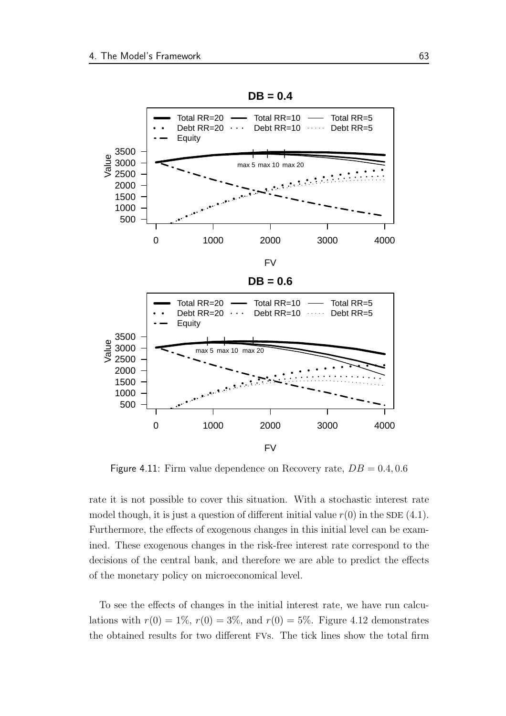<span id="page-73-0"></span>

**DB = 0.4**

Figure 4.11: Firm value dependence on Recovery rate,  $DB = 0.4, 0.6$ 

FV

0 1000 2000 3000 4000

rate it is not possible to cover this situation. With a stochastic interest rate model though, it is just a question of different initial value  $r(0)$  in the [SDE](#page-8-5) [\(4.1\)](#page-48-0). Furthermore, the effects of exogenous changes in this initial level can be examined. These exogenous changes in the risk-free interest rate correspond to the decisions of the central bank, and therefore we are able to predict the effects of the monetary policy on microeconomical level.

To see the effects of changes in the initial interest rate, we have run calculations with  $r(0) = 1\%, r(0) = 3\%,$  and  $r(0) = 5\%.$  Figure [4.12](#page-74-0) demonstrates the obtained results for two different [FV](#page-8-4)s. The tick lines show the total firm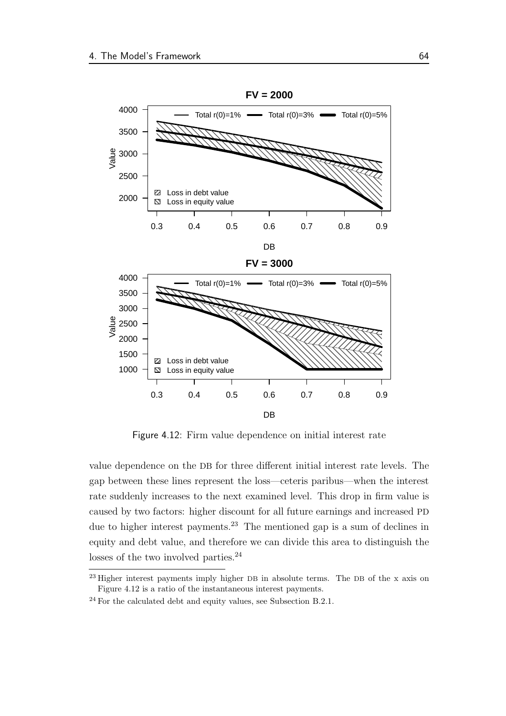<span id="page-74-0"></span>

Figure 4.12: Firm value dependence on initial interest rate

value dependence on the [DB](#page-8-3) for three different initial interest rate levels. The gap between these lines represent the loss—ceteris paribus—when the interest rate suddenly increases to the next examined level. This drop in firm value is caused by two factors: higher discount for all future earnings and increased [PD](#page-8-6) due to higher interest payments.[23](#page-74-1) The mentioned gap is a sum of declines in equity and debt value, and therefore we can divide this area to distinguish the losses of the two involved parties.<sup>[24](#page-74-2)</sup>

<span id="page-74-1"></span><sup>&</sup>lt;sup>23</sup> Higher interest payments imply higher [DB](#page-8-3) in absolute terms. The DB of the x axis on Figure [4.12](#page-74-0) is a ratio of the instantaneous interest payments.

<span id="page-74-2"></span> $^{24}$  For the calculated debt and equity values, see [Subsection B.2.1.](#page-90-0)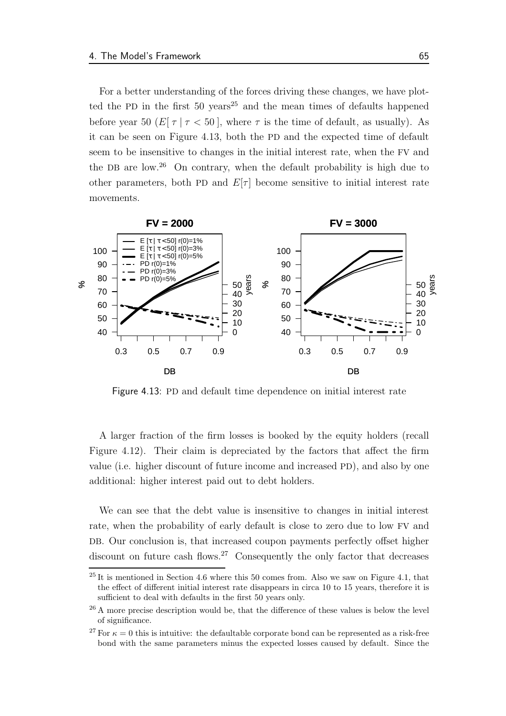For a better understanding of the forces driving these changes, we have plot-ted the [PD](#page-8-6) in the first  $50 \text{ years}^{25}$  $50 \text{ years}^{25}$  $50 \text{ years}^{25}$  and the mean times of defaults happened before year 50 (E[ $\tau$ ]  $\tau$  < 50], where  $\tau$  is the time of default, as usually). As it can be seen on Figure [4.13,](#page-75-1) both the [PD](#page-8-6) and the expected time of default seem to be insensitive to changes in the initial interest rate, when the [FV](#page-8-4) and the [DB](#page-8-3) are low.<sup>[26](#page-75-2)</sup> On contrary, when the default probability is high due to other parameters, both [PD](#page-8-6) and  $E[\tau]$  become sensitive to initial interest rate movements.

<span id="page-75-1"></span>

Figure 4.13: [PD](#page-8-6) and default time dependence on initial interest rate

A larger fraction of the firm losses is booked by the equity holders (recall Figure [4.12\)](#page-74-0). Their claim is depreciated by the factors that affect the firm value (i.e. higher discount of future income and increased [PD](#page-8-6)), and also by one additional: higher interest paid out to debt holders.

We can see that the debt value is insensitive to changes in initial interest rate, when the probability of early default is close to zero due to low [FV](#page-8-4) and [DB](#page-8-3). Our conclusion is, that increased coupon payments perfectly offset higher discount on future cash flows.<sup>[27](#page-75-3)</sup> Consequently the only factor that decreases

<span id="page-75-0"></span><sup>25</sup> It is mentioned in Section [4.6](#page-57-0) where this 50 comes from. Also we saw on Figure [4.1,](#page-50-0) that the effect of different initial interest rate disappears in circa 10 to 15 years, therefore it is sufficient to deal with defaults in the first 50 years only.

<span id="page-75-2"></span> $26$  A more precise description would be, that the difference of these values is below the level of significance.

<span id="page-75-3"></span><sup>&</sup>lt;sup>27</sup> For  $\kappa = 0$  this is intuitive: the defaultable corporate bond can be represented as a risk-free bond with the same parameters minus the expected losses caused by default. Since the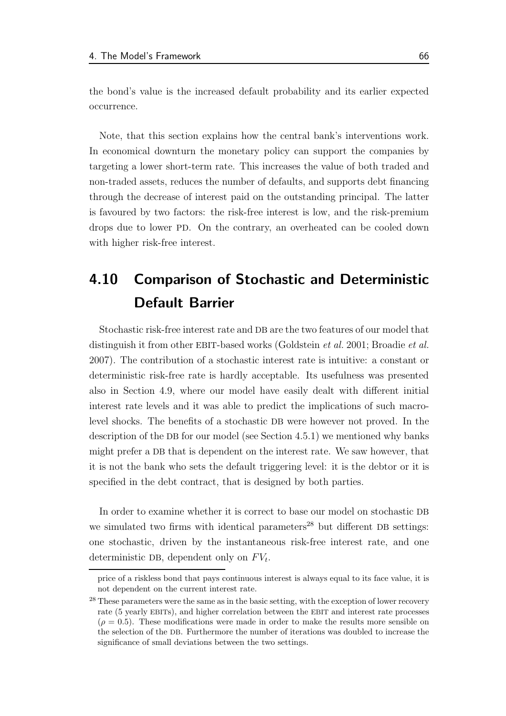the bond's value is the increased default probability and its earlier expected occurrence.

Note, that this section explains how the central bank's interventions work. In economical downturn the monetary policy can support the companies by targeting a lower short-term rate. This increases the value of both traded and non-traded assets, reduces the number of defaults, and supports debt financing through the decrease of interest paid on the outstanding principal. The latter is favoured by two factors: the risk-free interest is low, and the risk-premium drops due to lower [PD](#page-8-6). On the contrary, an overheated can be cooled down with higher risk-free interest.

## <span id="page-76-1"></span>4.10 Comparison of Stochastic and Deterministic Default Barrier

Stochastic risk-free interest rate and [DB](#page-8-3) are the two features of our model that distinguish it from other [EBIT](#page-8-1)-based works [\(Goldstein](#page-83-0) et al. [2001;](#page-83-0) [Broadie](#page-82-0) et al. [2007](#page-82-0)). The contribution of a stochastic interest rate is intuitive: a constant or deterministic risk-free rate is hardly acceptable. Its usefulness was presented also in Section [4.9,](#page-72-1) where our model have easily dealt with different initial interest rate levels and it was able to predict the implications of such macrolevel shocks. The benefits of a stochastic [DB](#page-8-3) were however not proved. In the description of the [DB](#page-8-3) for our model (see Section [4.5.1\)](#page-55-0) we mentioned why banks might prefer a [DB](#page-8-3) that is dependent on the interest rate. We saw however, that it is not the bank who sets the default triggering level: it is the debtor or it is specified in the debt contract, that is designed by both parties.

In order to examine whether it is correct to base our model on stochastic [DB](#page-8-3) we simulated two firms with identical parameters<sup>[28](#page-76-0)</sup> but different [DB](#page-8-3) settings: one stochastic, driven by the instantaneous risk-free interest rate, and one deterministic [DB](#page-8-3), dependent only on  $FV_t$ .

price of a riskless bond that pays continuous interest is always equal to its face value, it is not dependent on the current interest rate.

<span id="page-76-0"></span><sup>&</sup>lt;sup>28</sup> These parameters were the same as in the basic setting, with the exception of lower recovery rate (5 yearly [EBIT](#page-8-1)s), and higher correlation between the [EBIT](#page-8-1) and interest rate processes  $(\rho = 0.5)$ . These modifications were made in order to make the results more sensible on the selection of the [DB](#page-8-3). Furthermore the number of iterations was doubled to increase the significance of small deviations between the two settings.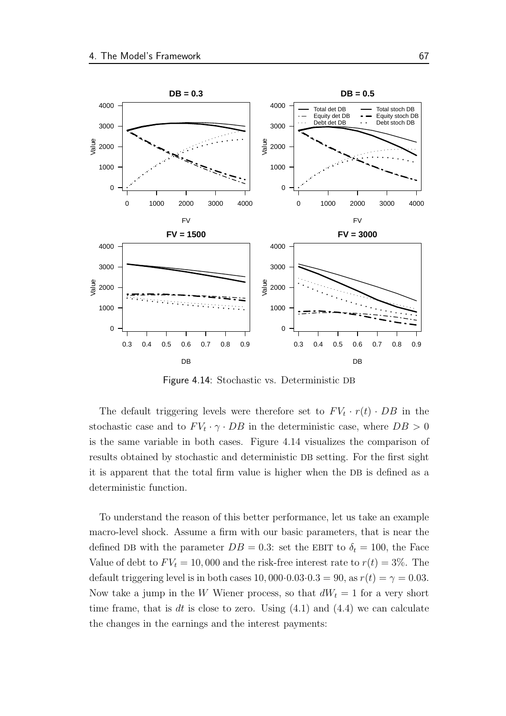<span id="page-77-0"></span>

Figure 4.14: Stochastic vs. Deterministic [DB](#page-8-3)

The default triggering levels were therefore set to  $FV_t \cdot r(t) \cdot DB$  in the stochastic case and to  $FV_t \cdot \gamma \cdot DB$  in the deterministic case, where  $DB > 0$ is the same variable in both cases. Figure [4.14](#page-77-0) visualizes the comparison of results obtained by stochastic and deterministic [DB](#page-8-3) setting. For the first sight it is apparent that the total firm value is higher when the [DB](#page-8-3) is defined as a deterministic function.

To understand the reason of this better performance, let us take an example macro-level shock. Assume a firm with our basic parameters, that is near the defined [DB](#page-8-3) with the parameter  $DB = 0.3$ : set the [EBIT](#page-8-1) to  $\delta_t = 100$ , the Face Value of debt to  $FV_t = 10,000$  and the risk-free interest rate to  $r(t) = 3\%$ . The default triggering level is in both cases 10, 000 $\cdot$ 0.03 $\cdot$ 0.3 = 90, as  $r(t) = \gamma = 0.03$ . Now take a jump in the W Wiener process, so that  $dW_t = 1$  for a very short time frame, that is dt is close to zero. Using  $(4.1)$  and  $(4.4)$  we can calculate the changes in the earnings and the interest payments: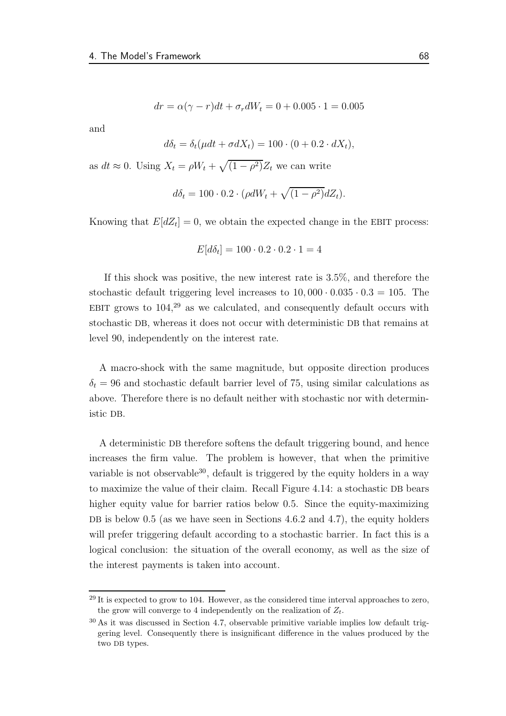$$
dr = \alpha(\gamma - r)dt + \sigma_r dW_t = 0 + 0.005 \cdot 1 = 0.005
$$

and

$$
d\delta_t = \delta_t(\mu dt + \sigma dX_t) = 100 \cdot (0 + 0.2 \cdot dX_t),
$$

as  $dt \approx 0$ . Using  $X_t = \rho W_t + \sqrt{(1 - \rho^2)} Z_t$  we can write

$$
d\delta_t = 100 \cdot 0.2 \cdot (\rho dW_t + \sqrt{(1 - \rho^2)} dZ_t).
$$

Knowing that  $E[dZ_t] = 0$ , we obtain the expected change in the [EBIT](#page-8-1) process:

$$
E[d\delta_t] = 100 \cdot 0.2 \cdot 0.2 \cdot 1 = 4
$$

If this shock was positive, the new interest rate is 3.5%, and therefore the stochastic default triggering level increases to  $10,000 \cdot 0.035 \cdot 0.3 = 105$ . The [EBIT](#page-8-1) grows to  $104<sup>29</sup>$  $104<sup>29</sup>$  $104<sup>29</sup>$  as we calculated, and consequently default occurs with stochastic [DB](#page-8-3), whereas it does not occur with deterministic [DB](#page-8-3) that remains at level 90, independently on the interest rate.

A macro-shock with the same magnitude, but opposite direction produces  $\delta_t = 96$  and stochastic default barrier level of 75, using similar calculations as above. Therefore there is no default neither with stochastic nor with deterministic [DB](#page-8-3).

A deterministic [DB](#page-8-3) therefore softens the default triggering bound, and hence increases the firm value. The problem is however, that when the primitive variable is not observable<sup>[30](#page-78-1)</sup>, default is triggered by the equity holders in a way to maximize the value of their claim. Recall Figure [4.14:](#page-77-0) a stochastic [DB](#page-8-3) bears higher equity value for barrier ratios below 0.5. Since the equity-maximizing [DB](#page-8-3) is below 0.5 (as we have seen in Sections [4.6.2](#page-60-0) and [4.7\)](#page-61-0), the equity holders will prefer triggering default according to a stochastic barrier. In fact this is a logical conclusion: the situation of the overall economy, as well as the size of the interest payments is taken into account.

<span id="page-78-0"></span> $^{29}$  It is expected to grow to 104. However, as the considered time interval approaches to zero, the grow will converge to 4 independently on the realization of  $Z_t$ .

<span id="page-78-1"></span><sup>30</sup> As it was discussed in Section [4.7,](#page-61-0) observable primitive variable implies low default triggering level. Consequently there is insignificant difference in the values produced by the two [DB](#page-8-3) types.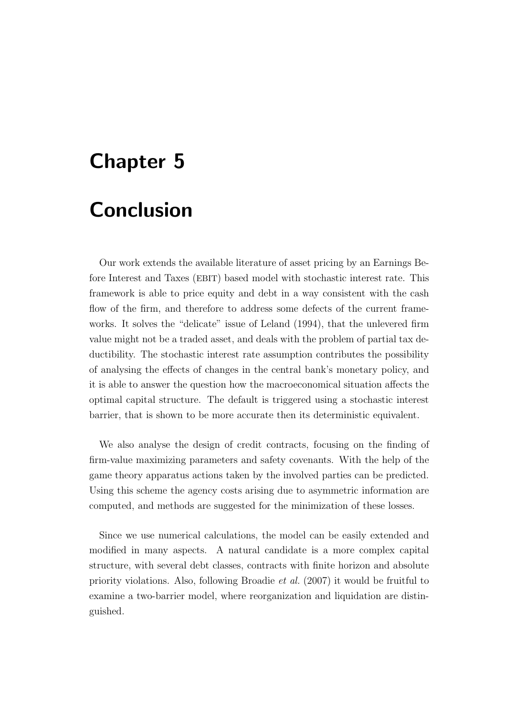## Chapter 5

# Conclusion

Our work extends the available literature of asset pricing by an Earnings Before Interest and Taxes ([EBIT](#page-8-1)) based model with stochastic interest rate. This framework is able to price equity and debt in a way consistent with the cash flow of the firm, and therefore to address some defects of the current frameworks. It solves the "delicate" issue of [Leland \(1994](#page-84-0)), that the unlevered firm value might not be a traded asset, and deals with the problem of partial tax deductibility. The stochastic interest rate assumption contributes the possibility of analysing the effects of changes in the central bank's monetary policy, and it is able to answer the question how the macroeconomical situation affects the optimal capital structure. The default is triggered using a stochastic interest barrier, that is shown to be more accurate then its deterministic equivalent.

We also analyse the design of credit contracts, focusing on the finding of firm-value maximizing parameters and safety covenants. With the help of the game theory apparatus actions taken by the involved parties can be predicted. Using this scheme the agency costs arising due to asymmetric information are computed, and methods are suggested for the minimization of these losses.

Since we use numerical calculations, the model can be easily extended and modified in many aspects. A natural candidate is a more complex capital structure, with several debt classes, contracts with finite horizon and absolute priority violations. Also, following [Broadie](#page-82-0) et al. [\(2007\)](#page-82-0) it would be fruitful to examine a two-barrier model, where reorganization and liquidation are distinguished.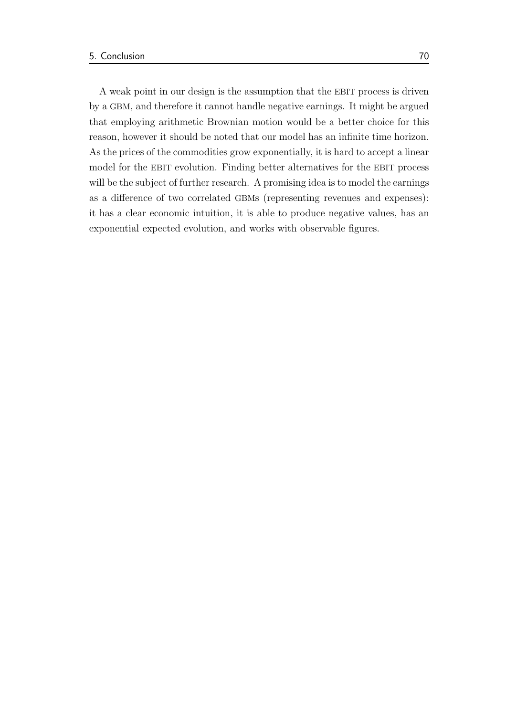A weak point in our design is the assumption that the [EBIT](#page-8-1) process is driven by a [GBM](#page-8-7), and therefore it cannot handle negative earnings. It might be argued that employing arithmetic Brownian motion would be a better choice for this reason, however it should be noted that our model has an infinite time horizon. As the prices of the commodities grow exponentially, it is hard to accept a linear model for the [EBIT](#page-8-1) evolution. Finding better alternatives for the [EBIT](#page-8-1) process will be the subject of further research. A promising idea is to model the earnings as a difference of two correlated [GBM](#page-8-7)s (representing revenues and expenses): it has a clear economic intuition, it is able to produce negative values, has an exponential expected evolution, and works with observable figures.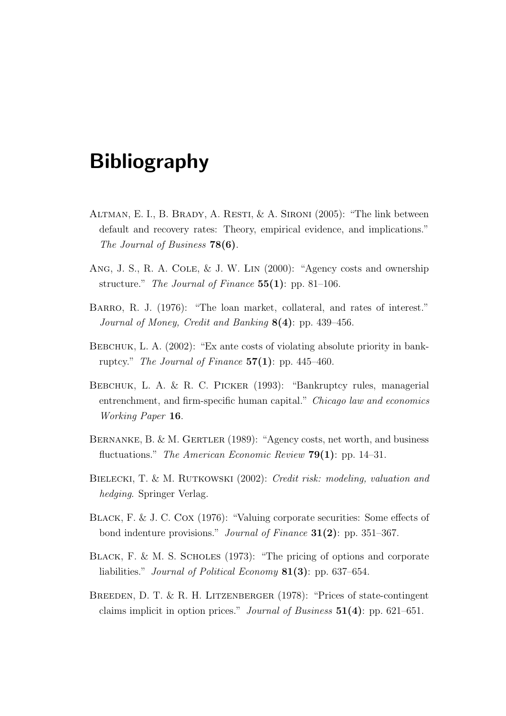# Bibliography

- Altman, E. I., B. Brady, A. Resti, & A. Sironi (2005): "The link between default and recovery rates: Theory, empirical evidence, and implications." The Journal of Business **78(6)**.
- ANG, J. S., R. A. COLE, & J. W. LIN (2000): "Agency costs and ownership structure." The Journal of Finance  $55(1)$ : pp. 81–106.
- Barro, R. J. (1976): "The loan market, collateral, and rates of interest." Journal of Money, Credit and Banking 8(4): pp. 439–456.
- BEBCHUK, L. A. (2002): "Ex ante costs of violating absolute priority in bankruptcy." The Journal of Finance  $57(1)$ : pp. 445–460.
- BEBCHUK, L. A. & R. C. PICKER (1993): "Bankruptcy rules, managerial entrenchment, and firm-specific human capital." Chicago law and economics Working Paper 16.
- BERNANKE, B. & M. GERTLER (1989): "Agency costs, net worth, and business fluctuations." The American Economic Review 79(1): pp. 14–31.
- BIELECKI, T. & M. RUTKOWSKI (2002): Credit risk: modeling, valuation and hedging. Springer Verlag.
- Black, F. & J. C. Cox (1976): "Valuing corporate securities: Some effects of bond indenture provisions." *Journal of Finance*  $31(2)$ : pp. 351–367.
- Black, F. & M. S. Scholes (1973): "The pricing of options and corporate liabilities." *Journal of Political Economy* **81(3)**: pp. 637–654.
- BREEDEN, D. T. & R. H. LITZENBERGER (1978): "Prices of state-contingent claims implicit in option prices." Journal of Business 51(4): pp. 621–651.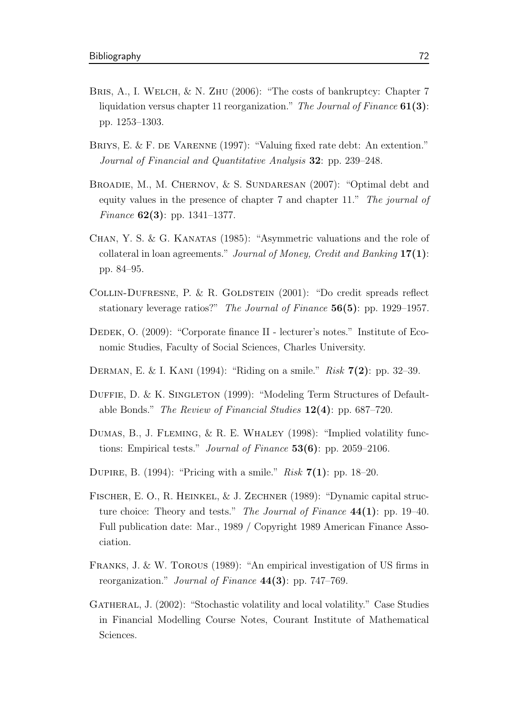- BRIS, A., I. WELCH, & N. ZHU (2006): "The costs of bankruptcy: Chapter 7 liquidation versus chapter 11 reorganization." The Journal of Finance  $61(3)$ : pp. 1253–1303.
- Briys, E. & F. de Varenne (1997): "Valuing fixed rate debt: An extention." Journal of Financial and Quantitative Analysis 32: pp. 239–248.
- <span id="page-82-0"></span>Broadie, M., M. Chernov, & S. Sundaresan (2007): "Optimal debt and equity values in the presence of chapter 7 and chapter 11." The journal of Finance 62(3): pp. 1341–1377.
- Chan, Y. S. & G. Kanatas (1985): "Asymmetric valuations and the role of collateral in loan agreements." Journal of Money, Credit and Banking  $17(1)$ : pp. 84–95.
- COLLIN-DUFRESNE, P. & R. GOLDSTEIN  $(2001)$ : "Do credit spreads reflect stationary leverage ratios?" The Journal of Finance 56(5): pp. 1929–1957.
- DEDEK, O. (2009): "Corporate finance II lecturer's notes." Institute of Economic Studies, Faculty of Social Sciences, Charles University.
- Derman, E. & I. Kani (1994): "Riding on a smile." Risk 7(2): pp. 32–39.
- DUFFIE, D. & K. SINGLETON (1999): "Modeling Term Structures of Defaultable Bonds." The Review of Financial Studies 12(4): pp. 687–720.
- Dumas, B., J. Fleming, & R. E. Whaley (1998): "Implied volatility functions: Empirical tests." *Journal of Finance*  $53(6)$ : pp. 2059–2106.
- DUPIRE, B. (1994): "Pricing with a smile." Risk  $7(1)$ : pp. 18–20.
- Fischer, E. O., R. Heinkel, & J. Zechner (1989): "Dynamic capital structure choice: Theory and tests." The Journal of Finance  $44(1)$ : pp. 19–40. Full publication date: Mar., 1989 / Copyright 1989 American Finance Association.
- Franks, J. & W. Torous (1989): "An empirical investigation of US firms in reorganization." *Journal of Finance* 44(3): pp. 747–769.
- GATHERAL, J. (2002): "Stochastic volatility and local volatility." Case Studies in Financial Modelling Course Notes, Courant Institute of Mathematical Sciences.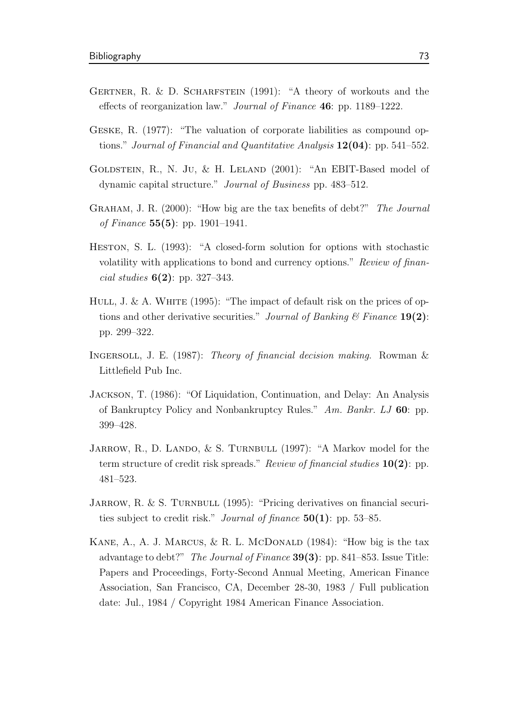- GERTNER, R. & D. SCHARFSTEIN (1991): "A theory of workouts and the effects of reorganization law." Journal of Finance 46: pp. 1189–1222.
- Geske, R. (1977): "The valuation of corporate liabilities as compound options." Journal of Financial and Quantitative Analysis  $12(04)$ : pp. 541–552.
- <span id="page-83-0"></span>GOLDSTEIN, R., N. JU, & H. LELAND  $(2001)$ : "An EBIT-Based model of dynamic capital structure." Journal of Business pp. 483–512.
- Graham, J. R. (2000): "How big are the tax benefits of debt?" The Journal of Finance 55(5): pp. 1901–1941.
- Heston, S. L. (1993): "A closed-form solution for options with stochastic volatility with applications to bond and currency options." Review of financial studies  $6(2)$ : pp. 327–343.
- HULL, J. & A. WHITE (1995): "The impact of default risk on the prices of options and other derivative securities." Journal of Banking  $\mathscr$  Finance 19(2): pp. 299–322.
- INGERSOLL, J. E. (1987): Theory of financial decision making. Rowman  $\&$ Littlefield Pub Inc.
- Jackson, T. (1986): "Of Liquidation, Continuation, and Delay: An Analysis of Bankruptcy Policy and Nonbankruptcy Rules." Am. Bankr. LJ 60: pp. 399–428.
- JARROW, R., D. LANDO,  $&$  S. TURNBULL (1997): "A Markov model for the term structure of credit risk spreads." Review of financial studies  $10(2)$ : pp. 481–523.
- JARROW, R. & S. TURNBULL (1995): "Pricing derivatives on financial securities subject to credit risk." *Journal of finance*  $50(1)$ : pp. 53–85.
- KANE, A., A. J. MARCUS, & R. L. MCDONALD  $(1984)$ : "How big is the tax advantage to debt?" The Journal of Finance 39(3): pp. 841–853. Issue Title: Papers and Proceedings, Forty-Second Annual Meeting, American Finance Association, San Francisco, CA, December 28-30, 1983 / Full publication date: Jul., 1984 / Copyright 1984 American Finance Association.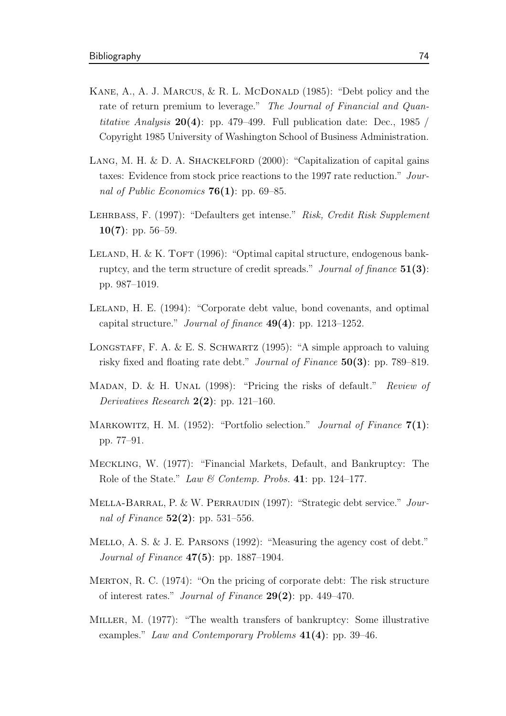- KANE, A., A. J. MARCUS,  $&$  R. L. MCDONALD (1985): "Debt policy and the rate of return premium to leverage." The Journal of Financial and Quantitative Analysis 20(4): pp. 479–499. Full publication date: Dec., 1985 / Copyright 1985 University of Washington School of Business Administration.
- LANG, M. H. & D. A. SHACKELFORD  $(2000)$ : "Capitalization of capital gains taxes: Evidence from stock price reactions to the 1997 rate reduction." Journal of Public Economics  $76(1)$ : pp. 69–85.
- LEHRBASS, F. (1997): "Defaulters get intense." Risk, Credit Risk Supplement  $10(7)$ : pp. 56–59.
- LELAND, H.  $\&$  K. TOFT (1996): "Optimal capital structure, endogenous bankruptcy, and the term structure of credit spreads." Journal of finance  $51(3)$ : pp. 987–1019.
- <span id="page-84-0"></span>LELAND, H. E. (1994): "Corporate debt value, bond covenants, and optimal capital structure." Journal of finance  $49(4)$ : pp. 1213–1252.
- LONGSTAFF, F. A. & E. S. SCHWARTZ (1995): "A simple approach to valuing risky fixed and floating rate debt." Journal of Finance 50(3): pp. 789–819.
- MADAN, D. & H. UNAL (1998): "Pricing the risks of default." Review of Derivatives Research  $2(2)$ : pp. 121–160.
- MARKOWITZ, H. M. (1952): "Portfolio selection." Journal of Finance  $7(1)$ : pp. 77–91.
- Meckling, W. (1977): "Financial Markets, Default, and Bankruptcy: The Role of the State." Law & Contemp. Probs. 41: pp. 124–177.
- Mella-Barral, P. & W. Perraudin (1997): "Strategic debt service." Journal of Finance  $52(2)$ : pp. 531–556.
- Mello, A. S. & J. E. Parsons (1992): "Measuring the agency cost of debt." *Journal of Finance*  $47(5)$ : pp. 1887–1904.
- Merton, R. C. (1974): "On the pricing of corporate debt: The risk structure of interest rates." Journal of Finance  $29(2)$ : pp. 449–470.
- Miller, M. (1977): "The wealth transfers of bankruptcy: Some illustrative examples." Law and Contemporary Problems  $41(4)$ : pp. 39–46.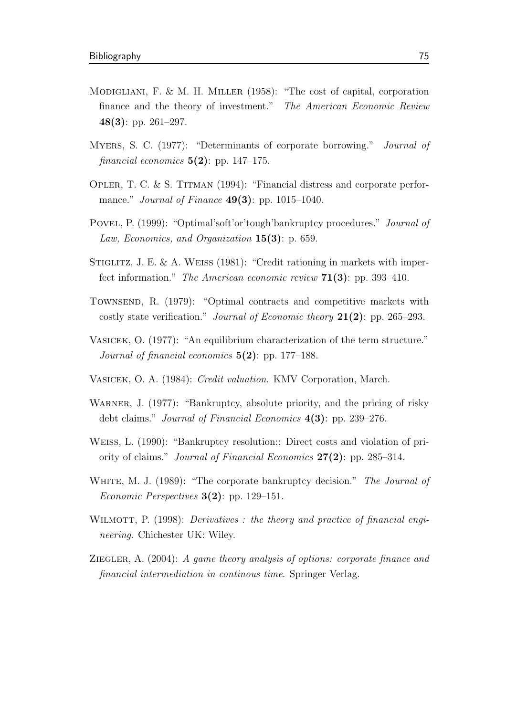- Modigliani, F. & M. H. Miller (1958): "The cost of capital, corporation finance and the theory of investment." The American Economic Review 48(3): pp. 261–297.
- Myers, S. C. (1977): "Determinants of corporate borrowing." Journal of financial economics  $5(2)$ : pp. 147–175.
- OPLER, T. C. & S. TITMAN  $(1994)$ : "Financial distress and corporate performance." Journal of Finance  $49(3)$ : pp. 1015–1040.
- Povel, P. (1999): "Optimal'soft'or'tough'bankruptcy procedures." Journal of Law, Economics, and Organization 15(3): p. 659.
- STIGLITZ, J. E. & A. WEISS  $(1981)$ : "Credit rationing in markets with imperfect information." The American economic review  $71(3)$ : pp. 393-410.
- TOWNSEND, R. (1979): "Optimal contracts and competitive markets with costly state verification." Journal of Economic theory  $21(2)$ : pp. 265–293.
- Vasicek, O. (1977): "An equilibrium characterization of the term structure." Journal of financial economics  $5(2)$ : pp. 177–188.
- Vasicek, O. A. (1984): Credit valuation. KMV Corporation, March.
- WARNER, J. (1977): "Bankruptcy, absolute priority, and the pricing of risky debt claims." *Journal of Financial Economics* 4(3): pp. 239–276.
- Weiss, L. (1990): "Bankruptcy resolution:: Direct costs and violation of priority of claims." *Journal of Financial Economics* 27(2): pp. 285–314.
- WHITE, M. J. (1989): "The corporate bankruptcy decision." The Journal of Economic Perspectives  $3(2)$ : pp. 129–151.
- WILMOTT, P. (1998): *Derivatives : the theory and practice of financial engi*neering. Chichester UK: Wiley.
- ZIEGLER, A. (2004): A game theory analysis of options: corporate finance and financial intermediation in continous time. Springer Verlag.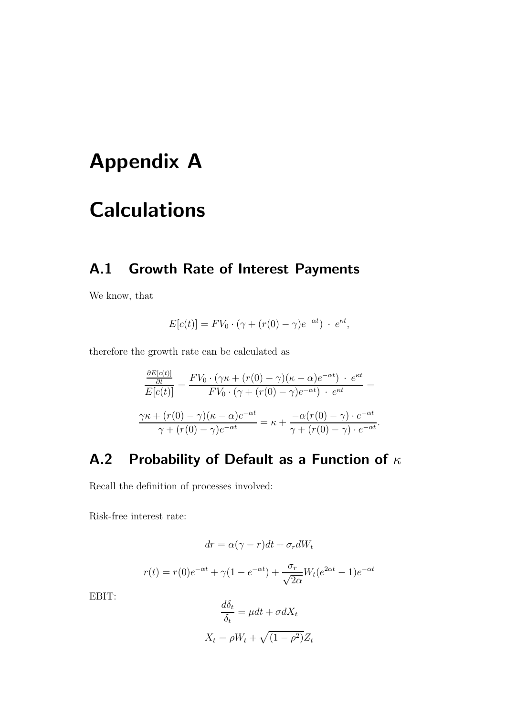# Appendix A

# Calculations

### A.1 Growth Rate of Interest Payments

We know, that

$$
E[c(t)] = FV_0 \cdot (\gamma + (r(0) - \gamma)e^{-\alpha t}) \cdot e^{\kappa t},
$$

therefore the growth rate can be calculated as

$$
\frac{\frac{\partial E[c(t)]}{\partial t}}{E[c(t)]} = \frac{FV_0 \cdot (\gamma \kappa + (r(0) - \gamma)(\kappa - \alpha)e^{-\alpha t}) \cdot e^{\kappa t}}{FV_0 \cdot (\gamma + (r(0) - \gamma)e^{-\alpha t}) \cdot e^{\kappa t}} =
$$
  

$$
\frac{\gamma \kappa + (r(0) - \gamma)(\kappa - \alpha)e^{-\alpha t}}{\gamma + (r(0) - \gamma)e^{-\alpha t}} = \kappa + \frac{-\alpha(r(0) - \gamma) \cdot e^{-\alpha t}}{\gamma + (r(0) - \gamma) \cdot e^{-\alpha t}}.
$$

## A.2 Probability of Default as a Function of  $\kappa$

Recall the definition of processes involved:

Risk-free interest rate:

$$
dr = \alpha(\gamma - r)dt + \sigma_r dW_t
$$

$$
r(t) = r(0)e^{-\alpha t} + \gamma(1 - e^{-\alpha t}) + \frac{\sigma_r}{\sqrt{2\alpha}}W_t(e^{2\alpha t} - 1)e^{-\alpha t}
$$

$$
d\delta_t
$$

EBIT:

$$
\frac{d\sigma_t}{\delta_t} = \mu dt + \sigma dX_t
$$

$$
X_t = \rho W_t + \sqrt{(1 - \rho^2)} Z_t
$$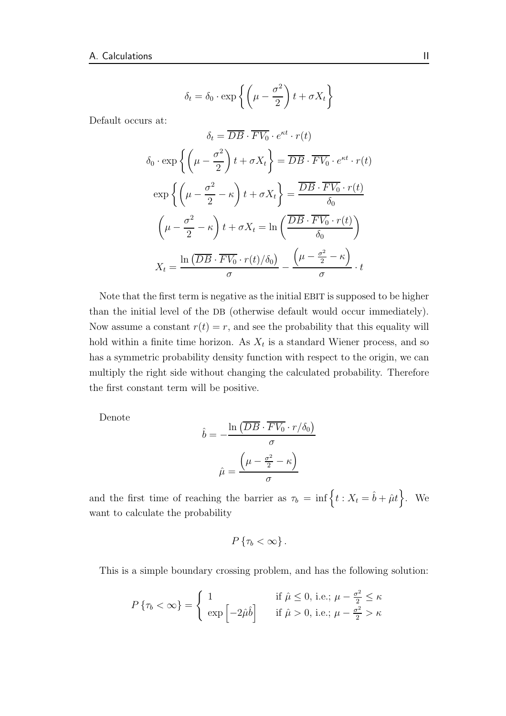$$
\delta_t = \delta_0 \cdot \exp\left\{ \left( \mu - \frac{\sigma^2}{2} \right) t + \sigma X_t \right\}
$$

Default occurs at:

$$
\delta_t = \overline{DB} \cdot \overline{FV_0} \cdot e^{\kappa t} \cdot r(t)
$$

$$
\delta_0 \cdot \exp\left\{ \left(\mu - \frac{\sigma^2}{2}\right)t + \sigma X_t \right\} = \overline{DB} \cdot \overline{FV_0} \cdot e^{\kappa t} \cdot r(t)
$$

$$
\exp\left\{ \left(\mu - \frac{\sigma^2}{2} - \kappa\right)t + \sigma X_t \right\} = \frac{\overline{DB} \cdot \overline{FV_0} \cdot r(t)}{\delta_0}
$$

$$
\left(\mu - \frac{\sigma^2}{2} - \kappa\right)t + \sigma X_t = \ln\left(\frac{\overline{DB} \cdot \overline{FV_0} \cdot r(t)}{\delta_0}\right)
$$

$$
X_t = \frac{\ln\left(\overline{DB} \cdot \overline{FV_0} \cdot r(t)/\delta_0\right)}{\sigma} - \frac{\left(\mu - \frac{\sigma^2}{2} - \kappa\right)}{\sigma} \cdot t
$$

Note that the first term is negative as the initial [EBIT](#page-8-1) is supposed to be higher than the initial level of the [DB](#page-8-3) (otherwise default would occur immediately). Now assume a constant  $r(t) = r$ , and see the probability that this equality will hold within a finite time horizon. As  $X_t$  is a standard Wiener process, and so has a symmetric probability density function with respect to the origin, we can multiply the right side without changing the calculated probability. Therefore the first constant term will be positive.

Denote

$$
\hat{b} = -\frac{\ln\left(\overline{DB} \cdot \overline{FV_0} \cdot r/\delta_0\right)}{\sigma}
$$

$$
\hat{\mu} = \frac{\left(\mu - \frac{\sigma^2}{2} - \kappa\right)}{\sigma}
$$

and the first time of reaching the barrier as  $\tau_b = \inf \{ t : X_t = \hat{b} + \hat{\mu}t \}.$  We want to calculate the probability

$$
P\left\{\tau_b < \infty\right\}.
$$

This is a simple boundary crossing problem, and has the following solution:

$$
P\{\tau_b < \infty\} = \begin{cases} 1 & \text{if } \hat{\mu} \le 0, \text{ i.e., } \mu - \frac{\sigma^2}{2} \le \kappa \\ \exp\left[-2\hat{\mu}\hat{b}\right] & \text{if } \hat{\mu} > 0, \text{ i.e., } \mu - \frac{\sigma^2}{2} > \kappa \end{cases}
$$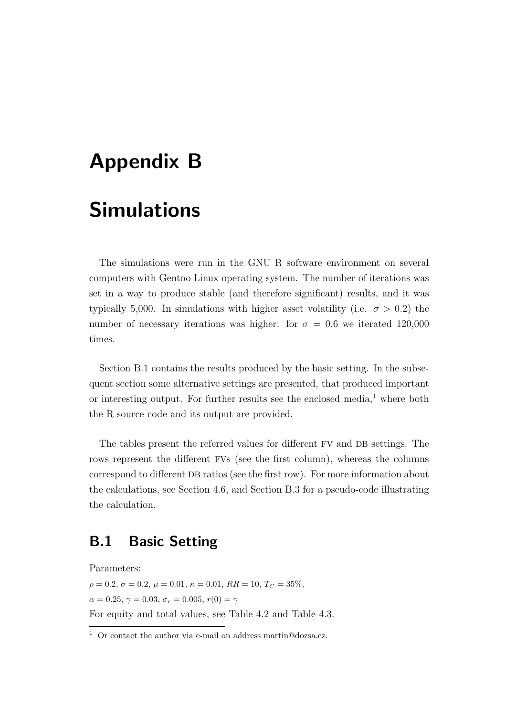# Appendix B

## **Simulations**

The simulations were run in the GNU R software environment on several computers with Gentoo Linux operating system. The number of iterations was set in a way to produce stable (and therefore significant) results, and it was typically 5,000. In simulations with higher asset volatility (i.e.  $\sigma > 0.2$ ) the number of necessary iterations was higher: for  $\sigma = 0.6$  we iterated 120,000 times.

[Section B.1](#page-88-0) contains the results produced by the basic setting. In the subsequent section some alternative settings are presented, that produced important or interesting output. For further results see the enclosed media, [1](#page-88-1) where both the R source code and its output are provided.

The tables present the referred values for different [FV](#page-8-4) and [DB](#page-8-3) settings. The rows represent the different [FV](#page-8-4)s (see the first column), whereas the columns correspond to different [DB](#page-8-3) ratios (see the first row). For more information about the calculations, see [Section 4.6,](#page-57-0) and [Section B.3](#page-93-0) for a pseudo-code illustrating the calculation.

### <span id="page-88-0"></span>B.1 Basic Setting

Parameters:  $\rho = 0.2, \sigma = 0.2, \mu = 0.01, \kappa = 0.01, RR = 10, T_C = 35\%,$  $\alpha = 0.25, \gamma = 0.03, \sigma_r = 0.005, r(0) = \gamma$ For equity and total values, see [Table 4.2](#page-63-0) and [Table 4.3.](#page-64-0)

<span id="page-88-1"></span><sup>&</sup>lt;sup>1</sup> Or contact the author via e-mail on address martin@dozsa.cz.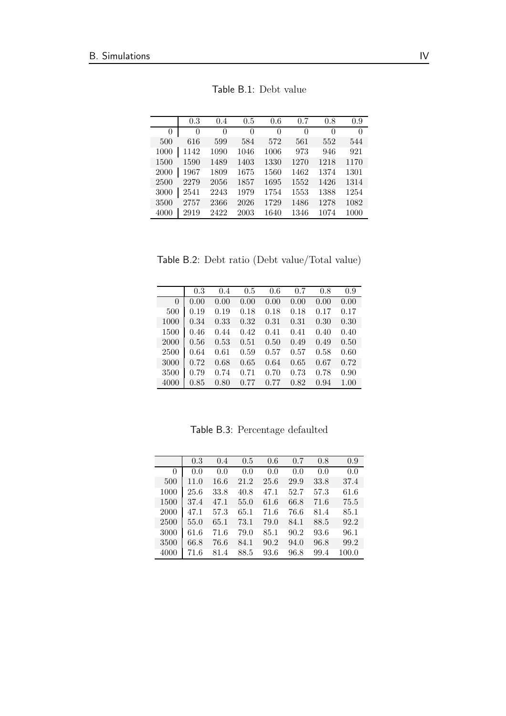|          | 0.3      | 0.4  | 0.5            | 0.6            | 0.7  | 0.8            | 0.9      |
|----------|----------|------|----------------|----------------|------|----------------|----------|
| $\theta$ | $\theta$ | 0    | $\overline{0}$ | $\overline{0}$ | 0    | $\overline{0}$ | $\theta$ |
| 500      | 616      | 599  | 584            | 572            | 561  | 552            | 544      |
| 1000     | 1142     | 1090 | 1046           | 1006           | 973  | 946            | 921      |
| 1500     | 1590     | 1489 | 1403           | 1330           | 1270 | 1218           | 1170     |
| 2000     | 1967     | 1809 | 1675           | 1560           | 1462 | 1374           | 1301     |
| 2500     | 2279     | 2056 | 1857           | 1695           | 1552 | 1426           | 1314     |
| 3000     | 2541     | 2243 | 1979           | 1754           | 1553 | 1388           | 1254     |
| 3500     | 2757     | 2366 | 2026           | 1729           | 1486 | 1278           | 1082     |
| 4000     | 2919     | 2422 | 2003           | 1640           | 1346 | 1074           | 1000     |

Table B.1: Debt value

Table B.2: Debt ratio (Debt value/Total value)

|          | 0.3  | 0.4  | 0.5  | 0.6  | 0.7  | 0.8  | 0.9  |
|----------|------|------|------|------|------|------|------|
| $\theta$ | 0.00 | 0.00 | 0.00 | 0.00 | 0.00 | 0.00 | 0.00 |
| 500      | 0.19 | 0.19 | 0.18 | 0.18 | 0.18 | 0.17 | 0.17 |
| 1000     | 0.34 | 0.33 | 0.32 | 0.31 | 0.31 | 0.30 | 0.30 |
| 1500     | 0.46 | 0.44 | 0.42 | 0.41 | 0.41 | 0.40 | 0.40 |
| 2000     | 0.56 | 0.53 | 0.51 | 0.50 | 0.49 | 0.49 | 0.50 |
| 2500     | 0.64 | 0.61 | 0.59 | 0.57 | 0.57 | 0.58 | 0.60 |
| 3000     | 0.72 | 0.68 | 0.65 | 0.64 | 0.65 | 0.67 | 0.72 |
| 3500     | 0.79 | 0.74 | 0.71 | 0.70 | 0.73 | 0.78 | 0.90 |
| 4000     | 0.85 | 0.80 | 0.77 | 0.77 | 0.82 | 0.94 | 1.00 |

Table B.3: Percentage defaulted

|          | 0.3  | 0.4  | 0.5  | 0.6  | 0.7  | 0.8  | 0.9   |
|----------|------|------|------|------|------|------|-------|
| $\theta$ | 0.0  | 0.0  | 0.0  | 0.0  | 0.0  | 0.0  | 0.0   |
| 500      | 11.0 | 16.6 | 21.2 | 25.6 | 29.9 | 33.8 | 37.4  |
| 1000     | 25.6 | 33.8 | 40.8 | 47.1 | 52.7 | 57.3 | 61.6  |
| 1500     | 37.4 | 47.1 | 55.0 | 61.6 | 66.8 | 71.6 | 75.5  |
| 2000     | 47.1 | 57.3 | 65.1 | 71.6 | 76.6 | 81.4 | 85.1  |
| 2500     | 55.0 | 65.1 | 73.1 | 79.0 | 84.1 | 88.5 | 92.2  |
| 3000     | 61.6 | 71.6 | 79.0 | 85.1 | 90.2 | 93.6 | 96.1  |
| 3500     | 66.8 | 76.6 | 84.1 | 90.2 | 94.0 | 96.8 | 99.2  |
| 4000     | 71.6 | 81.4 | 88.5 | 93.6 | 96.8 | 99.4 | 100.0 |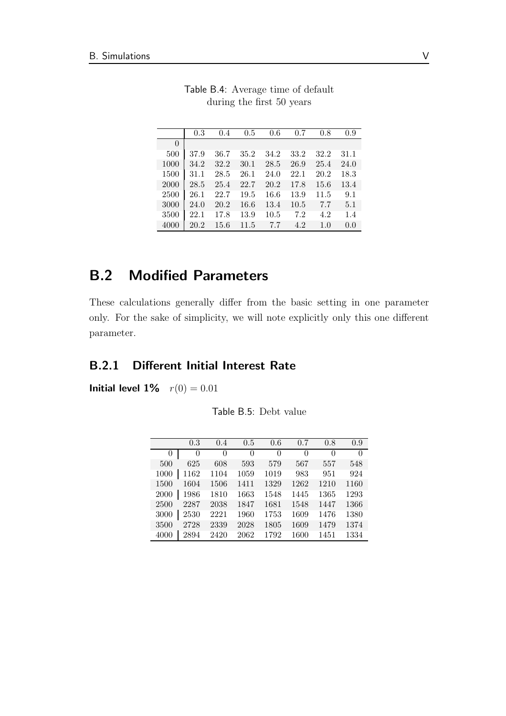|          | 0.3  | 0.4  | 0.5  | 0.6  | 0.7  | 0.8  | 0.9  |
|----------|------|------|------|------|------|------|------|
| $\theta$ |      |      |      |      |      |      |      |
| 500      | 37.9 | 36.7 | 35.2 | 34.2 | 33.2 | 32.2 | 31.1 |
| 1000     | 34.2 | 32.2 | 30.1 | 28.5 | 26.9 | 25.4 | 24.0 |
| 1500     | 31.1 | 28.5 | 26.1 | 24.0 | 22.1 | 20.2 | 18.3 |
| 2000     | 28.5 | 25.4 | 22.7 | 20.2 | 17.8 | 15.6 | 13.4 |
| 2500     | 26.1 | 22.7 | 19.5 | 16.6 | 13.9 | 11.5 | 9.1  |
| 3000     | 24.0 | 20.2 | 16.6 | 13.4 | 10.5 | 7.7  | 5.1  |
| 3500     | 22.1 | 17.8 | 13.9 | 10.5 | 7.2  | 4.2  | 1.4  |
| 4000     | 20.2 | 15.6 | 11.5 | 7.7  | 4.2  | 1.0  | 0.0  |

Table B.4: Average time of default during the first 50 years

### B.2 Modified Parameters

These calculations generally differ from the basic setting in one parameter only. For the sake of simplicity, we will note explicitly only this one different parameter.

### <span id="page-90-0"></span>B.2.1 Different Initial Interest Rate

**Initial level 1%**  $r(0) = 0.01$ 

| Table B.5: Debt value |
|-----------------------|
|-----------------------|

|      | 0.3      | 0.4  | 0.5      | 0.6  | 0.7      | 0.8              | 0.9      |
|------|----------|------|----------|------|----------|------------------|----------|
| 0    | $\theta$ | 0    | $\theta$ | 0    | $\theta$ | $\left( \right)$ | $\theta$ |
| 500  | 625      | 608  | 593      | 579  | 567      | 557              | 548      |
| 1000 | 1162     | 1104 | 1059     | 1019 | 983      | 951              | 924      |
| 1500 | 1604     | 1506 | 1411     | 1329 | 1262     | 1210             | 1160     |
| 2000 | 1986     | 1810 | 1663     | 1548 | 1445     | 1365             | 1293     |
| 2500 | 2287     | 2038 | 1847     | 1681 | 1548     | 1447             | 1366     |
| 3000 | 2530     | 2221 | 1960     | 1753 | 1609     | 1476             | 1380     |
| 3500 | 2728     | 2339 | 2028     | 1805 | 1609     | 1479             | 1374     |
| 4000 | 2894     | 2420 | 2062     | 1792 | 1600     | 1451             | 1334     |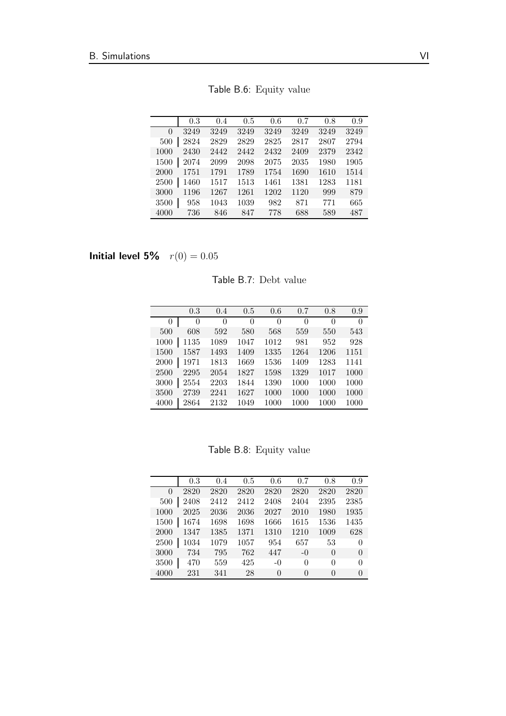|          | 0.3  | 0.4  | 0.5  | 0.6  | 0.7  | 0.8  | 0.9  |
|----------|------|------|------|------|------|------|------|
| $\theta$ | 3249 | 3249 | 3249 | 3249 | 3249 | 3249 | 3249 |
| 500      | 2824 | 2829 | 2829 | 2825 | 2817 | 2807 | 2794 |
| 1000     | 2430 | 2442 | 2442 | 2432 | 2409 | 2379 | 2342 |
| 1500     | 2074 | 2099 | 2098 | 2075 | 2035 | 1980 | 1905 |
| 2000     | 1751 | 1791 | 1789 | 1754 | 1690 | 1610 | 1514 |
| 2500     | 1460 | 1517 | 1513 | 1461 | 1381 | 1283 | 1181 |
| 3000     | 1196 | 1267 | 1261 | 1202 | 1120 | 999  | 879  |
| 3500     | 958  | 1043 | 1039 | 982  | 871  | 771  | 665  |
| 4000     | 736  | 846  | 847  | 778  | 688  | 589  | 487  |

Table B.6: Equity value

**Initial level 5%**  $r(0) = 0.05$ 

Table B.7: Debt value

|      | 0.3  | 0.4  | 0.5  | 0.6  | 0.7      | 0.8      | 0.9      |
|------|------|------|------|------|----------|----------|----------|
| 0    | 0    | 0    | 0    | 0    | $\theta$ | 0        | $\Omega$ |
| 500  | 608  | 592  | 580  | 568  | 559      | 550      | 543      |
| 1000 | 1135 | 1089 | 1047 | 1012 | 981      | 952      | 928      |
| 1500 | 1587 | 1493 | 1409 | 1335 | 1264     | 1206     | 1151     |
| 2000 | 1971 | 1813 | 1669 | 1536 | 1409     | 1283     | 1141     |
| 2500 | 2295 | 2054 | 1827 | 1598 | 1329     | 1017     | 1000     |
| 3000 | 2554 | 2203 | 1844 | 1390 | 1000     | 1000     | 1000     |
| 3500 | 2739 | 2241 | 1627 | 1000 | 1000     | 1000     | 1000     |
| 4000 | 2864 | 2132 | 1049 | 1000 | 1000     | $1000\,$ | 1000     |

Table B.8: Equity value

|          | 0.3  | 0.4  | 0.5  | 0.6  | 0.7      | 0.8      | 0.9      |
|----------|------|------|------|------|----------|----------|----------|
| $\theta$ | 2820 | 2820 | 2820 | 2820 | 2820     | 2820     | 2820     |
| 500      | 2408 | 2412 | 2412 | 2408 | 2404     | 2395     | 2385     |
| 1000     | 2025 | 2036 | 2036 | 2027 | 2010     | 1980     | 1935     |
| 1500     | 1674 | 1698 | 1698 | 1666 | 1615     | 1536     | 1435     |
| 2000     | 1347 | 1385 | 1371 | 1310 | 1210     | 1009     | 628      |
| 2500     | 1034 | 1079 | 1057 | 954  | 657      | 53       | $\Omega$ |
| 3000     | 734  | 795  | 762  | 447  | $-0$     | $\theta$ | $\Omega$ |
| 3500     | 470  | 559  | 425  | $-0$ | $\theta$ | $\Omega$ | $\Omega$ |
| 4000     | 231  | 341  | 28   | 0    | $\theta$ | 0        | $\Omega$ |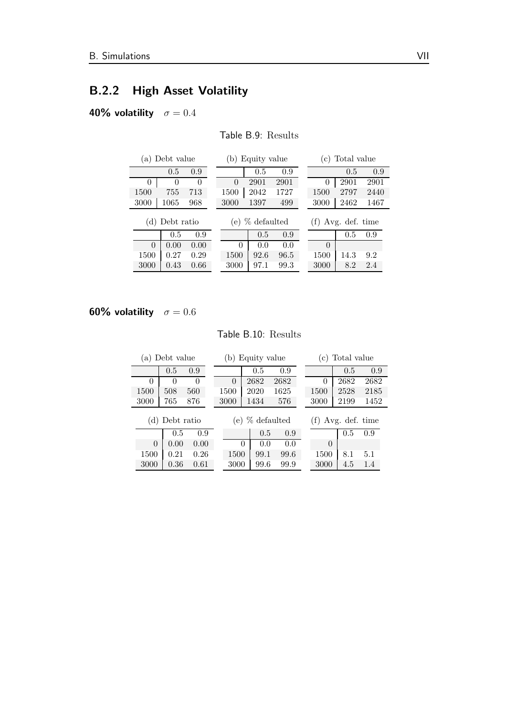### B.2.2 High Asset Volatility

### 40% volatility  $\sigma = 0.4$

|                | (a) Debt value |          | (b)      | Equity value    |      | Total value<br>(c)   |      |      |  |
|----------------|----------------|----------|----------|-----------------|------|----------------------|------|------|--|
|                | 0.5            | 0.9      |          | 0.5             | 0.9  |                      | 0.5  | 0.9  |  |
| 0              | $\theta$       | $\Omega$ | $\theta$ | 2901            | 2901 | 0                    | 2901 | 2901 |  |
| 1500           | 755            | 713      | 1500     | 2042            | 1727 | 1500                 | 2797 | 2440 |  |
| 3000           | 1065           | 968      | 3000     | 1397            | 499  | 3000                 | 2462 | 1467 |  |
| (d) Debt ratio |                |          |          |                 |      | $(f)$ Avg. def. time |      |      |  |
|                |                |          |          | (e) % defaulted |      |                      |      |      |  |
|                | 0.5            | 0.9      |          | 0.5             | 0.9  |                      | 0.5  | 0.9  |  |
| $\Omega$       | 0.00           | 0.00     | $\theta$ | 0.0             | 0.0  | $\Omega$             |      |      |  |
| 1500           | 0.27           | 0.29     | 1500     | 92.6            | 96.5 | 1500                 | 14.3 | 9.2  |  |

#### Table B.9: Results

#### **60% volatility**  $\sigma = 0.6$

#### Table B.10: Results

|          | (a) Debt value    |          |  | Equity value<br>(b) |                 |      | (c) Total value |                      |      |  |
|----------|-------------------|----------|--|---------------------|-----------------|------|-----------------|----------------------|------|--|
|          | 0.5               | 0.9      |  |                     | 0.5             | 0.9  |                 | 0.5                  | 0.9  |  |
| 0        | $\theta$          | $\Omega$ |  | $\theta$            | 2682            | 2682 | $\theta$        | 2682                 | 2682 |  |
| 1500     | 508               | 560      |  | 1500                | 2020            | 1625 | 1500            | 2528                 | 2185 |  |
| 3000     | 765               | 876      |  | 3000                | 1434            | 576  | 3000            | 2199                 | 1452 |  |
|          | Debt ratio<br>(d) |          |  |                     | (e) % defaulted |      |                 | $(f)$ Avg. def. time |      |  |
|          | 0.5               | 0.9      |  |                     | 0.5             | 0.9  |                 | 0.5                  | 0.9  |  |
| $\Omega$ | 0.00              | 0.00     |  | 0                   | 0.0             | 0.0  | $\theta$        |                      |      |  |
| 1500     | 0.21              | 0.26     |  | 1500                | 99.1            | 99.6 | 1500            | 8.1                  | 5.1  |  |
| 3000     | 0.36              | 0.61     |  | 3000                | 99.6            | 99.9 | 3000            | 4.5                  | 1.4  |  |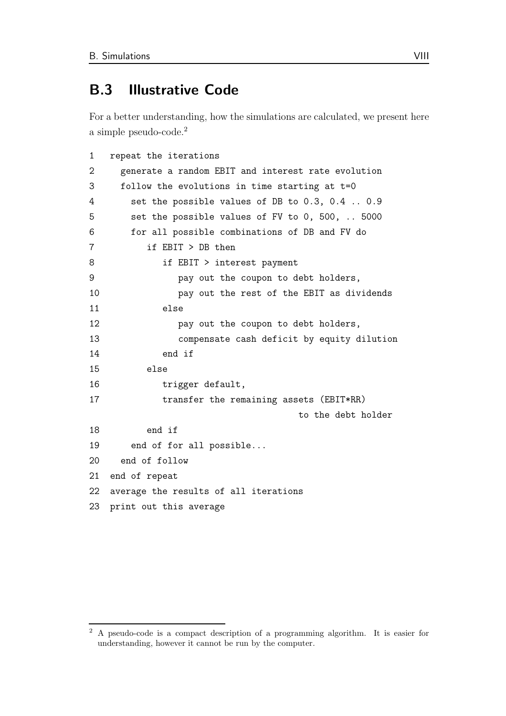### <span id="page-93-0"></span>B.3 Illustrative Code

For a better understanding, how the simulations are calculated, we present here a simple pseudo-code.[2](#page-93-1)

```
1 repeat the iterations
2 generate a random EBIT and interest rate evolution
3 follow the evolutions in time starting at t=0
4 set the possible values of DB to 0.3, 0.4 .. 0.9
5 set the possible values of FV to 0, 500, .. 5000
6 for all possible combinations of DB and FV do
7 if EBIT > DB then
8 if EBIT > interest payment
9 pay out the coupon to debt holders,
10 pay out the rest of the EBIT as dividends
11 else
12 pay out the coupon to debt holders,
13 compensate cash deficit by equity dilution
14 end if
15 else
16 trigger default,
17 transfer the remaining assets (EBIT*RR)
                                to the debt holder
18 end if
19 end of for all possible...
20 end of follow
21 end of repeat
22 average the results of all iterations
23 print out this average
```
<span id="page-93-1"></span><sup>2</sup> A pseudo-code is a compact description of a programming algorithm. It is easier for understanding, however it cannot be run by the computer.